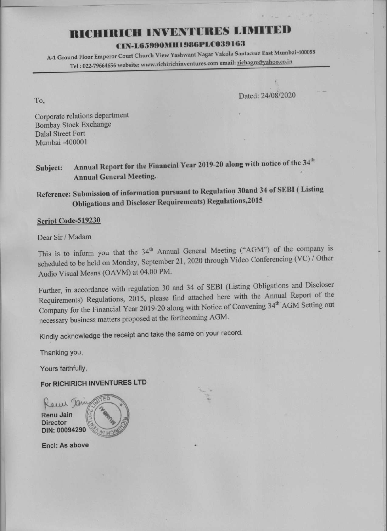## **RICHTRICH INVENTURES LIMITED**

## CIN-L65990MH1986PLC039163

A-1 Ground Floor Emperor Court Church View Yashwant Nagar Vakola Santacruz East Mumbai-400055 Tel: 022-79664656 website: www.richirichinventures.com email: richagro@yahoo.co.in

Dated: 24/08/2020

Corporate relations department **Bombay Stock Exchange Dalal Street Fort** Mumbai -400001

To,

Annual Report for the Financial Year 2019-20 along with notice of the 34<sup>th</sup> Subject: **Annual General Meeting.** 

Reference: Submission of information pursuant to Regulation 30and 34 of SEBI (Listing **Obligations and Discloser Requirements) Regulations, 2015** 

## Script Code-519230

Dear Sir / Madam

This is to inform you that the 34<sup>th</sup> Annual General Meeting ("AGM") of the company is scheduled to be held on Monday, September 21, 2020 through Video Conferencing (VC) / Other Audio Visual Means (OAVM) at 04.00 PM.

Further, in accordance with regulation 30 and 34 of SEBI (Listing Obligations and Discloser Requirements) Regulations, 2015, please find attached here with the Annual Report of the Company for the Financial Year 2019-20 along with Notice of Convening 34<sup>th</sup> AGM Setting out necessary business matters proposed at the forthcoming AGM.

Kindly acknowledge the receipt and take the same on your record.

Thanking you,

Yours faithfully,

For RICHIRICH INVENTURES LTD

Kewi Jam **Renu Jain Director** DIN: 00094290

**Encl: As above**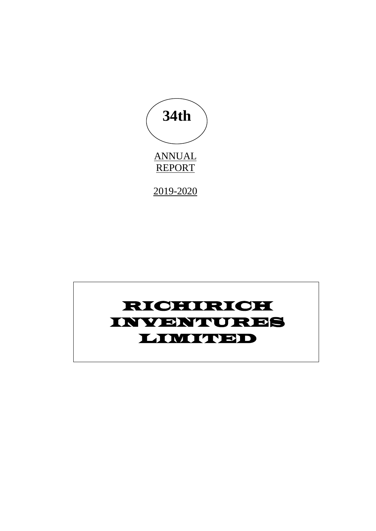

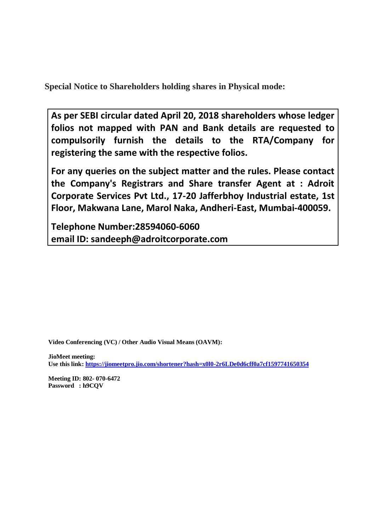**Special Notice to Shareholders holding shares in Physical mode:**

**As per SEBI circular dated April 20, 2018 shareholders whose ledger folios not mapped with PAN and Bank details are requested to compulsorily furnish the details to the RTA/Company for registering the same with the respective folios.** 

**For any queries on the subject matter and the rules. Please contact the Company's Registrars and Share transfer Agent at : Adroit Corporate Services Pvt Ltd., 17-20 Jafferbhoy Industrial estate, 1st Floor, Makwana Lane, Marol Naka, Andheri-East, Mumbai-400059.** 

**Telephone Number:28594060-6060 email ID: sandeeph@adroitcorporate.com**

**Video Conferencing (VC) / Other Audio Visual Means (OAVM):**

**JioMeet meeting: Use this link[: https://jiomeetpro.jio.com/shortener?hash=x0l0-2r6LDe0d6cff0a7cf1597741650354](https://jiomeetpro.jio.com/shortener?hash=x0l0-2r6LDe0d6cff0a7cf1597741650354)**

**Meeting ID: 802- 070-6472 Password : h9CQV**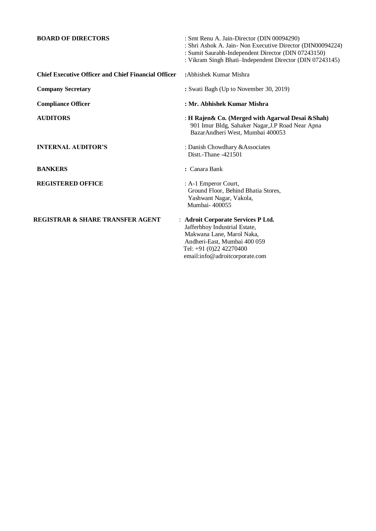| <b>BOARD OF DIRECTORS</b>                                  | : Smt Renu A. Jain-Director (DIN 00094290)<br>: Shri Ashok A. Jain- Non Executive Director (DIN00094224)<br>: Sumit Saurabh-Independent Director (DIN 07243150)<br>: Vikram Singh Bhati-Independent Director (DIN 07243145) |
|------------------------------------------------------------|-----------------------------------------------------------------------------------------------------------------------------------------------------------------------------------------------------------------------------|
| <b>Chief Executive Officer and Chief Financial Officer</b> | : Abhishek Kumar Mishra                                                                                                                                                                                                     |
| <b>Company Secretary</b>                                   | : Swati Bagh (Up to November 30, 2019)                                                                                                                                                                                      |
| <b>Compliance Officer</b>                                  | : Mr. Abhishek Kumar Mishra                                                                                                                                                                                                 |
| <b>AUDITORS</b>                                            | : H Rajen & Co. (Merged with Agarwal Desai & Shah)<br>901 Imur Bldg, Sahaker Nagar, J.P Road Near Apna<br>BazarAndheri West, Mumbai 400053                                                                                  |
| <b>INTERNAL AUDITOR'S</b>                                  | : Danish Chowdhary & Associates<br>Distt.-Thane -421501                                                                                                                                                                     |
| <b>BANKERS</b>                                             | : Canara Bank                                                                                                                                                                                                               |
| <b>REGISTERED OFFICE</b>                                   | : A-1 Emperor Court,<br>Ground Floor, Behind Bhatia Stores,<br>Yashwant Nagar, Vakola,<br>Mumbai-400055                                                                                                                     |
| <b>REGISTRAR &amp; SHARE TRANSFER AGENT</b>                | : Adroit Corporate Services P Ltd.<br>Jafferbhoy Industrial Estate,<br>Makwana Lane, Marol Naka,<br>Andheri-East, Mumbai 400 059<br>Tel: +91 (0)22 42270400<br>email:info@adroitcorporate.com                               |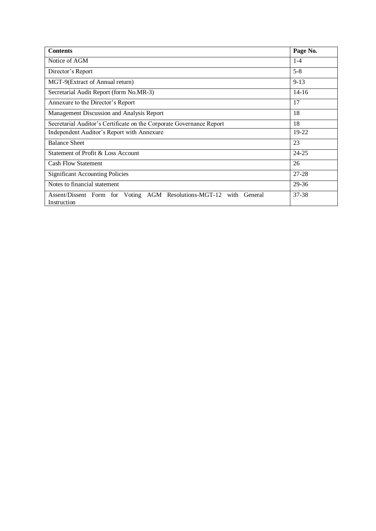| <b>Contents</b>                                                                         | Page No.  |
|-----------------------------------------------------------------------------------------|-----------|
| Notice of AGM                                                                           | $1 - 4$   |
| Director's Report                                                                       | $5 - 8$   |
| MGT-9(Extract of Annual return)                                                         | $9 - 13$  |
| Secretarial Audit Report (form No.MR-3)                                                 | $14 - 16$ |
| Annexure to the Director's Report                                                       | 17        |
| Management Discussion and Analysis Report                                               | 18        |
| Secretarial Auditor's Certificate on the Corporate Governance Report                    | 18        |
| Independent Auditor's Report with Annexure                                              | 19-22     |
| <b>Balance Sheet</b>                                                                    | 23        |
| Statement of Profit & Loss Account                                                      | $24 - 25$ |
| <b>Cash Flow Statement</b>                                                              | 26        |
| <b>Significant Accounting Policies</b>                                                  | $27 - 28$ |
| Notes to financial statement                                                            | 29-36     |
| Voting AGM Resolutions-MGT-12 with<br>Assent/Dissent Form for<br>General<br>Instruction | 37-38     |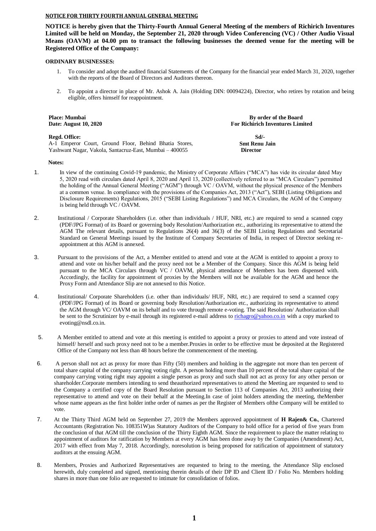#### **NOTICE FOR THIRTY FOURTH ANNUAL GENERAL MEETING**

**NOTICE is hereby given that the Thirty-Fourth Annual General Meeting of the members of Richirich Inventures Limited will be held on Monday, the September 21, 2020 through Video Conferencing (VC) / Other Audio Visual Means (OAVM) at 04.00 pm to transact the following businesses the deemed venue for the meeting will be Registered Office of the Company:**

#### **ORDINARY BUSINESSES:**

- 1. To consider and adopt the audited financial Statements of the Company for the financial year ended March 31, 2020, together with the reports of the Board of Directors and Auditors thereon.
- 2. To appoint a director in place of Mr. Ashok A. Jain (Holding DIN: 00094224), Director, who retires by rotation and being eligible, offers himself for reappointment.

| By order of the Board<br><b>For Richirich Inventures Limited</b> |
|------------------------------------------------------------------|
| Sd/-<br><b>Smt Renu Jain</b><br><b>Director</b>                  |
|                                                                  |

#### **Notes:**

- 1. In view of the continuing Covid-19 pandemic, the Ministry of Corporate Affairs ("MCA") has vide its circular dated May 5, 2020 read with circulars dated April 8, 2020 and April 13, 2020 (collectively referred to as "MCA Circulars") permitted the holding of the Annual General Meeting ("AGM") through VC / OAVM, without the physical presence of the Members at a common venue. In compliance with the provisions of the Companies Act, 2013 ("Act"), SEBI (Listing Obligations and Disclosure Requirements) Regulations, 2015 ("SEBI Listing Regulations") and MCA Circulars, the AGM of the Company is being held through VC / OAVM.
- 2. Institutional / Corporate Shareholders (i.e. other than individuals / HUF, NRI, etc.) are required to send a scanned copy (PDF/JPG Format) of its Board or governing body Resolution/Authorization etc., authorizing its representative to attend the AGM The relevant details, pursuant to Regulations 26(4) and 36(3) of the SEBI Listing Regulations and Secretarial Standard on General Meetings issued by the Institute of Company Secretaries of India, in respect of Director seeking reappointment at this AGM is annexed.
- 3. Pursuant to the provisions of the Act, a Member entitled to attend and vote at the AGM is entitled to appoint a proxy to attend and vote on his/her behalf and the proxy need not be a Member of the Company. Since this AGM is being held pursuant to the MCA Circulars through VC / OAVM, physical attendance of Members has been dispensed with. Accordingly, the facility for appointment of proxies by the Members will not be available for the AGM and hence the Proxy Form and Attendance Slip are not annexed to this Notice.
- 4. Institutional/ Corporate Shareholders (i.e. other than individuals/ HUF, NRI, etc.) are required to send a scanned copy (PDF/JPG Format) of its Board or governing body Resolution/Authorization etc., authorizing its representative to attend the AGM through VC/ OAVM on its behalf and to vote through remote e-voting. The said Resolution/ Authorization shall be sent to the Scrutinizer by e-mail through its registered e-mail address t[o richagro@yahoo.co.in](mailto:richagro@yahoo.co.in) with a copy marked to evoting@nsdl.co.in.
- 5. A Member entitled to attend and vote at this meeting is entitled to appoint a proxy or proxies to attend and vote instead of himself/ herself and such proxy need not to be a member.Proxies in order to be effective must be deposited at the Registered Office of the Company not less than 48 hours before the commencement of the meeting.
- 6. A person shall not act as proxy for more than Fifty (50) members and holding in the aggregate not more than ten percent of total share capital of the company carrying voting right. A person holding more than 10 percent of the total share capital of the company carrying voting right may appoint a single person as proxy and such shall not act as proxy for any other person or shareholder.Corporate members intending to send theauthorized representatives to attend the Meeting are requested to send to the Company a certified copy of the Board Resolution pursuant to Section 113 of Companies Act, 2013 authorizing their representative to attend and vote on their behalf at the Meeting.In case of joint holders attending the meeting, theMember whose name appears as the first holder inthe order of names as per the Register of Members ofthe Company will be entitled to vote.
- 7. At the Thirty Third AGM held on September 27, 2019 the Members approved appointment of **H Rajen& Co.**, Chartered Accountants (Registration No. 108351W)as Statutory Auditors of the Company to hold office for a period of five years from the conclusion of that AGM till the conclusion of the Thirty Eighth AGM. Since the requirement to place the matter relating to appointment of auditors for ratification by Members at every AGM has been done away by the Companies (Amendment) Act, 2017 with effect from May 7, 2018. Accordingly, noresolution is being proposed for ratification of appointment of statutory auditors at the ensuing AGM.
- 8. Members, Proxies and Authorized Representatives are requested to bring to the meeting, the Attendance Slip enclosed herewith, duly completed and signed, mentioning therein details of their DP ID and Client ID / Folio No. Members holding shares in more than one folio are requested to intimate for consolidation of folios.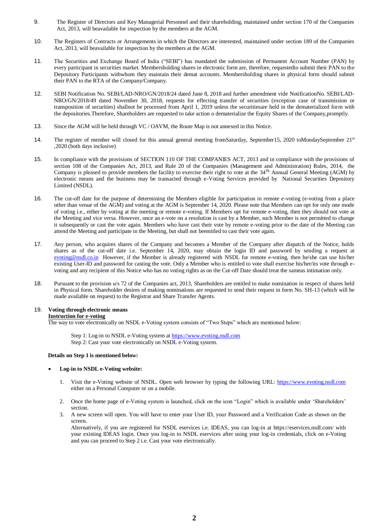- 9. The Register of Directors and Key Managerial Personnel and their shareholding, maintained under section 170 of the Companies Act, 2013, will beavailable for inspection by the members at the AGM.
- 10. The Registers of Contracts or Arrangements in which the Directors are interested, maintained under section 189 of the Companies Act, 2013, will beavailable for inspection by the members at the AGM.
- 11. The Securities and Exchange Board of India ("SEBI") has mandated the submission of Permanent Account Number (PAN) by every participant in securities market. Membersholding shares in electronic form are, therefore, requestedto submit their PAN to the Depository Participants withwhom they maintain their demat accounts. Membersholding shares in physical form should submit their PAN to the RTA of the Company/Company.
- 12. SEBI Notification No. SEBI/LAD-NRO/GN/2018/24 dated June 8, 2018 and further amendment vide NotificationNo. SEBI/LAD-NRO/GN/2018/49 dated November 30, 2018, requests for effecting transfer of securities (exception case of transmission or transposition of securities) shallnot be processed from April 1, 2019 unless the securitiesare held in the dematerialized form with the depositories.Therefore, Shareholders are requested to take action o dematerialize the Equity Shares of the Company,promptly.
- 13. Since the AGM will be held through VC / OAVM, the Route Map is not annexed in this Notice.
- 14. The register of member will closed for this annual general meeting fromSaturday, September15, 2020 toMondaySeptember 21<sup>st</sup> ,2020 (both days inclusive)
- 15. In compliance with the provisions of SECTION 110 OF THE COMPANIES ACT, 2013 and in compliance with the provisions of section 108 of the Companies Act, 2013, and Rule 20 of the Companies (Management and Administration) Rules, 2014, the Company is pleased to provide members the facility to exercise their right to vote at the 34<sup>Th</sup> Annual General Meeting (AGM) by electronic means and the business may be transacted through e-Voting Services provided by National Securities Depository Limited (NSDL).
- 16. The cut-off date for the purpose of determining the Members eligible for participation in remote e-voting (e-voting from a place other than venue of the AGM) and voting at the AGM is September 14, 2020. Please note that Members can opt for only one mode of voting i.e., either by voting at the meeting or remote e-voting. If Members opt for remote e-voting, then they should not vote at the Meeting and vice versa. However, once an e-vote on a resolution is cast by a Member, such Member is not permitted to change it subsequently or cast the vote again. Members who have cast their vote by remote e-voting prior to the date of the Meeting can attend the Meeting and participate in the Meeting, but shall not beentitled to cast their vote again.
- 17. Any person, who acquires shares of the Company and becomes a Member of the Company after dispatch of the Notice, holds shares as of the cut-off date i.e. September 14, 2020, may obtain the login ID and password by sending a request at [evoting@nsdl.co.in](mailto:evoting@nsdl.co.in) However, if the Member is already registered with NSDL for remote e-voting, then he/she can use his/her existing User-ID and password for casting the vote. Only a Member who is entitled to vote shall exercise his/her/its vote through evoting and any recipient of this Notice who has no voting rights as on the Cut-off Date should treat the sameas intimation only.
- 18. Pursuant to the provision u/s 72 of the Companies act, 2013, Shareholders are entitled to make nomination in respect of shares held in Physical form. Shareholder desires of making nominations are requested to send their request in form No. SH-13 (which will be made available on request) to the Registrar and Share Transfer Agents.

#### 19. **Voting through electronic means Instruction for e-voting**

The way to vote electronically on NSDL e-Voting system consists of "Two Steps" which are mentioned below:

Step 1: Log-in to NSDL e-Voting system at [https://www.evoting.nsdl.com](https://www.evoting.nsdl.com/) Step 2: Cast your vote electronically on NSDL e-Voting system.

#### **Details on Step 1 is mentioned below:**

#### **Log-in to NSDL e-Voting website:**

- 1. Visit the e-Voting website of NSDL. Open web browser by typing the following URL: [https://www.evoting.nsdl.com](https://www.evoting.nsdl.com/) either on a Personal Computer or on a mobile.
- 2. Once the home page of e-Voting system is launched, click on the icon "Login" which is available under 'Shareholders' section.
- 3. A new screen will open. You will have to enter your User ID, your Password and a Verification Code as shown on the screen.

Alternatively, if you are registered for NSDL eservices i.e. IDEAS, you can log-in at https://eservices.nsdl.com/ with your existing IDEAS login. Once you log-in to NSDL eservices after using your log-in credentials, click on e-Voting and you can proceed to Step 2 i.e. Cast your vote electronically.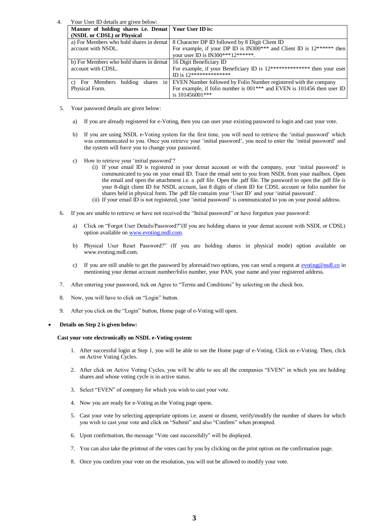4. Your User ID details are given below:

| Manner of holding shares i.e. Demat Your User ID is: |                                                                                    |
|------------------------------------------------------|------------------------------------------------------------------------------------|
| (NSDL or CDSL) or Physical                           |                                                                                    |
| a) For Members who hold shares in demat              | 8 Character DP ID followed by 8 Digit Client ID                                    |
| account with NSDL.                                   | For example, if your DP ID is IN300*** and Client ID is $12******$ then            |
|                                                      | your user ID is IN300***12******.                                                  |
| b) For Members who hold shares in demat              | 16 Digit Beneficiary ID                                                            |
| account with CDSL.                                   | For example, if your Beneficiary ID is $12************$ then your user             |
|                                                      | ID is $12*********************$                                                    |
| c) For Members holding<br>shares<br>in               | EVEN Number followed by Folio Number registered with the company                   |
| Physical Form.                                       | For example, if folio number is 001 <sup>***</sup> and EVEN is 101456 then user ID |
|                                                      | is 101456001***                                                                    |
|                                                      |                                                                                    |

- 5. Your password details are given below:
	- a) If you are already registered for e-Voting, then you can user your existing password to login and cast your vote.
	- b) If you are using NSDL e-Voting system for the first time, you will need to retrieve the 'initial password' which was communicated to you. Once you retrieve your 'initial password', you need to enter the 'initial password' and the system will force you to change your password.
	- c) How to retrieve your 'initial password'?
		- (i) If your email ID is registered in your demat account or with the company, your 'initial password' is communicated to you on your email ID. Trace the email sent to you from NSDL from your mailbox. Open the email and open the attachment i.e. a .pdf file. Open the .pdf file. The password to open the .pdf file is your 8-digit client ID for NSDL account, last 8 digits of client ID for CDSL account or folio number for shares held in physical form. The .pdf file contains your 'User ID' and your 'initial password'.
		- (ii) If your email ID is not registered, your 'initial password' is communicated to you on your postal address.
- 6. If you are unable to retrieve or have not received the "Initial password" or have forgotten your password:
	- a) Click on "Forgot User Details/Password?"(If you are holding shares in your demat account with NSDL or CDSL) option available o[n www.evoting.nsdl.com.](http://www.evoting.nsdl.com/)
	- b) Physical User Reset Password?" (If you are holding shares in physical mode) option available on www.evoting.nsdl.com.
	- c) If you are still unable to get the password by aforesaid two options, you can send a request at  $evoting@nsdl.co$  in</u> mentioning your demat account number/folio number, your PAN, your name and your registered address.
- 7. After entering your password, tick on Agree to "Terms and Conditions" by selecting on the check box.
- 8. Now, you will have to click on "Login" button.
- 9. After you click on the "Login" button, Home page of e-Voting will open.

#### **Details on Step 2 is given below:**

#### **Cast your vote electronically on NSDL e-Voting system:**

- 1. After successful login at Step 1, you will be able to see the Home page of e-Voting. Click on e-Voting. Then, click on Active Voting Cycles.
- 2. After click on Active Voting Cycles, you will be able to see all the companies "EVEN" in which you are holding shares and whose voting cycle is in active status.
- 3. Select "EVEN" of company for which you wish to cast your vote.
- 4. Now you are ready for e-Voting as the Voting page opens.
- 5. Cast your vote by selecting appropriate options i.e. assent or dissent, verify/modify the number of shares for which you wish to cast your vote and click on "Submit" and also "Confirm" when prompted.
- 6. Upon confirmation, the message "Vote cast successfully" will be displayed.
- 7. You can also take the printout of the votes cast by you by clicking on the print option on the confirmation page.
- 8. Once you confirm your vote on the resolution, you will not be allowed to modify your vote.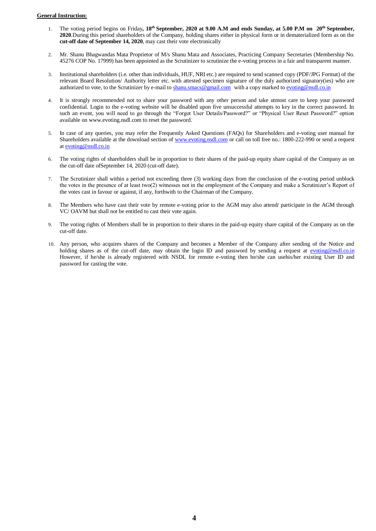#### **General Instruction:**

- 1. The voting period begins on Friday**, 18***th* **September, 2020 at 9.00 A.M and ends Sunday, at 5.00 P.M on 20th September, 2020**.During this period shareholders of the Company, holding shares either in physical form or in dematerialized form as on the **cut-off date of September 14, 2020**, may cast their vote electronically
- 2. Mr. Shanu Bhagwandas Mata Proprietor of M/s Shanu Mata and Associates, Practicing Company Secretaries (Membership No. 45276 COP No. 17999) has been appointed as the Scrutinizer to scrutinize the e-voting process in a fair and transparent manner.
- 3. Institutional shareholders (i.e. other than individuals, HUF, NRI etc.) are required to send scanned copy (PDF/JPG Format) of the relevant Board Resolution/ Authority letter etc. with attested specimen signature of the duly authorized signatory(ies) who are authorized to vote, to the Scrutinizer by e-mail to [shanu.smacs@gmail.com](mailto:shanu.smacs@gmail.com) with a copy marked t[o evoting@nsdl.co.in](mailto:evoting@nsdl.co.in)
- 4. It is strongly recommended not to share your password with any other person and take utmost care to keep your password confidential. Login to the e-voting website will be disabled upon five unsuccessful attempts to key in the correct password. In such an event, you will need to go through the "Forgot User Details/Password?" or "Physical User Reset Password?" option available on www.evoting.nsdl.com to reset the password.
- 5. In case of any queries, you may refer the Frequently Asked Questions (FAQs) for Shareholders and e-voting user manual for Shareholders available at the download section of [www.evoting.nsdl.com](http://www.evoting.nsdl.com/) or call on toll free no.: 1800-222-990 or send a request a[t evoting@nsdl.co.in](mailto:evoting@nsdl.co.in)
- 6. The voting rights of shareholders shall be in proportion to their shares of the paid-up equity share capital of the Company as on the cut-off date ofSeptember 14, 2020 (cut-off date).
- 7. The Scrutinizer shall within a period not exceeding three (3) working days from the conclusion of the e-voting period unblock the votes in the presence of at least two(2) witnesses not in the employment of the Company and make a Scrutinizer's Report of the votes cast in favour or against, if any, forthwith to the Chairman of the Company.
- 8. The Members who have cast their vote by remote e-voting prior to the AGM may also attend/ participate in the AGM through VC/ OAVM but shall not be entitled to cast their vote again.
- 9. The voting rights of Members shall be in proportion to their shares in the paid-up equity share capital of the Company as on the cut-off date.
- 10. Any person, who acquires shares of the Company and becomes a Member of the Company after sending of the Notice and holding shares as of the cut-off date, may obtain the login ID and password by sending a request at [evoting@nsdl.co.in](mailto:evoting@nsdl.co.in) However, if he/she is already registered with NSDL for remote e-voting then he/she can usehis/her existing User ID and password for casting the vote.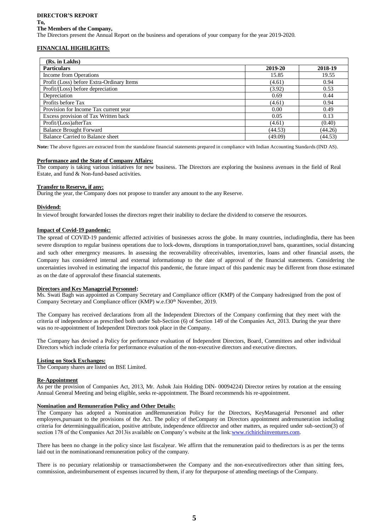#### **DIRECTOR'S REPORT**

#### **To,**

#### **The Members of the Company,**

The Directors present the Annual Report on the business and operations of your company for the year 2019-2020.

#### **FINANCIAL HIGHLIGHTS:**

| (Rs. in Lakhs)                            |         |         |
|-------------------------------------------|---------|---------|
| <b>Particulars</b>                        | 2019-20 | 2018-19 |
| Income from Operations                    | 15.85   | 19.55   |
| Profit (Loss) before Extra-Ordinary Items | (4.61)  | 0.94    |
| Profit/(Loss) before depreciation         | (3.92)  | 0.53    |
| Depreciation                              | 0.69    | 0.44    |
| Profits before Tax                        | (4.61)  | 0.94    |
| Provision for Income Tax current year     | 0.00    | 0.49    |
| Excess provision of Tax Written back      | 0.05    | 0.13    |
| Profit/(Loss)afterTax                     | (4.61)  | (0.40)  |
| <b>Balance Brought Forward</b>            | (44.53) | (44.26) |
| Balance Carried to Balance sheet          | (49.09) | (44.53) |

**Note:** The above figures are extracted from the standalone financial statements prepared in compliance with Indian Accounting Standards (IND AS).

#### **Performance and the State of Company Affairs:**

The company is taking various initiatives for new business. The Directors are exploring the business avenues in the field of Real Estate, and fund & Non-fund-based activities.

#### **Transfer to Reserve, if any:**

During the year, the Company does not propose to transfer any amount to the any Reserve.

#### **Dividend:**

In viewof brought forwarded losses the directors regret their inability to declare the dividend to conserve the resources.

#### **Impact of Covid-19 pandemic:**

The spread of COVID-19 pandemic affected activities of businesses across the globe. In many countries, includingIndia, there has been severe disruption to regular business operations due to lock-downs, disruptions in transportation,travel bans, quarantines, social distancing and such other emergency measures. In assessing the recoverability ofreceivables, inventories, loans and other financial assets, the Company has considered internal and external informationup to the date of approval of the financial statements. Considering the uncertainties involved in estimating the impactof this pandemic, the future impact of this pandemic may be different from those estimated as on the date of approvalof these financial statements.

#### **Directors and Key Managerial Personnel:**

Ms. Swati Bagh was appointed as Company Secretary and Compliance officer (KMP) of the Company hadresigned from the post of Company Secretary and Compliance officer (KMP) w.e.f30<sup>th</sup> November, 2019.

The Company has received declarations from all the Independent Directors of the Company confirming that they meet with the criteria of independence as prescribed both under Sub-Section (6) of Section 149 of the Companies Act, 2013. During the year there was no re-appointment of Independent Directors took place in the Company.

The Company has devised a Policy for performance evaluation of Independent Directors, Board, Committees and other individual Directors which include criteria for performance evaluation of the non-executive directors and executive directors.

#### **Listing on Stock Exchanges:**

The Company shares are listed on BSE Limited.

#### **Re-Appointment**

As per the provision of Companies Act, 2013, Mr. Ashok Jain Holding DIN- 00094224) Director retires by rotation at the ensuing Annual General Meeting and being eligible, seeks re-appointment. The Board recommends his re-appointment.

#### **Nomination and Remuneration Policy and Other Details:**

The Company has adopted a Nomination andRemuneration Policy for the Directors, KeyManagerial Personnel and other employees,pursuant to the provisions of the Act. The policy of theCompany on Directors appointment andremuneration including criteria for determiningqualification, positive attribute, independence ofdirector and other matters, as required under sub-section(3) of section 178 of the Companies Act 2013is available on Company's website at the link:[www.richirichinventures.com.](http://www.richirichinventures.com/)

There has been no change in the policy since last fiscalyear. We affirm that the remuneration paid to thedirectors is as per the terms laid out in the nominationand remuneration policy of the company.

There is no pecuniary relationship or transactionsbetween the Company and the non-executivedirectors other than sitting fees, commission, andreimbursement of expenses incurred by them, if any for thepurpose of attending meetings of the Company.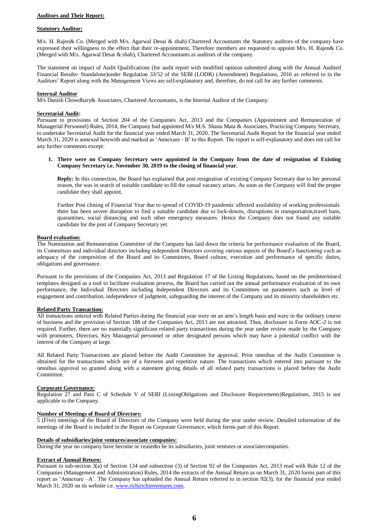#### **Auditors and Their Report:**

#### **Statutory Auditor:**

M/s. H. Rajen& Co. (Merged with M/s. Agarwal Desai & shah) Chartered Accountants the Statutory auditors of the company have expressed their willingness to the effect that their re-appointment, Therefore members are requested to appoint M/s. H. Rajen& Co. (Merged with M/s. Agarwal Desai & shah), Chartered Accountants as auditors of the company.

The statement on impact of Audit Qualifications (for audit report with modified opinion submitted along with the Annual Audited Financial Results- Standalone)under Regulation 33/52 of the SEBI (LODR) (Amendment) Regulations, 2016 as referred to in the Auditors' Report along with the Management Views are self-explanatory and, therefore, do not call for any further comments.

#### **Internal Auditor**

M/s Danish Chowdhary& Associates, Chartered Accountants, is the Internal Auditor of the Company.

#### **Secretarial Audit:**

Pursuant to provisions of Section 204 of the Companies Act, 2013 and the Companies (Appointment and Remuneration of Managerial Personnel) Rules, 2014, the Company had appointed M/s M.S. Shanu Mata & Associates, Practicing Company Secretary, to undertake Secretarial Audit for the financial year ended March 31, 2020. The Secretarial Audit Report for the financial year ended March 31, 2020 is annexed herewith and marked as 'Annexure - B' to this Report. The report is self-explanatory and does not call for any further comments except:

#### **1. There were no Company Secretary were appointed in the Company from the date of resignation of Existing Company Secretary i.e. November 30, 2019 to the closing of financial year.**

**Reply:** In this connection, the Board has explained that post resignation of existing Company Secretary due to her personal reason, the was in search of suitable candidate to fill the casual vacancy arises. As soon as the Company will find the proper candidate they shall appoint.

Further Post closing of Financial Year due to spread of COVID-19 pandemic affected availability of working professionals. there has been severe disruption to find a suitable candidate due to lock-downs, disruptions in transportation,travel bans, quarantines, social distancing and such other emergency measures. Hence the Company does not found any suitable candidate for the post of Company Secretary yet.

#### **Board evaluation:**

The Nomination and Remuneration Committee of the Company has laid down the criteria for performance evaluation of the Board, its Committees and individual directors including independent Directors covering various aspects of the Board's functioning such as adequacy of the composition of the Board and its Committees, Board culture, execution and performance of specific duties, obligations and governance.

Pursuant to the provisions of the Companies Act, 2013 and Regulation 17 of the Listing Regulations, based on the predetermined templates designed as a tool to facilitate evaluation process, the Board has carried out the annual performance evaluation of its own performance, the Individual Directors including Independent Directors and its Committees on parameters such as level of engagement and contribution, independence of judgment, safeguarding the interest of the Company and its minority shareholders etc.

#### **Related Party Transaction:**

All transactions entered with Related Parties during the financial year were on an arm's length basis and were in the ordinary course of business and the provision of Section 188 of the Companies Act, 2013 are not attracted. Thus, disclosure in Form AOC-2 is not required. Further, there are no materially significant related party transactions during the year under review made by the Company with promoters, Directors, Key Managerial personnel or other designated persons which may have a potential conflict with the interest of the Company at large.

All Related Party Transactions are placed before the Audit Committee for approval. Prior omnibus of the Audit Committee is obtained for the transactions which are of a foreseen and repetitive nature. The transactions which entered into pursuant to the omnibus approval so granted along with a statement giving details of all related party transactions is placed before the Audit Committee.

#### **Corporate Governance:**

Regulation 27 and Para C of Schedule V of SEBI (ListingObligations and Disclosure Requirements)Regulations, 2015 is not applicable to the Company.

#### **Number of Meetings of Board of Directors:**

5 (Five) meetings of the Board of Directors of the Company were held during the year under review. Detailed information of the meetings of the Board is included in the Report on Corporate Governance, which forms part of this Report.

#### **Details of subsidiaries/joint ventures/associate companies:**

During the year no company have become or ceasedto be its subsidiaries, joint ventures or associatecompanies.

#### **Extract of Annual Return:**

Pursuant to sub-section 3(a) of Section 134 and subsection (3) of Section 92 of the Companies Act, 2013 read with Rule 12 of the Companies (Management and Administration) Rules, 2014 the extracts of the Annual Return as on March 31, 2020 forms part of this report as 'Annexure –A'. The Company has uploaded the Annual Return referred to in section 92(3), for the financial year ended March 31, 2020 on its website i.e. [www.richirichinventures.com.](http://www.richirichinventures.com/)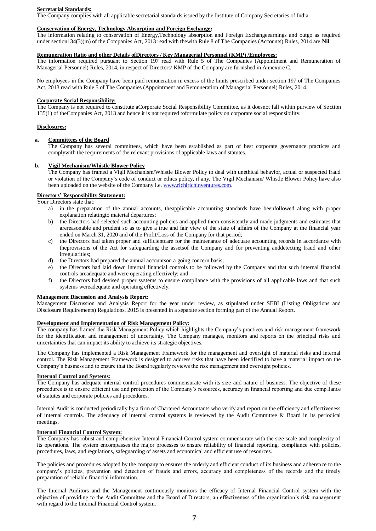#### **Secretarial Standards:**

The Company complies with all applicable secretarial standards issued by the Institute of Company Secretaries of India.

#### **Conservation of Energy, Technology Absorption and Foreign Exchange:**

The information relating to conservation of Energy,Technology absorption and Foreign Exchangeearnings and outgo as required under section134(3)(m) of the Companies Act, 2013 read with thewith Rule 8 of The Companies (Accounts) Rules, 2014 are **Nil**.

#### **Remuneration Ratio and other Details ofDirectors / Key Managerial Personnel (KMP) /Employees:**

The information required pursuant to Section 197 read with Rule 5 of The Companies (Appointment and Remuneration of Managerial Personnel) Rules, 2014, in respect of Directors/ KMP of the Company are furnished in Annexure C.

No employees in the Company have been paid remuneration in excess of the limits prescribed under section 197 of The Companies Act, 2013 read with Rule 5 of The Companies (Appointment and Remuneration of Managerial Personnel) Rules, 2014.

#### **Corporate Social Responsibility:**

The Company is not required to constitute aCorporate Social Responsibility Committee, as it doesnot fall within purview of Section 135(1) of theCompanies Act, 2013 and hence it is not required toformulate policy on corporate social responsibility.

#### **Disclosures:**

#### **a. Committees of the Board**

The Company has several committees, which have been established as part of best corporate governance practices and complywith the requirements of the relevant provisions of applicable laws and statutes.

#### **b. Vigil Mechanism/Whistle Blower Policy**

The Company has framed a Vigil Mechanism/Whistle Blower Policy to deal with unethical behavior, actual or suspected fraud or violation of the Company's code of conduct or ethics policy, if any. The Vigil Mechanism/ Whistle Blower Policy have also been uploaded on the website of the Company i.e[. www.richirichinventures.com.](http://www.richirichinventures.com/)

#### **Directors' Responsibility Statement:**

Your Directors state that:

- a) in the preparation of the annual accounts, theapplicable accounting standards have beenfollowed along with proper explanation relatingto material departures;
- b) the Directors had selected such accounting policies and applied them consistently and made judgments and estimates that arereasonable and prudent so as to give a true and fair view of the state of affairs of the Company at the financial year ended on March 31, 2020 and of the Profit/Loss of the Company for that period;
- c) the Directors had taken proper and sufficientcare for the maintenance of adequate accounting records in accordance with theprovisions of the Act for safeguarding the assetsof the Company and for preventing anddetecting fraud and other irregularities;
- d) the Directors had prepared the annual accountson a going concern basis;
- e) the Directors had laid down internal financial controls to be followed by the Company and that such internal financial controls areadequate and were operating effectively; and
- f) the Directors had devised proper systems to ensure compliance with the provisions of all applicable laws and that such systems wereadequate and operating effectively.

#### **Management Discussion and Analysis Report:**

Management Discussion and Analysis Report for the year under review, as stipulated under SEBI (Listing Obligations and Disclosure Requirements) Regulations, 2015 is presented in a separate section forming part of the Annual Report.

#### **Development and Implementation of Risk Management Policy:**

The company has framed the Risk Management Policy which highlights the Company's practices and risk management framework for the identification and management of uncertainty. The Company manages, monitors and reports on the principal risks and uncertainties that can impact its ability to achieve its strategic objectives.

The Company has implemented a Risk Management Framework for the management and oversight of material risks and internal control. The Risk Management Framework is designed to address risks that have been identified to have a material impact on the Company's business and to ensure that the Board regularly reviews the risk management and oversight policies.

#### **Internal Control and Systems:**

The Company has adequate internal control procedures commensurate with its size and nature of business. The objective of these procedures is to ensure efficient use and protection of the Company's resources, accuracy in financial reporting and due compliance of statutes and corporate policies and procedures.

Internal Audit is conducted periodically by a firm of Chartered Accountants who verify and report on the efficiency and effectiveness of internal controls. The adequacy of internal control systems is reviewed by the Audit Committee & Board in its periodical meetings.

#### **Internal Financial Control System:**

The Company has robust and comprehensive Internal Financial Control system commensurate with the size scale and complexity of its operations. The system encompasses the major processes to ensure reliability of financial reporting, compliance with policies, procedures, laws, and regulations, safeguarding of assets and economical and efficient use of resources.

The policies and procedures adopted by the company to ensures the orderly and efficient conduct of its business and adherence to the company's policies, prevention and detection of frauds and errors, accuracy and completeness of the records and the timely preparation of reliable financial information.

The Internal Auditors and the Management continuously monitors the efficacy of Internal Financial Control system with the objective of providing to the Audit Committee and the Board of Directors, an effectiveness of the organization's risk management with regard to the Internal Financial Control system.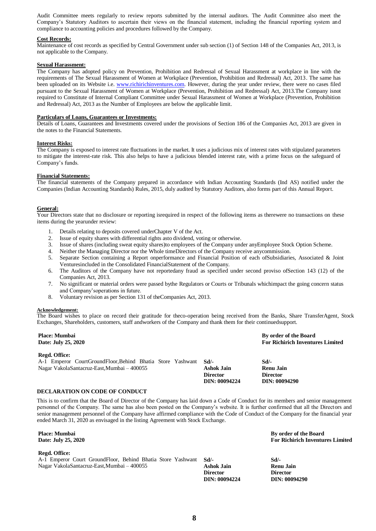Audit Committee meets regularly to review reports submitted by the internal auditors. The Audit Committee also meet the Company's Statutory Auditors to ascertain their views on the financial statement, including the financial reporting system and compliance to accounting policies and procedures followed by the Company.

#### **Cost Records:**

Maintenance of cost records as specified by Central Government under sub section (1) of Section 148 of the Companies Act, 2013, is not applicable to the Company.

#### **Sexual Harassment:**

The Company has adopted policy on Prevention, Prohibition and Redressal of Sexual Harassment at workplace in line with the requirements of The Sexual Harassment of Women at Workplace (Prevention, Prohibition and Redressal) Act, 2013. The same has been uploaded on its Website i.e. [www.richirichinventures.com.](http://www.richirichinventures.com/) However, during the year under review, there were no cases filed pursuant to the Sexual Harassment of Women at Workplace (Prevention, Prohibition and Redressal) Act, 2013.The Company isnot required to Constitute of Internal Compliant Committee under Sexual Harassment of Women at Workplace (Prevention, Prohibition and Redressal) Act, 2013 as the Number of Employees are below the applicable limit.

#### **Particulars of Loans, Guarantees or Investments:**

Details of Loans, Guarantees and Investments covered under the provisions of Section 186 of the Companies Act, 2013 are given in the notes to the Financial Statements.

#### **Interest Risks:**

The Company is exposed to interest rate fluctuations in the market. It uses a judicious mix of interest rates with stipulated parameters to mitigate the interest-rate risk. This also helps to have a judicious blended interest rate, with a prime focus on the safeguard of Company's funds.

#### **Financial Statements:**

The financial statements of the Company prepared in accordance with Indian Accounting Standards (Ind AS) notified under the Companies (Indian Accounting Standards) Rules, 2015, duly audited by Statutory Auditors, also forms part of this Annual Report.

#### **General:**

Your Directors state that no disclosure or reporting isrequired in respect of the following items as therewere no transactions on these items during the yearunder review:

- Details relating to deposits covered underChapter V of the Act.
- 2. Issue of equity shares with differential rights asto dividend, voting or otherwise.
- 3. Issue of shares (including sweat equity shares)to employees of the Company under anyEmployee Stock Option Scheme.
- 4. Neither the Managing Director nor the Whole timeDirectors of the Company receive anycommission.
- 5. Separate Section containing a Report onperformance and Financial Position of each ofSubsidiaries, Associated & Joint Venturesincluded in the Consolidated FinancialStatement of the Company.
- 6. The Auditors of the Company have not reportedany fraud as specified under second proviso ofSection 143 (12) of the Companies Act, 2013.
- 7. No significant or material orders were passed bythe Regulators or Courts or Tribunals whichimpact the going concern status and Company'soperations in future.
- 8. Voluntary revision as per Section 131 of theCompanies Act, 2013.

#### **Acknowledgement:**

The Board wishes to place on record their gratitude for theco-operation being received from the Banks, Share TransferAgent, Stock Exchanges, Shareholders, customers, staff andworkers of the Company and thank them for their continuedsupport.

| <b>Place: Mumbai</b><br>Date: July 25, 2020                                                                                        |                                                             | By order of the Board<br><b>For Richirich Inventures Limited</b>  |
|------------------------------------------------------------------------------------------------------------------------------------|-------------------------------------------------------------|-------------------------------------------------------------------|
| Regd. Office:<br>A-1 Emperor CourtGroundFloor, Behind Bhatia Store Yashwant<br>Nagar VakolaSantacruz-East, Mumbai – 400055         | Sd<br><b>Ashok Jain</b><br><b>Director</b><br>DIN: 00094224 | Sd<br><b>Renu Jain</b><br><b>Director</b><br><b>DIN: 00094290</b> |
| DECLARATION ON CODE OF CONDUCT                                                                                                     |                                                             |                                                                   |
| This is to confirm that the Board of Director of the Company has laid down a Code of Conduct for its members and senior management |                                                             |                                                                   |

personnel of the Company. The same has also been posted on the Company's website. It is further confirmed that all the Directors and senior management personnel of the Company have affirmed compliance with the Code of Conduct of the Company for the financial year ended March 31, 2020 as envisaged in the listing Agreement with Stock Exchange.

**Place: Mumbai Date: July 25, 2020**

#### **Regd. Office:**

A-1 Emperor Court GroundFloor, Behind Bhatia Store Yashwant Nagar VakolaSantacruz-East,Mumbai – 400055

**Sd/- Ashok Jain Director DIN: 00094224**

**By order of the Board For Richirich Inventures Limited**

**Sd/- Renu Jain Director DIN: 00094290**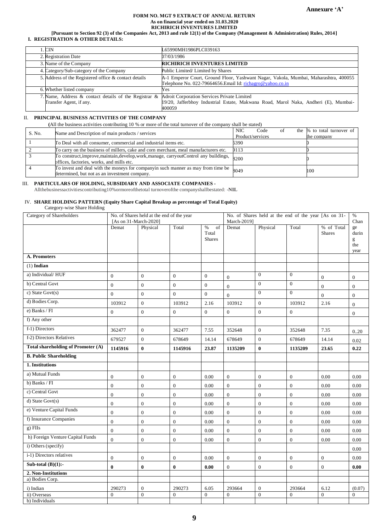#### **FORM NO. MGT 9 EXTRACT OF ANNUAL RETURN As on financial year ended on 31.03.2020 RICHIRICH INVENTURES LIMITED**

**[Pursuant to Section 92 (3) of the Companies Act, 2013 and rule 12(1) of the Company (Management & Administration) Rules, 2014] I. REGISTRATION & OTHER DETAILS:**

| l. CIN                                                | L65990MH1986PLC039163                                                                |
|-------------------------------------------------------|--------------------------------------------------------------------------------------|
| 2. Registration Date                                  | 07/03/1986                                                                           |
| 3. Name of the Company                                | <b>RICHIRICH INVENTURES LIMITED</b>                                                  |
| 4. Category/Sub-category of the Company               | Public Limited/Limited by Shares                                                     |
| 5. Address of the Registered office & contact details | A-1 Emperor Court, Ground Floor, Yashwant Nagar, Vakola, Mumbai, Maharashtra, 400055 |
|                                                       | Telephone No. 022-79664656. Email Id: richagro@yahoo.co.in                           |
| 6. Whether listed company                             | Yes                                                                                  |
| 7. Name, Address & contact details of the Registrar & | Adroit Corporation Services Private Limited                                          |
| Transfer Agent, if any.                               | 19/20, Jafferbhoy Industrial Estate, Makwana Road, Marol Naka, Andheri (E), Mumbai-  |
|                                                       | 400059                                                                               |

#### II. **PRINCIPAL BUSINESS ACTIVITIES OF THE COMPANY**

**(**All the business activities contributing 10 % or more of the total turnover of the company shall be stated)

| S. No. | Name and Description of main products / services                                                      | <b>NIC</b><br>Code<br>οt | the % to total turnover of |
|--------|-------------------------------------------------------------------------------------------------------|--------------------------|----------------------------|
|        |                                                                                                       | Product/services         | the company                |
|        | To Deal with all consumer, commercial and industrial items etc.                                       | 6390                     |                            |
|        | To carry on the business of millers, cake and corn merchant, meal manufacturers etc.                  | 9113                     |                            |
|        | To construct, improve, maintain, develop, work, manage, carryoutControl any buildings,                | 8200                     |                            |
|        | offices, factories, works, and mills etc.                                                             |                          |                            |
|        | $\sqrt{\text{To invest and deal with the moneys for companyin such manner as may from time be}}$ 8049 |                          | 100                        |
|        | determined, but not as an investment company.                                                         |                          |                            |

#### III. **PARTICULARS OF HOLDING, SUBSIDIARY AND ASSOCIATE COMPANIES -**

Allthebusinessactivitiescontributing10%ormoreofthetotal turnoverofthe companyshallbestated: -**NIL**

## IV. **SHARE HOLDING PATTERN (Equity Share Capital Breakup as percentage of Total Equity)**

#### Category-wise Share Holding

| <b>Category of Shareholders</b>    | No. of Shares held at the end of the year |                |                  | No. of Shares held at the end of the year [As on 31- |                      |                  |                  | $\%$             |                     |
|------------------------------------|-------------------------------------------|----------------|------------------|------------------------------------------------------|----------------------|------------------|------------------|------------------|---------------------|
|                                    | [As on 31-March-2020]<br>Demat            | Physical       | Total            | $\%$<br>of                                           | March-2019]<br>Demat | Physical         | Total            | % of Total       | Chan<br>ge          |
|                                    |                                           |                |                  | Total                                                |                      |                  |                  | <b>Shares</b>    | durin               |
|                                    |                                           |                |                  | <b>Shares</b>                                        |                      |                  |                  |                  | g                   |
|                                    |                                           |                |                  |                                                      |                      |                  |                  |                  | the                 |
| A. Promoters                       |                                           |                |                  |                                                      |                      |                  |                  |                  | year                |
|                                    |                                           |                |                  |                                                      |                      |                  |                  |                  |                     |
| $(1)$ Indian                       |                                           |                |                  |                                                      |                      |                  |                  |                  |                     |
| a) Individual/HUF                  | $\boldsymbol{0}$                          | $\mathbf{0}$   | $\mathbf{0}$     | $\mathbf{0}$                                         | $\boldsymbol{0}$     | $\Omega$         | $\overline{0}$   | $\boldsymbol{0}$ | $\mathbf{0}$        |
| b) Central Govt                    | $\boldsymbol{0}$                          | $\mathbf{0}$   | $\mathbf{0}$     | $\mathbf{0}$                                         | $\overline{0}$       | $\mathbf{0}$     | $\boldsymbol{0}$ | $\boldsymbol{0}$ | $\mathbf{0}$        |
| c) State Govt(s)                   | $\overline{0}$                            | $\overline{0}$ | $\theta$         | $\overline{0}$                                       | $\overline{0}$       | $\overline{0}$   | $\boldsymbol{0}$ | $\overline{0}$   | $\overline{0}$      |
| d) Bodies Corp.                    | 103912                                    | $\overline{0}$ | 103912           | 2.16                                                 | 103912               | $\overline{0}$   | 103912           | 2.16             | $\Omega$            |
| e) Banks / FI                      | $\overline{0}$                            | $\overline{0}$ | $\overline{0}$   | $\overline{0}$                                       | $\overline{0}$       | $\overline{0}$   | $\mathbf{0}$     |                  | $\mathbf{0}$        |
| f) Any other                       |                                           |                |                  |                                                      |                      |                  |                  |                  |                     |
| f-1) Directors                     | 362477                                    | $\mathbf{0}$   | 362477           | 7.55                                                 | 352648               | $\overline{0}$   | 352648           | 7.35             | 0.20                |
| f-2) Directors Relatives           | 679527                                    | $\overline{0}$ | 678649           | 14.14                                                | 678649               | $\overline{0}$   | 678649           | 14.14            | 0.02                |
| Total shareholding of Promoter (A) | 1145916                                   | $\bf{0}$       | 1145916          | 23.87                                                | 1135209              | $\bf{0}$         | 1135209          | 23.65            | 0.22                |
| <b>B. Public Shareholding</b>      |                                           |                |                  |                                                      |                      |                  |                  |                  |                     |
| 1. Institutions                    |                                           |                |                  |                                                      |                      |                  |                  |                  |                     |
| a) Mutual Funds                    | $\boldsymbol{0}$                          | $\overline{0}$ | $\mathbf{0}$     | 0.00                                                 | $\overline{0}$       | $\overline{0}$   | $\overline{0}$   | 0.00             | 0.00                |
| b) Banks / FI                      | $\boldsymbol{0}$                          | $\overline{0}$ | $\Omega$         | 0.00                                                 | $\boldsymbol{0}$     | $\boldsymbol{0}$ | $\boldsymbol{0}$ | 0.00             | 0.00                |
| c) Central Govt                    | $\boldsymbol{0}$                          | $\overline{0}$ | $\overline{0}$   | $0.00\,$                                             | $\boldsymbol{0}$     | $\boldsymbol{0}$ | $\boldsymbol{0}$ | 0.00             | 0.00                |
| d) State Govt(s)                   | $\boldsymbol{0}$                          | $\mathbf{0}$   | $\boldsymbol{0}$ | 0.00                                                 | $\boldsymbol{0}$     | $\mathbf{0}$     | $\boldsymbol{0}$ | 0.00             | 0.00                |
| e) Venture Capital Funds           | $\overline{0}$                            | $\overline{0}$ | $\mathbf{0}$     | 0.00                                                 | $\boldsymbol{0}$     | $\mathbf{0}$     | $\overline{0}$   | 0.00             | 0.00                |
| f) Insurance Companies             | $\mathbf{0}$                              | $\overline{0}$ | $\Omega$         | 0.00                                                 | $\Omega$             | $\Omega$         | $\overline{0}$   | 0.00             | 0.00                |
| $g)$ FIIs                          | $\boldsymbol{0}$                          | $\mathbf{0}$   | $\boldsymbol{0}$ | $0.00\,$                                             | $\boldsymbol{0}$     | $\boldsymbol{0}$ | $\boldsymbol{0}$ | 0.00             | 0.00                |
| h) Foreign Venture Capital Funds   | $\overline{0}$                            | $\mathbf{0}$   | $\overline{0}$   | 0.00                                                 | $\boldsymbol{0}$     | $\boldsymbol{0}$ | $\boldsymbol{0}$ | $0.00\,$         | 0.00                |
| i) Others (specify)                |                                           |                |                  |                                                      |                      |                  |                  |                  | 0.00                |
| i-1) Directors relatives           | $\overline{0}$                            | $\overline{0}$ | $\mathbf{0}$     | 0.00                                                 | $\boldsymbol{0}$     | $\overline{0}$   | $\overline{0}$   | $\boldsymbol{0}$ | 0.00                |
| Sub-total $(B)(1)$ :-              | $\bf{0}$                                  | $\bf{0}$       | $\bf{0}$         | $\boldsymbol{0.00}$                                  | $\boldsymbol{0}$     | $\boldsymbol{0}$ | $\boldsymbol{0}$ | $\overline{0}$   | $\boldsymbol{0.00}$ |
| 2. Non-Institutions                |                                           |                |                  |                                                      |                      |                  |                  |                  |                     |
| a) Bodies Corp.                    |                                           |                |                  |                                                      |                      |                  |                  |                  |                     |
| i) Indian                          | 290273                                    | $\mathbf{0}$   | 290273           | 6.05                                                 | 293664               | $\boldsymbol{0}$ | 293664           | 6.12             | (0.07)              |
| ii) Overseas                       | $\Omega$                                  | $\Omega$       | $\Omega$         | $\Omega$                                             | $\Omega$             | $\Omega$         | $\Omega$         | $\overline{0}$   | $\Omega$            |
| b) Individuals                     |                                           |                |                  |                                                      |                      |                  |                  |                  |                     |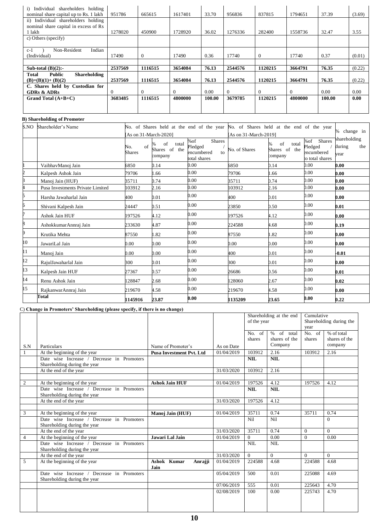| Individual shareholders holding<br>i)         |         |                |          |        |          |                |          |        |        |
|-----------------------------------------------|---------|----------------|----------|--------|----------|----------------|----------|--------|--------|
| nominal share capital up to Rs. 1 lakh        | 951786  | 665615         | 1617401  | 33.70  | 956836   | 837815         | 1794651  | 37.39  | (3.69) |
| ii) Individual shareholders holding           |         |                |          |        |          |                |          |        |        |
| nominal share capital in excess of Rs         |         |                |          |        |          |                |          |        |        |
| 1 lakh                                        | 1278020 | 450900         | 1728920  | 36.02  | 1276336  | 282400         | 1558736  | 32.47  | 3.55   |
| c) Others (specify)                           |         |                |          |        |          |                |          |        |        |
|                                               |         |                |          |        |          |                |          |        |        |
| Indian<br>Non-Resident<br>$c-1$               |         |                |          |        |          |                |          |        |        |
| (Individual)                                  | 17490   | $\overline{0}$ | 17490    | 0.36   | 17740    | $\overline{0}$ | 17740    | 0.37   | (0.01) |
|                                               |         |                |          |        |          |                |          |        |        |
| Sub-total $(B)(2)$ :-                         | 2537569 | 1116515        | 3654084  | 76.13  | 2544576  | 1120215        | 3664791  | 76.35  | (0.22) |
| <b>Public</b><br><b>Shareholding</b><br>Total |         |                |          |        |          |                |          |        |        |
| $(B)=(B)(1)+(B)(2)$                           | 2537569 | 1116515        | 3654084  | 76.13  | 2544576  | 1120215        | 3664791  | 76.35  | (0.22) |
| C. Shares held by Custodian for               |         |                |          |        |          |                |          |        |        |
| <b>GDRs &amp; ADRs</b>                        |         | $\Omega$       | $\Omega$ | 0.00   | $\Omega$ | $\Omega$       | $\Omega$ | 0.00   | 0.00   |
| Grand Total $(A+B+C)$                         | 3683485 | 1116515        | 4800000  | 100.00 | 3679785  | 1120215        | 4800000  | 100.00 | 0.00   |
|                                               |         |                |          |        |          |                |          |        |        |
|                                               |         |                |          |        |          |                |          |        |        |

## **B) Shareholding of Promoter**

| S.NO | Shareholder's Name               |                      |                                         | No. of Shares held at the end of the year No. of Shares held at the end of the year |                       |                                              |                                                        | % change in                           |
|------|----------------------------------|----------------------|-----------------------------------------|-------------------------------------------------------------------------------------|-----------------------|----------------------------------------------|--------------------------------------------------------|---------------------------------------|
|      |                                  | As on 31-March-2020] |                                         |                                                                                     | [As on 31-March-2019] |                                              |                                                        |                                       |
|      |                                  | of<br>No.<br>Shares  | of<br>total<br>Shares of the<br>company | <b>Shares</b><br>%of<br>Pledged<br>encumbered<br>to<br>total shares                 | No. of Shares         | of<br>℅<br>total<br>Shares of the<br>company | %of Shares<br>Pledged<br>encumbered<br>to total shares | shareholding<br>during<br>the<br>vear |
|      | VaibhavManoj Jain                | 6850                 | 0.14                                    | 0.00                                                                                | 6850                  | 0.14                                         | 0.00                                                   | 0.00                                  |
| 2    | Kalpesh Ashok Jain               | 79706                | .66                                     | $0.00\,$                                                                            | 79706                 | .66                                          | 0.001                                                  | 0.00                                  |
|      | Manoj Jain (HUF)                 | 35711                | 0.74                                    | 0.00                                                                                | 35711                 | 0.74                                         | 0.00                                                   | 0.00                                  |
|      | Pusa Investments Private Limited | 103912               | 2.16                                    | 0.00                                                                                | 103912                | 2.16                                         | 0.001                                                  | 0.00                                  |
| 5.   | Harsha Jawaharlal Jain           | 400                  | 0.01                                    | $0.00\,$                                                                            | 400                   | 0.01                                         | 0.00                                                   | 0.00                                  |
| 6    | Shivani Kalpesh Jain             | 24447                | 0.51                                    | 0.001                                                                               | 23850                 | 0.50                                         | 0.00                                                   | 0.01                                  |
|      | Ashok Jain HUF                   | 197526               | 4.12                                    | 0.001                                                                               | 197526                | 4.12                                         | 0.00                                                   | 0.00                                  |
| 8    | AshokkumarAnnraj Jain            | 233630               | 4.87                                    | $0.00\,$                                                                            | 224588                | 4.68                                         | 0.001                                                  | 0.19                                  |
| 9    | Krutika Mehta                    | 87550                | 1.82                                    | 0.001                                                                               | 87550                 | 1.82                                         | 0.00                                                   | 0.00                                  |
| 10   | JawariLal Jain                   | 00(                  | 0.00                                    | 0.00                                                                                | 0.00                  | 0.00                                         | 0.00                                                   | 0.00                                  |
| 11   | Manoj Jain                       | 0.00                 | 0.00                                    | 0.00                                                                                | 400                   | 0.01                                         | 0.00                                                   | $-0.01$                               |
| 12   | RajulJawaharlal Jain             | 300                  | 0.01                                    | 0.001                                                                               | 300                   | 0.01                                         | 0.00                                                   | 0.00                                  |
| 13   | Kalpesh Jain HUF                 | 27367                | 0.57                                    | 0.001                                                                               | 26686                 | 0.56                                         | 0.00                                                   | 0.01                                  |
| 14   | Renu Ashok Jain                  | 128847               | 2.68                                    | 0.001                                                                               | 128060                | 2.67                                         | 0.00                                                   | 0.02                                  |
| 15   | RajkanwarAnnraj Jain             | 219670               | 4.58                                    | 0.001                                                                               | 219670                | 4.58                                         | $0.00\,$                                               | 0.00                                  |
|      | <b>Total</b>                     | 1145916              | 23.87                                   | 0.00                                                                                | 1135209               | 23.65                                        | 0.00                                                   | 0.22                                  |

## C) **Change in Promoters' Shareholding (please specify, if there is no change)**

|                |                                            |                                 |            | Shareholding at the end |               | Cumulative |                         |
|----------------|--------------------------------------------|---------------------------------|------------|-------------------------|---------------|------------|-------------------------|
|                |                                            |                                 |            | of the year             |               |            | Shareholding during the |
|                |                                            |                                 |            |                         |               | year       |                         |
|                |                                            |                                 |            | No. of                  | % of total    | $No.$ of   | % of total              |
|                |                                            |                                 |            | shares                  | shares of the | shares     | shares of the           |
| S.N            | Particulars                                | Name of Promoter's              | As on Date |                         | Company       |            | company                 |
| 1              | At the beginning of the year               | <b>Pusa Investment Pvt. Ltd</b> | 01/04/2019 | 103912                  | 2.16          | 103912     | 2.16                    |
|                | Date wise Increase / Decrease in Promoters |                                 |            | <b>NIL</b>              | <b>NIL</b>    |            |                         |
|                | Shareholding during the year               |                                 |            |                         |               |            |                         |
|                | At the end of the year                     |                                 | 31/03/2020 | 103912                  | 2.16          |            |                         |
|                |                                            |                                 |            |                         |               |            |                         |
| $\overline{2}$ | At the beginning of the year               | <b>Ashok Jain HUF</b>           | 01/04/2019 | 197526                  | 4.12          | 197526     | 4.12                    |
|                | Date wise Increase / Decrease in Promoters |                                 |            | <b>NIL</b>              | <b>NIL</b>    |            |                         |
|                | Shareholding during the year               |                                 |            |                         |               |            |                         |
|                | At the end of the year                     |                                 | 31/03/2020 | 197526                  | 4.12          |            |                         |
|                |                                            |                                 |            |                         |               |            |                         |
| 3              | At the beginning of the year               | Manoj Jain (HUF)                | 01/04/2019 | 35711                   | 0.74          | 35711      | 0.74                    |
|                | Date wise Increase / Decrease in Promoters |                                 |            | Nil                     | Nil           |            | $\Omega$                |
|                | Shareholding during the year               |                                 |            |                         |               |            |                         |
|                | At the end of the year                     |                                 | 31/03/2020 | 35711                   | 0.74          | $\Omega$   | $\Omega$                |
| 4              | At the beginning of the year               | Jawari Lal Jain                 | 01/04/2019 | $\Omega$                | 0.00          | $\Omega$   | 0.00                    |
|                | Date wise Increase / Decrease in Promoters |                                 |            | <b>NIL</b>              | <b>NIL</b>    |            |                         |
|                | Shareholding during the year               |                                 |            |                         |               |            |                         |
|                | At the end of the year                     |                                 | 31/03/2020 | $\Omega$                | $\Omega$      | $\Omega$   | $\Omega$                |
| 5              | At the beginning of the year               | Ashok Kumar<br>Anrajji          | 01/04/2019 | 224588                  | 4.68          | 224588     | 4.68                    |
|                |                                            | Jain                            |            |                         |               |            |                         |
|                | Date wise Increase / Decrease in Promoters |                                 | 05/04/2019 | 500                     | 0.01          | 225088     | 4.69                    |
|                | Shareholding during the year               |                                 |            |                         |               |            |                         |
|                |                                            |                                 | 07/06/2019 | 555                     | 0.01          | 225643     | 4.70                    |
|                |                                            |                                 | 02/08/2019 | 100                     | 0.00          | 225743     | 4.70                    |
|                |                                            |                                 |            |                         |               |            |                         |
|                |                                            |                                 |            |                         |               |            |                         |
|                |                                            |                                 |            |                         |               |            |                         |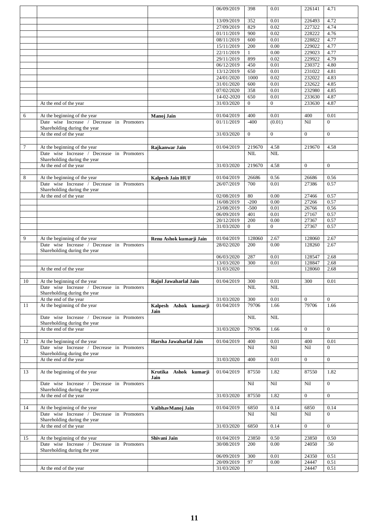|        |                                            |                         | 06/09/2019 | 398                     | 0.01           | 226141         | 4.71           |
|--------|--------------------------------------------|-------------------------|------------|-------------------------|----------------|----------------|----------------|
|        |                                            |                         |            |                         |                |                |                |
|        |                                            |                         |            |                         |                |                | 4.72           |
|        |                                            |                         | 13/09/2019 | 352                     | 0.01           | 226493         |                |
|        |                                            |                         | 27/09/2019 | 829                     | 0.02           | 227322         | 4.74           |
|        |                                            |                         | 01/11/2019 | 900                     | 0.02           | 228222         | 4.76           |
|        |                                            |                         | 08/11/2019 | 600                     | 0.01           | 228822         | 4.77           |
|        |                                            |                         | 15/11/2019 | 200                     | $0.00\,$       | 229022         | 4.77           |
|        |                                            |                         |            |                         |                |                |                |
|        |                                            |                         | 22/11/2019 | $\mathbf{1}$            | 0.00           | 229023         | 4.77           |
|        |                                            |                         | 29/11/2019 | 899                     | 0.02           | 229922         | 4.79           |
|        |                                            |                         | 06/12/2019 | 450                     | 0.01           | 230372         | 4.80           |
|        |                                            |                         | 13/12/2019 | 650                     | 0.01           | 231022         | 4.81           |
|        |                                            |                         | 24/01/2020 | 1000                    | 0.02           | 232022         | 4.83           |
|        |                                            |                         |            |                         |                |                |                |
|        |                                            |                         | 31/01/2020 | 600                     | 0.01           | 232622         | 4.85           |
|        |                                            |                         | 07/02/2020 | 358                     | 0.01           | 232980         | 4.85           |
|        |                                            |                         | 14-02-2020 | 650                     | 0.01           | 233630         | 4.87           |
|        | At the end of the year                     |                         | 31/03/2020 | $\Omega$                | $\overline{0}$ | 233630         | 4.87           |
|        |                                            |                         |            |                         |                |                |                |
|        |                                            |                         |            | 400                     | 0.01           | 400            | 0.01           |
| 6      | At the beginning of the year               | Manoj Jain              | 01/04/2019 |                         |                |                |                |
|        | Date wise Increase / Decrease in Promoters |                         | 01/11/2019 | $-400$                  | (0.01)         | Nil            | $\overline{0}$ |
|        | Shareholding during the year               |                         |            |                         |                |                |                |
|        | At the end of the year                     |                         | 31/03/2020 | $\mathbf{0}$            | $\overline{0}$ | $\Omega$       | $\mathbf{0}$   |
|        |                                            |                         |            |                         |                |                |                |
| $\tau$ | At the beginning of the year               | Rajkanwar Jain          | 01/04/2019 | 219670                  | 4.58           | 219670         | 4.58           |
|        |                                            |                         |            |                         |                |                |                |
|        | Date wise Increase / Decrease in Promoters |                         |            | <b>NIL</b>              | <b>NIL</b>     |                |                |
|        | Shareholding during the year               |                         |            |                         |                |                |                |
|        | At the end of the year                     |                         | 31/03/2020 | 219670                  | 4.58           | $\overline{0}$ | $\overline{0}$ |
|        |                                            |                         |            |                         |                |                |                |
| 8      | At the beginning of the year               | Kalpesh Jain HUF        | 01/04/2019 | 26686                   | 0.56           | 26686          | 0.56           |
|        | Date wise Increase / Decrease in Promoters |                         | 26/07/2019 | 700                     | 0.01           | 27386          | 0.57           |
|        | Shareholding during the year               |                         |            |                         |                |                |                |
|        |                                            |                         |            |                         |                |                |                |
|        | At the end of the year                     |                         | 02/08/2019 | 80                      | 0.00           | 27466          | 0.57           |
|        |                                            |                         | 16/08/2019 | $-200$                  | 0.00           | 27266          | 0.57           |
|        |                                            |                         | 23/08/2019 | $-500$                  | 0.01           | 26766          | 0.56           |
|        |                                            |                         | 06/09/2019 | 401                     | 0.01           | 27167          | 0.57           |
|        |                                            |                         | 20/12/2019 | 200                     | 0.00           | 27367          | 0.57           |
|        |                                            |                         | 31/03/2020 | $\Omega$                | $\Omega$       | 27367          | 0.57           |
|        |                                            |                         |            |                         |                |                |                |
| 9      |                                            |                         | 01/04/2019 | 128060                  | 2.67           | 128060         | 2.67           |
|        | At the beginning of the year               | Renu Ashok kumarji Jain |            |                         |                |                |                |
|        | Date wise Increase / Decrease in Promoters |                         | 28/02/2020 | 200                     | 0.00           | 128260         | 2.67           |
|        | Shareholding during the year               |                         |            |                         |                |                |                |
|        |                                            |                         | 06/03/2020 | 287                     | 0.01           | 128547         | 2.68           |
|        |                                            |                         | 13/03/2020 | 300                     | 0.01           | 128847         | 2.68           |
|        | At the end of the year                     |                         | 31/03/2020 |                         |                | 128060         | 2.68           |
|        |                                            |                         |            |                         |                |                |                |
| 10     | At the beginning of the year               | Rajul Jawaharlal Jain   | 01/04/2019 | 300                     | 0.01           | 300            | 0.01           |
|        |                                            |                         |            | $\overline{\text{NIL}}$ | <b>NIL</b>     |                |                |
|        | Date wise Increase / Decrease in Promoters |                         |            |                         |                |                |                |
|        | Shareholding during the year               |                         |            |                         |                |                |                |
|        | At the end of the year                     |                         | 31/03/2020 | 300                     | 0.01           | $\Omega$       | $\Omega$       |
| 11     | At the beginning of the year               | Kalpesh Ashok kumarji   | 01/04/2019 | 79706                   | 1.66           | 79706          | 1.66           |
|        |                                            | Jain                    |            |                         |                |                |                |
|        | Date wise Increase / Decrease in Promoters |                         |            | $NIL$                   | $\mbox{NIL}$   |                |                |
|        | Shareholding during the year               |                         |            |                         |                |                |                |
|        | At the end of the year                     |                         | 31/03/2020 | 79706                   | 1.66           | $\overline{0}$ | $\overline{0}$ |
|        |                                            |                         |            |                         |                |                |                |
| 12     | At the beginning of the year               | Harsha Jawaharlal Jain  | 01/04/2019 | 400                     | 0.01           | 400            | 0.01           |
|        | Date wise Increase / Decrease in Promoters |                         |            | Nil                     | Nil            | Nil            | $\Omega$       |
|        |                                            |                         |            |                         |                |                |                |
|        | Shareholding during the year               |                         |            |                         |                |                |                |
|        | At the end of the year                     |                         | 31/03/2020 | 400                     | 0.01           | $\Omega$       | $\overline{0}$ |
|        |                                            |                         |            |                         |                |                |                |
| 13     | At the beginning of the year               | Krutika Ashok kumarji   | 01/04/2019 | 87550                   | 1.82           | 87550          | 1.82           |
|        |                                            | Jain                    |            |                         |                |                |                |
|        | Date wise Increase / Decrease in Promoters |                         |            | Nil                     | Nil            | Nil            | $\Omega$       |
|        | Shareholding during the year               |                         |            |                         |                |                |                |
|        | At the end of the year                     |                         | 31/03/2020 | 87550                   | 1.82           | $\Omega$       | $\overline{0}$ |
|        |                                            |                         |            |                         |                |                |                |
|        |                                            |                         |            |                         |                |                |                |
| 14     | At the beginning of the year               | VaibhavManoj Jain       | 01/04/2019 | 6850                    | 0.14           | 6850           | 0.14           |
|        | Date wise Increase / Decrease in Promoters |                         |            | Nil                     | Nil            | Nil            | $\Omega$       |
|        | Shareholding during the year               |                         |            |                         |                |                |                |
|        |                                            |                         |            |                         |                |                |                |
|        | At the end of the year                     |                         | 31/03/2020 | 6850                    | 0.14           | $\Omega$       | $\overline{0}$ |
|        |                                            |                         |            |                         |                |                |                |
|        |                                            |                         |            |                         |                |                |                |
| 15     | At the beginning of the year               | Shivani Jain            | 01/04/2019 | 23850                   | 0.50           | 23850          | 0.50           |
|        | Date wise Increase / Decrease in Promoters |                         | 30/08/2019 | 200                     | 0.00           | 24050          | .50            |
|        | Shareholding during the year               |                         |            |                         |                |                |                |
|        |                                            |                         | 06/09/2019 | 300                     | 0.01           | 24350          | 0.51           |
|        |                                            |                         | 20/09/2019 | 97                      | 0.00           | 24447          | 0.51           |
|        | At the end of the year                     |                         | 31/03/2020 |                         |                | 24447          | 0.51           |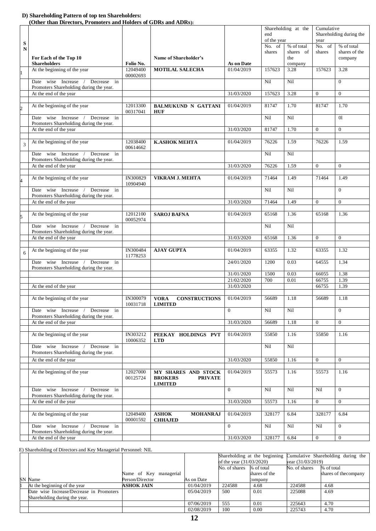#### **D) Shareholding Pattern of top ten Shareholders:**

 **(Other than Directors, Promoters and Holders of GDRs and ADRs):**

|                |                                                                                            |                             |                                                                           |                          | Shareholding at the<br>end<br>of the year |                         | Cumulative<br>Shareholding during the<br>year |                             |
|----------------|--------------------------------------------------------------------------------------------|-----------------------------|---------------------------------------------------------------------------|--------------------------|-------------------------------------------|-------------------------|-----------------------------------------------|-----------------------------|
| ${\bf S}$<br>N |                                                                                            |                             |                                                                           |                          | No. of<br>shares                          | % of total<br>shares of | No. $\overline{of}$<br>shares                 | % of total<br>shares of the |
|                | For Each of the Top 10<br><b>Shareholders</b>                                              | Folio No.                   | Name of Shareholder's                                                     |                          |                                           | the                     |                                               | company                     |
|                | At the beginning of the year                                                               | 12049400<br>00002693        | <b>MOTILAL SALECHA</b>                                                    | As on Date<br>01/04/2019 | 157623                                    | company<br>3.28         | 157623                                        | 3.28                        |
|                | Date wise Increase<br>Decrease in<br>Promoters Shareholding during the year.               |                             |                                                                           |                          | Nil                                       | Nil                     |                                               | $\mathbf{0}$                |
|                | At the end of the year                                                                     |                             |                                                                           | 31/03/2020               | 157623                                    | 3.28                    | $\mathbf{0}$                                  | $\mathbf{0}$                |
| 2              | At the beginning of the year                                                               | 12013300<br>00317041        | <b>BALMUKUND N GATTANI</b><br><b>HUF</b>                                  | 01/04/2019               | 81747                                     | 1.70                    | 81747                                         | 1.70                        |
|                | Date wise Increase /<br>Decrease in<br>Promoters Shareholding during the year.             |                             |                                                                           |                          | Nil                                       | Nil                     |                                               | 0 <sup>1</sup>              |
|                | At the end of the year                                                                     |                             |                                                                           | 31/03/2020               | 81747                                     | 1.70                    | $\mathbf{0}$                                  | $\mathbf{0}$                |
| 3              | At the beginning of the year                                                               | 12038400<br>00614662        | <b>K.ASHOK MEHTA</b>                                                      | 01/04/2019               | 76226                                     | 1.59                    | 76226                                         | 1.59                        |
|                | Date wise Increase<br>Decrease in<br>$\sqrt{ }$<br>Promoters Shareholding during the year. |                             |                                                                           |                          | Nil                                       | Nil                     |                                               |                             |
|                | At the end of the year                                                                     |                             |                                                                           | 31/03/2020               | 76226                                     | 1.59                    | $\mathbf{0}$                                  | $\overline{0}$              |
|                | At the beginning of the year                                                               | <b>IN300829</b><br>10904940 | <b>VIKRAM J. MEHTA</b>                                                    | 01/04/2019               | 71464                                     | 1.49                    | 71464                                         | 1.49                        |
|                | Date wise Increase / Decrease in<br>Promoters Shareholding during the year.                |                             |                                                                           |                          | Nil                                       | Nil                     |                                               | $\Omega$                    |
|                | At the end of the year                                                                     |                             |                                                                           | 31/03/2020               | 71464                                     | 1.49                    | $\mathbf{0}$                                  | $\overline{0}$              |
| 5              | At the beginning of the year                                                               | 12012100<br>00052974        | <b>SAROJ BAFNA</b>                                                        | 01/04/2019               | 65168                                     | 1.36                    | 65168                                         | 1.36                        |
|                | Date wise Increase<br>Decrease in<br>Promoters Shareholding during the year.               |                             |                                                                           |                          | Nil                                       | Nil                     |                                               |                             |
|                | At the end of the year                                                                     |                             |                                                                           | 31/03/2020               | 65168                                     | 1.36                    | $\overline{0}$                                | $\Omega$                    |
| 6              | At the beginning of the year                                                               | IN300484<br>11778253        | <b>AJAY GUPTA</b>                                                         | 01/04/2019               | 63355                                     | 1.32                    | 63355                                         | 1.32                        |
|                | wise Increase<br>Decrease in<br>Date<br>Promoters Shareholding during the year.            |                             |                                                                           | 24/01/2020               | 1200                                      | 0.03                    | 64555                                         | 1.34                        |
|                |                                                                                            |                             |                                                                           | 31/01/2020               | 1500                                      | 0.03                    | 66055                                         | 1.38                        |
|                | At the end of the year                                                                     |                             |                                                                           | 21/02/2020<br>31/03/2020 | 700                                       | 0.01                    | 66755<br>66755                                | 1.39<br>1.39                |
|                |                                                                                            |                             |                                                                           |                          |                                           |                         |                                               |                             |
|                | At the beginning of the year                                                               | IN300079<br>10031718        | <b>CONSTRUCTIONS</b><br><b>VORA</b><br><b>LIMITED</b>                     | 01/04/2019               | 56689                                     | 1.18                    | 56689                                         | 1.18                        |
|                | Date wise Increase / Decrease in<br>Promoters Shareholding during the year.                |                             |                                                                           | $\overline{0}$           | Nil                                       | Nil                     |                                               | $\mathbf{0}$                |
|                | At the end of the year                                                                     |                             |                                                                           | 31/03/2020               | 56689                                     | 1.18                    | $\mathbf{0}$                                  | $\overline{0}$              |
|                | At the beginning of the year                                                               | IN303212<br>10006352        | PEEKAY HOLDINGS PVT<br><b>LTD</b>                                         | 01/04/2019               | 55850                                     | 1.16                    | 55850                                         | 1.16                        |
|                | Date wise Increase<br>Decrease in<br>Promoters Shareholding during the year.               |                             |                                                                           |                          | Nil                                       | Nil                     |                                               |                             |
|                | At the end of the year                                                                     |                             |                                                                           | 31/03/2020               | 55850                                     | 1.16                    | $\Omega$                                      | $\Omega$                    |
|                | At the beginning of the year                                                               | 12027000<br>00125724        | MY SHARES AND STOCK<br><b>BROKERS</b><br><b>PRIVATE</b><br><b>LIMITED</b> | 01/04/2019               | 55573                                     | 1.16                    | 55573                                         | 1.16                        |
|                | Date wise Increase<br>Decrease in<br>Promoters Shareholding during the year.               |                             |                                                                           | $\Omega$                 | Nil                                       | Nil                     | Nil                                           | $\Omega$                    |
|                | At the end of the year                                                                     |                             |                                                                           | 31/03/2020               | 55573                                     | 1.16                    | $\mathbf{0}$                                  | $\overline{0}$              |
|                | At the beginning of the year                                                               | 12049400<br>00001592        | <b>ASHOK</b><br><b>MOHANRAJ</b><br><b>CHHAJED</b>                         | 01/04/2019               | 328177                                    | 6.84                    | 328177                                        | 6.84                        |
|                | Date wise Increase<br>Decrease in<br>Promoters Shareholding during the year.               |                             |                                                                           | $\Omega$                 | Nil                                       | Nil                     | Nil                                           | $\mathbf{0}$                |
|                | At the end of the year                                                                     |                             |                                                                           | 31/03/2020               | 328177                                    | 6.84                    | $\mathbf{0}$                                  | $\mathbf{0}$                |

E) Shareholding of Directors and Key Managerial Personnel: NIL

|     |                                          |                        |            | Shareholding at the beginning |                            | Cumulative Shareholding during the |                       |
|-----|------------------------------------------|------------------------|------------|-------------------------------|----------------------------|------------------------------------|-----------------------|
|     |                                          |                        |            |                               | of the year $(31/03/2020)$ |                                    | year $(31/03/2019)$   |
|     |                                          |                        |            | No. of shares                 | % of total                 | No. of shares                      | % of total            |
|     |                                          | Name of Key managerial |            |                               | shares of the              |                                    | shares of the company |
| SN. | Name                                     | Person/Director        | As on Date |                               | company                    |                                    |                       |
|     | At the beginning of the year             | <b>ASHOK JAIN</b>      | 01/04/2019 | 224588                        | 4.68                       | 224588                             | 4.68                  |
|     | Date wise Increase/Decrease in Promoters |                        | 05/04/2019 | 500                           | 0.01                       | 225088                             | 4.69                  |
|     | Shareholding during the year.            |                        |            |                               |                            |                                    |                       |
|     |                                          |                        | 07/06/2019 | 555                           | 0.01                       | 225643                             | 4.70                  |
|     |                                          |                        | 02/08/2019 | 100                           | 0.00                       | 225743                             | 4.70                  |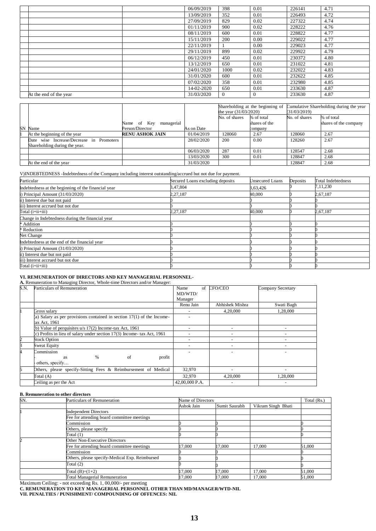|                        | 06/09/2019 | 398      | 0.01         | 226141 | 4.71 |
|------------------------|------------|----------|--------------|--------|------|
|                        | 13/09/2019 | 352      | 0.01         | 226493 | 4.72 |
|                        | 27/09/2019 | 829      | 0.02         | 227322 | 4.74 |
|                        | 01/11/2019 | 900      | 0.02         | 228222 | 4.76 |
|                        | 08/11/2019 | 600      | 0.01         | 228822 | 4.77 |
|                        | 15/11/2019 | 200      | 0.00         | 229022 | 4.77 |
|                        | 22/11/2019 |          | 0.00         | 229023 | 4.77 |
|                        | 29/11/2019 | 899      | 0.02         | 229922 | 4.79 |
|                        | 06/12/2019 | 450      | 0.01         | 230372 | 4.80 |
|                        | 13/12/2019 | 650      | 0.01         | 231022 | 4.81 |
|                        | 24/01/2020 | 1000     | 0.02         | 232022 | 4.83 |
|                        | 31/01/2020 | 600      | 0.01         | 232622 | 4.85 |
|                        | 07/02/2020 | 358      | 0.01         | 232980 | 4.85 |
|                        | 14-02-2020 | 650      | 0.01         | 233630 | 4.87 |
| At the end of the year | 31/03/2020 | $\theta$ | $\mathbf{0}$ | 233630 | 4.87 |
|                        |            |          |              |        |      |

|           |                                          |                        |            | Shareholding at the beginning of |               | Cumulative Shareholding during the year |                       |
|-----------|------------------------------------------|------------------------|------------|----------------------------------|---------------|-----------------------------------------|-----------------------|
|           |                                          |                        |            | the year (31/03/2020)            |               | (31/03/2019)                            |                       |
|           |                                          |                        |            | No. of shares                    | % of total    | No. of shares                           | % of total            |
|           |                                          | Name of Key managerial |            |                                  | shares of the |                                         | shares of the company |
| <b>SN</b> | Name                                     | Person/Director        | As on Date |                                  | company       |                                         |                       |
|           | At the beginning of the year             | <b>RENU ASHOK JAIN</b> | 01/04/2019 | 128060                           | 2.67          | 128060                                  | 2.67                  |
|           | Date wise Increase/Decrease in Promoters |                        | 28/02/2020 | 200                              | 0.00          | 128260                                  | 2.67                  |
|           | Shareholding during the year.            |                        |            |                                  |               |                                         |                       |
|           |                                          |                        | 06/03/2020 | 287                              | 0.01          | 128547                                  | 2.68                  |
|           |                                          |                        | 13/03/2020 | 300                              | 0.01          | 128847                                  | 2.68                  |
|           | At the end of the year                   |                        | 31/03/2020 |                                  |               | 128847                                  | 2.68                  |

#### V)INDEBTEDNESS -Indebtedness of the Company including interest outstanding/accrued but not due for payment.

| Particular                                          | Secured Loans excluding deposits | Unsecured Loans | Deposits | <b>Total Indebtedness</b> |
|-----------------------------------------------------|----------------------------------|-----------------|----------|---------------------------|
| Indebtedness at the beginning of the financial year | 3,47,804                         | 3,63,426        |          | 7,11,230                  |
| $i)$ Principal Amount $(31/03/2020)$                | 2,27,187                         | 40,000          |          | 2,67,187                  |
| ii) Interest due but not paid                       |                                  |                 |          |                           |
| iii) Interest accrued but not due                   |                                  |                 |          |                           |
| Total (i+ii+iii)                                    | 2, 27, 187                       | 40,000          |          | 2,67,187                  |
| Change in Indebtedness during the financial year    |                                  |                 |          |                           |
| * Addition                                          |                                  |                 |          |                           |
| * Reduction                                         |                                  |                 |          |                           |
| Net Change                                          |                                  |                 |          |                           |
| Indebtedness at the end of the financial year       |                                  |                 |          |                           |
| $i)$ Principal Amount $(31/03/2020)$                |                                  |                 |          |                           |
| ii) Interest due but not paid                       |                                  |                 |          |                           |
| iii) Interest accrued but not due                   |                                  |                 |          |                           |
| $Total (i+i+i)$                                     |                                  |                 |          |                           |

#### **VI. REMUNERATION OF DIRECTORS AND KEY MANAGERIAL PERSONNEL-**

#### **A.** Remuneration to Managing Director, Whole-time Directors and/or Manager:

| S.N. | Particulars of Remuneration                                              | of<br>Name               | CFO/CEO         | Company Secretary |
|------|--------------------------------------------------------------------------|--------------------------|-----------------|-------------------|
|      |                                                                          | MD/WTD/                  |                 |                   |
|      |                                                                          | Manager                  |                 |                   |
|      |                                                                          | Renu Jain                | Abhishek Mishra | Swati Bagh        |
|      | Gross salary                                                             |                          | 4,20,000        | 1,28,000          |
|      | (a) Salary as per provisions contained in section $17(1)$ of the Income- |                          |                 |                   |
|      | tax Act, 1961                                                            |                          |                 |                   |
|      | (b) Value of perquisites $u/s$ 17(2) Income-tax Act, 1961                | ٠                        | ٠               |                   |
|      | (c) Profits in lieu of salary under section 17(3) Income- tax Act, 1961  | $\overline{\phantom{a}}$ |                 |                   |
|      | <b>Stock Option</b>                                                      |                          |                 |                   |
|      | Sweat Equity                                                             |                          |                 |                   |
|      | Commission                                                               |                          |                 |                   |
|      | $\%$<br>profit<br>of<br>as                                               |                          |                 |                   |
|      | others, specify                                                          |                          |                 |                   |
|      | Others, please specify-Sitting Fees & Reimbursement of Medical           | 32,970                   |                 |                   |
|      | Total $(A)$                                                              | 32,970                   | 4,20,000        | 1,28,000          |
|      | Ceiling as per the Act                                                   | 42,00,000 P.A.           |                 |                   |

#### **B. Remuneration to other directors**

| SN. | Particulars of Remuneration                    |            | Name of Directors |                    |        |  |
|-----|------------------------------------------------|------------|-------------------|--------------------|--------|--|
|     |                                                | Ashok Jain | Sumit Saurabh     | Vikram Singh Bhati |        |  |
|     | <b>Independent Directors</b>                   |            |                   |                    |        |  |
|     | Fee for attending board committee meetings     |            |                   |                    |        |  |
|     | Commission                                     |            |                   |                    |        |  |
|     | Others, please specify                         |            |                   |                    |        |  |
|     | Total $(1)$                                    |            |                   |                    |        |  |
|     | Other Non-Executive Directors                  |            |                   |                    |        |  |
|     | Fee for attending board committee meetings     | 7.000      | 17,000            | 17.000             | 51,000 |  |
|     | Commission                                     |            |                   |                    |        |  |
|     | Others, please specify-Medical Exp. Reimbursed |            |                   |                    |        |  |
|     | Total $(2)$                                    |            |                   |                    |        |  |
|     | Total $(B)=(1+2)$                              | 17,000     | 17,000            | 17,000             | 51,000 |  |
|     | <b>Total Managerial Remuneration</b>           | 17.000     | 17.000            | 17,000             | 51,000 |  |

Maximum Ceiling: - not exceeding Rs. 1, 00,000/- per meeting

**C. REMUNERATION TO KEY MANAGERIAL PERSONNEL OTHER THAN MD/MANAGER/WTD-NIL**

**VII. PENALTIES / PUNISHMENT/ COMPOUNDING OF OFFENCES: NIL**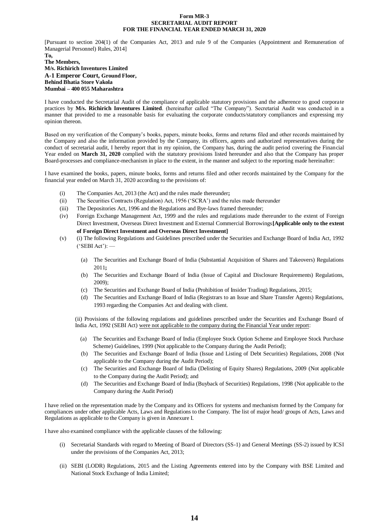#### **Form MR-3 SECRETARIAL AUDIT REPORT FOR THE FINANCIAL YEAR ENDED MARCH 31, 2020**

[Pursuant to section 204(1) of the Companies Act, 2013 and rule 9 of the Companies (Appointment and Remuneration of Managerial Personnel) Rules, 2014]

#### **To, The Members, M/s. Richirich Inventures Limited A-1 Emperor Court, Ground Floor, Behind Bhatia Store Vakola Mumbai – 400 055 Maharashtra**

I have conducted the Secretarial Audit of the compliance of applicable statutory provisions and the adherence to good corporate practices by **M/s. Richirich Inventures Limited**. (hereinafter called "The Company"). Secretarial Audit was conducted in a manner that provided to me a reasonable basis for evaluating the corporate conducts/statutory compliances and expressing my opinion thereon.

Based on my verification of the Company's books, papers, minute books, forms and returns filed and other records maintained by the Company and also the information provided by the Company, its officers, agents and authorized representatives during the conduct of secretarial audit, I hereby report that in my opinion, the Company has, during the audit period covering the Financial Year ended on **March 31, 2020** complied with the statutory provisions listed hereunder and also that the Company has proper Board-processes and compliance-mechanism in place to the extent, in the manner and subject to the reporting made hereinafter:

I have examined the books, papers, minute books, forms and returns filed and other records maintained by the Company for the financial year ended on March 31, 2020 according to the provisions of:

- (i) The Companies Act, 2013 (the Act) and the rules made thereunder**;**
- (ii) The Securities Contracts (Regulation) Act, 1956 ('SCRA') and the rules made thereunder
- (iii) The Depositories Act, 1996 and the Regulations and Bye-laws framed thereunder;
- (iv) Foreign Exchange Management Act, 1999 and the rules and regulations made thereunder to the extent of Foreign Direct Investment, Overseas Direct Investment and External Commercial Borrowings**[Applicable only to the extent of Foreign Direct Investment and Overseas Direct Investment]**
- (v) (i) The following Regulations and Guidelines prescribed under the Securities and Exchange Board of India Act, 1992  $('SEBI Act'):$ 
	- (a) The Securities and Exchange Board of India (Substantial Acquisition of Shares and Takeovers) Regulations 2011**;**
	- (b) The Securities and Exchange Board of India (Issue of Capital and Disclosure Requirements) Regulations, 2009);
	- (c) The Securities and Exchange Board of India (Prohibition of Insider Trading) Regulations, 2015;
	- (d) The Securities and Exchange Board of India (Registrars to an Issue and Share Transfer Agents) Regulations, 1993 regarding the Companies Act and dealing with client.

(ii) Provisions of the following regulations and guidelines prescribed under the Securities and Exchange Board of India Act, 1992 (SEBI Act) were not applicable to the company during the Financial Year under report:

- (a) The Securities and Exchange Board of India (Employee Stock Option Scheme and Employee Stock Purchase Scheme) Guidelines, 1999 (Not applicable to the Company during the Audit Period);
- (b) The Securities and Exchange Board of India (Issue and Listing of Debt Securities) Regulations, 2008 (Not applicable to the Company during the Audit Period);
- (c) The Securities and Exchange Board of India (Delisting of Equity Shares) Regulations, 2009 (Not applicable to the Company during the Audit Period); and
- (d) The Securities and Exchange Board of India (Buyback of Securities) Regulations, 1998 (Not applicable to the Company during the Audit Period)

I have relied on the representation made by the Company and its Officers for systems and mechanism formed by the Company for compliances under other applicable Acts, Laws and Regulations to the Company. The list of major head/ groups of Acts, Laws and Regulations as applicable to the Company is given in Annexure I.

I have also examined compliance with the applicable clauses of the following:

- (i) Secretarial Standards with regard to Meeting of Board of Directors (SS-1) and General Meetings (SS-2) issued by ICSI under the provisions of the Companies Act, 2013;
- (ii) SEBI (LODR) Regulations, 2015 and the Listing Agreements entered into by the Company with BSE Limited and National Stock Exchange of India Limited;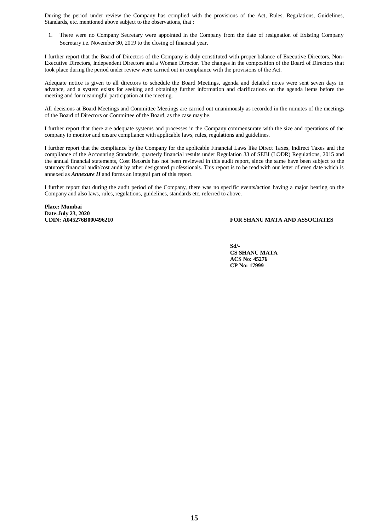During the period under review the Company has complied with the provisions of the Act, Rules, Regulations, Guidelines, Standards, etc. mentioned above subject to the observations, that :

1. There were no Company Secretary were appointed in the Company from the date of resignation of Existing Company Secretary i.e. November 30, 2019 to the closing of financial year.

I further report that the Board of Directors of the Company is duly constituted with proper balance of Executive Directors, Non-Executive Directors, Independent Directors and a Woman Director. The changes in the composition of the Board of Directors that took place during the period under review were carried out in compliance with the provisions of the Act.

Adequate notice is given to all directors to schedule the Board Meetings, agenda and detailed notes were sent seven days in advance, and a system exists for seeking and obtaining further information and clarifications on the agenda items before the meeting and for meaningful participation at the meeting.

All decisions at Board Meetings and Committee Meetings are carried out unanimously as recorded in the minutes of the meetings of the Board of Directors or Committee of the Board, as the case may be.

I further report that there are adequate systems and processes in the Company commensurate with the size and operations of the company to monitor and ensure compliance with applicable laws, rules, regulations and guidelines.

I further report that the compliance by the Company for the applicable Financial Laws like Direct Taxes, Indirect Taxes and the compliance of the Accounting Standards, quarterly financial results under Regulation 33 of SEBI (LODR) Regulations, 2015 and the annual financial statements, Cost Records has not been reviewed in this audit report, since the same have been subject to the statutory financial audit/cost audit by other designated professionals. This report is to be read with our letter of even date which is annexed as *Annexure II* and forms an integral part of this report.

I further report that during the audit period of the Company, there was no specific events/action having a major bearing on the Company and also laws, rules, regulations, guidelines, standards etc. referred to above.

**Place: Mumbai Date:July 23, 2020**

## **UDIN: A045276B000496210 FOR SHANU MATA AND ASSOCIATES**

**Sd/- CS SHANU MATA ACS No: 45276 CP No: 17999**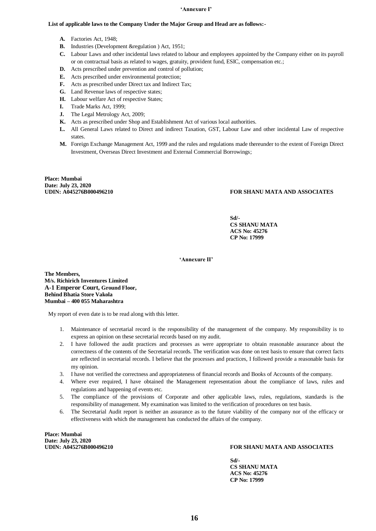#### **'Annexure I'**

#### **List of applicable laws to the Company Under the Major Group and Head are as follows:-**

- **A.** Factories Act, 1948;
- **B.** Industries (Development & regulation ) Act, 1951;
- **C.** Labour Laws and other incidental laws related to labour and employees appointed by the Company either on its payroll or on contractual basis as related to wages, gratuity, provident fund, ESIC, compensation etc.;
- **D.** Acts prescribed under prevention and control of pollution;
- **E.** Acts prescribed under environmental protection;
- **F.** Acts as prescribed under Direct tax and Indirect Tax;
- **G.** Land Revenue laws of respective states;
- **H.** Labour welfare Act of respective States;
- **I.** Trade Marks Act, 1999;
- **J.** The Legal Metrology Act, 2009;
- **K.** Acts as prescribed under Shop and Establishment Act of various local authorities.
- **L.** All General Laws related to Direct and indirect Taxation, GST, Labour Law and other incidental Law of respective states.
- **M.** Foreign Exchange Management Act, 1999 and the rules and regulations made thereunder to the extent of Foreign Direct Investment, Overseas Direct Investment and External Commercial Borrowings;

**Place: Mumbai Date: July 23, 2020**

## FOR SHANU MATA AND ASSOCIATES

**Sd/- CS SHANU MATA ACS No: 45276 CP No: 17999**

**'Annexure II'**

**The Members, M/s. Richirich Inventures Limited A-1 Emperor Court, Ground Floor, Behind Bhatia Store Vakola Mumbai – 400 055 Maharashtra**

My report of even date is to be read along with this letter.

- 1. Maintenance of secretarial record is the responsibility of the management of the company. My responsibility is to express an opinion on these secretarial records based on my audit.
- 2. I have followed the audit practices and processes as were appropriate to obtain reasonable assurance about the correctness of the contents of the Secretarial records. The verification was done on test basis to ensure that correct facts are reflected in secretarial records. I believe that the processes and practices, I followed provide a reasonable basis for my opinion.
- 3. I have not verified the correctness and appropriateness of financial records and Books of Accounts of the company.
- 4. Where ever required, I have obtained the Management representation about the compliance of laws, rules and regulations and happening of events etc.
- 5. The compliance of the provisions of Corporate and other applicable laws, rules, regulations, standards is the responsibility of management. My examination was limited to the verification of procedures on test basis.
- 6. The Secretarial Audit report is neither an assurance as to the future viability of the company nor of the efficacy or effectiveness with which the management has conducted the affairs of the company.

**Place: Mumbai Date: July 23, 2020**

#### FOR SHANU MATA AND ASSOCIATES

 **Sd/- CS SHANU MATA ACS No: 45276 CP No: 17999**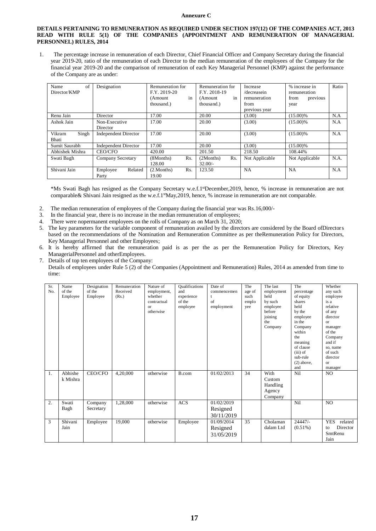#### **Annexure C**

#### **DETAILS PERTAINING TO REMUNERATION AS REQUIRED UNDER SECTION 197(12) OF THE COMPANIES ACT, 2013 READ WITH RULE 5(1) OF THE COMPANIES (APPOINTMENT AND REMUNERATION OF MANAGERIAL PERSONNEL) RULES, 2014**

1. The percentage increase in remuneration of each Director, Chief Financial Officer and Company Secretary during the financial year 2019-20, ratio of the remuneration of each Director to the median remuneration of the employees of the Company for the financial year 2019-20 and the comparison of remuneration of each Key Managerial Personnel (KMP) against the performance of the Company are as under:

| of<br>Name      | Designation                 | Remuneration for   | Remuneration for | Increase       | % increase in    | Ratio |
|-----------------|-----------------------------|--------------------|------------------|----------------|------------------|-------|
| Director/KMP    |                             | F.Y. 2019-20       | F.Y. 2018-19     | /decreasein    | remuneration     |       |
|                 |                             | in<br>(Amount      | in<br>(Amount)   | remuneration   | from<br>previous |       |
|                 |                             | thousand.)         | thousand.)       | from           | year             |       |
|                 |                             |                    |                  | previous year  |                  |       |
| Renu Jain       | Director                    | 17.00              | 20.00            | (3.00)         | $(15.00)\%$      | N.A   |
| Ashok Jain      | Non-Executive               | 17.00              | 20.00            | (3.00)         | $(15.00)\%$      | N.A   |
|                 | Director                    |                    |                  |                |                  |       |
| Singh<br>Vikram | <b>Independent Director</b> | 17.00              | 20.00            | (3.00)         | $(15.00)\%$      | N.A   |
| Bhati           |                             |                    |                  |                |                  |       |
| Sumit Saurabh   | <b>Independent Director</b> | 17.00              | 20.00            | (3.00)         | $(15.00)\%$      |       |
| Abhishek Mishra | <b>CEO/CFO</b>              | 420.00             | 201.50           | 218.50         | 108.44%          |       |
| Swati Bagh      | Company Secretary           | (8Months)<br>Rs.   | Rs.<br>(2Months) | Not Applicable | Not Applicable   | N.A.  |
|                 |                             | 128.00             | $32.00/-$        |                |                  |       |
| Shivani Jain    | Employee<br>Related         | Rs.<br>(2.Monthly) | 123.50           | <b>NA</b>      | <b>NA</b>        | N.A   |
|                 | Party                       | 19.00              |                  |                |                  |       |

\*Ms Swati Bagh has resigned as the Company Secretary w.e.f.1 stDecember,2019, hence, % increase in remuneration are not comparable& Shivani Jain resigned as the w.e.f.1<sup>st</sup>May,2019, hence, % increase in remuneration are not comparable.

- 2. The median remuneration of employees of the Company during the financial year was Rs.16,000/-
- 3. In the financial year, there is no increase in the median remuneration of employees;
- 4. There were nopermanent employees on the rolls of Company as on March 31, 2020;
- 5. The key parameters for the variable component of remuneration availed by the directors are considered by the Board ofDirectors based on the recommendations of the Nomination and Remuneration Committee as per theRemuneration Policy for Directors, Key Managerial Personnel and other Employees;
- 6. It is hereby affirmed that the remuneration paid is as per the as per the Remuneration Policy for Directors, Key ManagerialPersonnel and otherEmployees.
- 7. Details of top ten employees of the Company:
	- Details of employees under Rule 5 (2) of the Companies (Appointment and Remuneration) Rules, 2014 as amended from time to time:

| Sr.<br>No. | Name<br>of the<br>Employee | Designation<br>of the<br>Employee | Remuneration<br>Received<br>(Rs.) | Nature of<br>employment,<br>whether<br>contractual<br>$\alpha$<br>otherwise | <b>Qualifications</b><br>and<br>experience<br>of the<br>employee | Date of<br>commencemen<br>t<br>of<br>employment | The<br>age of<br>such<br>emplo<br>yee | The last<br>employment<br>held<br>by such<br>employee<br>before<br>joining<br>the<br>Company | The<br>percentage<br>of equity<br>shares<br>held<br>by the<br>employee<br>in the<br>Company<br>within<br>the<br>meaning<br>of clause<br>$(iii)$ of<br>sub-rule<br>$(2)$ above,<br>and | Whether<br>any such<br>employee<br>is a<br>relative<br>of any<br>director<br>$\alpha$<br>manager<br>of the<br>Company<br>and if<br>so, name<br>of such<br>director<br><b>or</b><br>manager |
|------------|----------------------------|-----------------------------------|-----------------------------------|-----------------------------------------------------------------------------|------------------------------------------------------------------|-------------------------------------------------|---------------------------------------|----------------------------------------------------------------------------------------------|---------------------------------------------------------------------------------------------------------------------------------------------------------------------------------------|--------------------------------------------------------------------------------------------------------------------------------------------------------------------------------------------|
| 1.         | Abhishe<br>k Mishra        | CEO/CFO                           | 4,20,000                          | otherwise                                                                   | B.com                                                            | 01/02/2013                                      | 34                                    | With<br>Custom<br>Handling<br>Agency<br>Company                                              | Nil                                                                                                                                                                                   | NO.                                                                                                                                                                                        |
| 2.         | Swati<br>Bagh              | Company<br>Secretary              | 1,28,000                          | otherwise                                                                   | <b>ACS</b>                                                       | 01/02/2019<br>Resigned<br>30/11/2019            |                                       |                                                                                              | Nil                                                                                                                                                                                   | NO.                                                                                                                                                                                        |
| 3          | Shivani<br>Jain            | Employee                          | 19,000                            | otherwise                                                                   | Employee                                                         | 01/09/2014<br>Resigned<br>31/05/2019            | 35                                    | Cholaman<br>dalam Ltd                                                                        | $24447/-$<br>$(0.51\%)$                                                                                                                                                               | <b>YES</b><br>related<br>Director<br>to<br>SmtRenu<br>Jain                                                                                                                                 |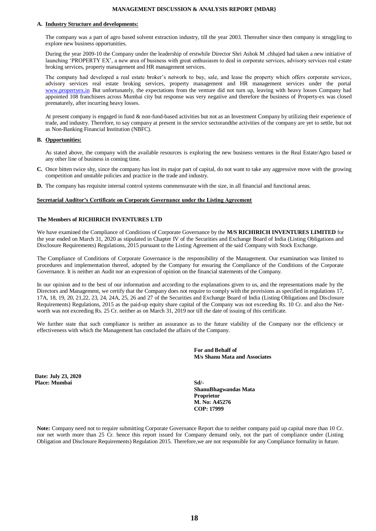#### **MANAGEMENT DISCUSSION & ANALYSIS REPORT {MDAR}**

#### **A. Industry Structure and developments:**

The company was a part of agro based solvent extraction industry, till the year 2003. Thereafter since then company is struggling to explore new business opportunities.

During the year 2009-10 the Company under the leadership of erstwhile Director Shri Ashok M .chhajed had taken a new initiative of launching 'PROPERTY EX', a new area of business with great enthusiasm to deal in corporate services, advisory services real estate broking services, property management and HR management services.

The company had developed a real estate broker's network to buy, sale, and lease the property which offers corporate services, advisory services real estate broking services, property management and HR management services under the portal [www.propertyex.in](http://www.propertyex.in/) But unfortunately, the expectations from the venture did not turn up, leaving with heavy losses Company had appointed 108 franchisees across Mumbai city but response was very negative and therefore the business of Property-ex was closed prematurely, after incurring heavy losses.

At present company is engaged in fund & non-fund-based activities but not as an Investment Company by utilizing their experience of trade, and industry. Therefore, to say company at present in the service sectorandthe activities of the company are yet to settle, but not as Non-Banking Financial Institution (NBFC).

#### **B. Opportunities:**

As stated above, the company with the available resources is exploring the new business ventures in the Real Estate/Agro based or any other line of business in coming time.

- **C.** Once bitten twice shy, since the company has lost its major part of capital, do not want to take any aggressive move with the growing competition and unstable policies and practice in the trade and industry.
- **D.** The company has requisite internal control systems commensurate with the size, in all financial and functional areas.

#### **Secretarial Auditor's Certificate on Corporate Governance under the Listing Agreement**

#### **The Members of RICHIRICH INVENTURES LTD**

We have examined the Compliance of Conditions of Corporate Governance by the **M/S RICHIRICH INVENTURES LIMITED** for the year ended on March 31, 2020 as stipulated in Chapter IV of the Securities and Exchange Board of India (Listing Obligations and Disclosure Requirements) Regulations, 2015 pursuant to the Listing Agreement of the said Company with Stock Exchange.

The Compliance of Conditions of Corporate Governance is the responsibility of the Management. Our examination was limited to procedures and implementation thereof, adopted by the Company for ensuring the Compliance of the Conditions of the Corporate Governance. It is neither an Audit nor an expression of opinion on the financial statements of the Company.

In our opinion and to the best of our information and according to the explanations given to us, and the representations made by the Directors and Management, we certify that the Company does not require to comply with the provisions as specified in regulations 17, 17A, 18, 19, 20, 21,22, 23, 24, 24A, 25, 26 and 27 of the Securities and Exchange Board of India (Listing Obligations and Disclosure Requirements) Regulations, 2015 as the paid-up equity share capital of the Company was not exceeding Rs. 10 Cr. and also the Networth was not exceeding Rs. 25 Cr. neither as on March 31, 2019 nor till the date of issuing of this certificate.

We further state that such compliance is neither an assurance as to the future viability of the Company nor the efficiency or effectiveness with which the Management has concluded the affairs of the Company.

> **For and Behalf of M/s Shanu Mata and Associates**

**Date: July 23, 2020 Place: Mumbai**

**Sd/- ShanuBhagwandas Mata Proprietor M. No: A45276 COP: 17999**

**Note:** Company need not to require submitting Corporate Governance Report due to neither company paid up capital more than 10 Cr. nor net worth more than 25 Cr. hence this report issued for Company demand only, not the part of compliance under (Listing Obligation and Disclosure Requirements) Regulation 2015. Therefore,we are not responsible for any Compliance formality in future.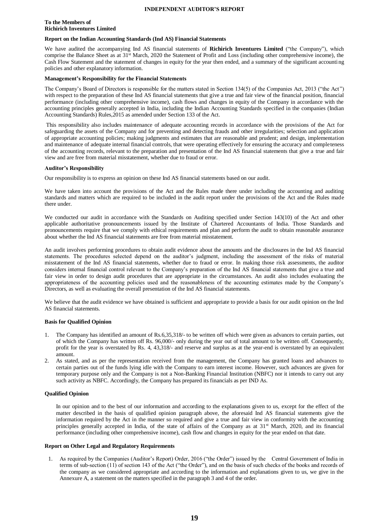#### **INDEPENDENT AUDITOR'S REPORT**

#### **To the Members of Richirich Inventures Limited**

#### **Report on the Indian Accounting Standards (Ind AS) Financial Statements**

We have audited the accompanying Ind AS financial statements of **Richirich Inventures Limited** ("the Company"), which comprise the Balance Sheet as at 31<sup>st</sup> March, 2020 the Statement of Profit and Loss (including other comprehensive income), the Cash Flow Statement and the statement of changes in equity for the year then ended, and a summary of the significant accounting policies and other explanatory information.

#### **Management's Responsibility for the Financial Statements**

The Company's Board of Directors is responsible for the matters stated in Section 134(5) of the Companies Act, 2013 ("the Act") with respect to the preparation of these Ind AS financial statements that give a true and fair view of the financial position, financial performance (including other comprehensive income), cash flows and changes in equity of the Company in accordance with the accounting principles generally accepted in India, including the Indian Accounting Standards specified in the companies (Indian Accounting Standards) Rules,2015 as amended under Section 133 of the Act.

This responsibility also includes maintenance of adequate accounting records in accordance with the provisions of the Act for safeguarding the assets of the Company and for preventing and detecting frauds and other irregularities; selection and application of appropriate accounting policies; making judgments and estimates that are reasonable and prudent; and design, implementation and maintenance of adequate internal financial controls, that were operating effectively for ensuring the accuracy and completeness of the accounting records, relevant to the preparation and presentation of the Ind AS financial statements that give a true and fair view and are free from material misstatement, whether due to fraud or error.

#### **Auditor's Responsibility**

Our responsibility is to express an opinion on these Ind AS financial statements based on our audit.

We have taken into account the provisions of the Act and the Rules made there under including the accounting and auditing standards and matters which are required to be included in the audit report under the provisions of the Act and the Rules made there under.

We conducted our audit in accordance with the Standards on Auditing specified under Section 143(10) of the Act and other applicable authoritative pronouncements issued by the Institute of Chartered Accountants of India. Those Standards and pronouncements require that we comply with ethical requirements and plan and perform the audit to obtain reasonable assurance about whether the Ind AS financial statements are free from material misstatement.

An audit involves performing procedures to obtain audit evidence about the amounts and the disclosures in the Ind AS financial statements. The procedures selected depend on the auditor's judgment, including the assessment of the risks of material misstatement of the Ind AS financial statements, whether due to fraud or error. In making those risk assessments, the auditor considers internal financial control relevant to the Company's preparation of the Ind AS financial statements that give a true and fair view in order to design audit procedures that are appropriate in the circumstances. An audit also includes evaluating the appropriateness of the accounting policies used and the reasonableness of the accounting estimates made by the Company's Directors, as well as evaluating the overall presentation of the Ind AS financial statements.

We believe that the audit evidence we have obtained is sufficient and appropriate to provide a basis for our audit opinion on the Ind AS financial statements.

#### **Basis for Qualified Opinion**

- 1. The Company has identified an amount of Rs.6,35,318/- to be written off which were given as advances to certain parties, out of which the Company has written off Rs. 96,000/- only during the year out of total amount to be written off. Consequently, profit for the year is overstated by Rs. 4, 43,318/- and reserve and surplus as at the year-end is overstated by an equivalent amount.
- 2. As stated, and as per the representation received from the management, the Company has granted loans and advances to certain parties out of the funds lying idle with the Company to earn interest income. However, such advances are given for temporary purpose only and the Company is not a Non-Banking Financial Institution (NBFC) nor it intends to carry out any such activity as NBFC. Accordingly, the Company has prepared its financials as per IND As.

#### **Qualified Opinion**

In our opinion and to the best of our information and according to the explanations given to us, except for the effect of the matter described in the basis of qualified opinion paragraph above, the aforesaid Ind AS financial statements give the information required by the Act in the manner so required and give a true and fair view in conformity with the accounting principles generally accepted in India, of the state of affairs of the Company as at  $31<sup>st</sup>$  March, 2020, and its financial performance (including other comprehensive income), cash flow and changes in equity for the year ended on that date.

#### **Report on Other Legal and Regulatory Requirements**

1. As required by the Companies (Auditor's Report) Order, 2016 ("the Order") issued by the Central Government of India in terms of sub-section (11) of section 143 of the Act ("the Order"), and on the basis of such checks of the books and records of the company as we considered appropriate and according to the information and explanations given to us, we give in the Annexure A, a statement on the matters specified in the paragraph 3 and 4 of the order.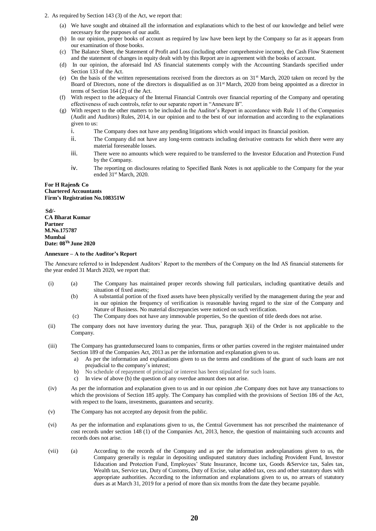- 2. As required by Section 143 (3) of the Act, we report that:
	- (a) We have sought and obtained all the information and explanations which to the best of our knowledge and belief were necessary for the purposes of our audit.
	- (b) In our opinion, proper books of account as required by law have been kept by the Company so far as it appears from our examination of those books.
	- (c) The Balance Sheet, the Statement of Profit and Loss (including other comprehensive income), the Cash Flow Statement and the statement of changes in equity dealt with by this Report are in agreement with the books of account.
	- (d) In our opinion, the aforesaid Ind AS financial statements comply with the Accounting Standards specified under Section 133 of the Act.
	- (e) On the basis of the written representations received from the directors as on  $31<sup>st</sup>$  March, 2020 taken on record by the Board of Directors, none of the directors is disqualified as on 31<sup>st</sup> March, 2020 from being appointed as a director in terms of Section 164 (2) of the Act.
	- (f) With respect to the adequacy of the Internal Financial Controls over financial reporting of the Company and operating effectiveness of such controls, refer to our separate report in "Annexure B".
	- (g) With respect to the other matters to be included in the Auditor's Report in accordance with Rule 11 of the Companies (Audit and Auditors) Rules, 2014, in our opinion and to the best of our information and according to the explanations given to us:
		- i. The Company does not have any pending litigations which would impact its financial position.
		- ii. The Company did not have any long-term contracts including derivative contracts for which there were any material foreseeable losses.
		- iii. There were no amounts which were required to be transferred to the Investor Education and Protection Fund by the Company.
		- iv. The reporting on disclosures relating to Specified Bank Notes is not applicable to the Company for the year ended 31st March, 2020.

#### **For H Rajen& Co Chartered Accountants Firm's Registration No.108351W**

**Sd/- CA Bharat Kumar Partner M.No.175787 Mumbai Date: 08 Th June 2020**

#### **Annexure – A to the Auditor's Report**

The Annexure referred to in Independent Auditors' Report to the members of the Company on the Ind AS financial statements for the year ended 31 March 2020, we report that:

- (i) (a) The Company has maintained proper records showing full particulars, including quantitative details and situation of fixed assets;
	- (b) A substantial portion of the fixed assets have been physically verified by the management during the year and in our opinion the frequency of verification is reasonable having regard to the size of the Company and Nature of Business. No material discrepancies were noticed on such verification.
	- (c) The Company does not have any immovable properties, So the question of title deeds does not arise.
- (ii) The company does not have inventory during the year. Thus, paragraph 3(ii) of the Order is not applicable to the Company.
- (iii) The Company has grantedunsecured loans to companies, firms or other parties covered in the register maintained under Section 189 of the Companies Act, 2013 as per the information and explanation given to us.
	- a) As per the information and explanations given to us the terms and conditions of the grant of such loans are not prejudicial to the company's interest;
	- b) No schedule of repayment of principal or interest has been stipulated for such loans.
	- c) In view of above (b) the question of any overdue amount does not arise.
- (iv) As per the information and explanation given to us and in our opinion ,the Company does not have any transactions to which the provisions of Section 185 apply. The Company has complied with the provisions of Section 186 of the Act, with respect to the loans, investments, guarantees and security.
- (v) The Company has not accepted any deposit from the public.
- (vi) As per the information and explanations given to us, the Central Government has not prescribed the maintenance of cost records under section 148 (1) of the Companies Act, 2013, hence, the question of maintaining such accounts and records does not arise.
- (vii) (a) According to the records of the Company and as per the information andexplanations given to us, the Company generally is regular in depositing undisputed statutory dues including Provident Fund, Investor Education and Protection Fund, Employees' State Insurance, Income tax, Goods &Service tax, Sales tax, Wealth tax, Service tax, Duty of Customs, Duty of Excise, value added tax, cess and other statutory dues with appropriate authorities. According to the information and explanations given to us, no arrears of statutory dues as at March 31, 2019 for a period of more than six months from the date they became payable.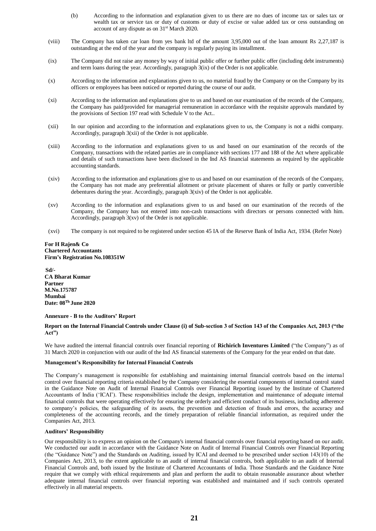- (b) According to the information and explanation given to us there are no dues of income tax or sales tax or wealth tax or service tax or duty of customs or duty of excise or value added tax or cess outstanding on account of any dispute as on 31st March 2020.
- (viii) The Company has taken car loan from yes bank ltd of the amount 3,95,000 out of the loan amount Rs 2,27,187 is outstanding at the end of the year and the company is regularly paying its installment.
- (ix) The Company did not raise any money by way of initial public offer or further public offer (including debt instruments) and term loans during the year. Accordingly, paragraph 3(ix) of the Order is not applicable.
- (x) According to the information and explanations given to us, no material fraud by the Company or on the Company by its officers or employees has been noticed or reported during the course of our audit.
- (xi) According to the information and explanations give to us and based on our examination of the records of the Company, the Company has paid/provided for managerial remuneration in accordance with the requisite approvals mandated by the provisions of Section 197 read with Schedule V to the Act..
- (xii) In our opinion and according to the information and explanations given to us, the Company is not a nidhi company. Accordingly, paragraph 3(xii) of the Order is not applicable.
- (xiii) According to the information and explanations given to us and based on our examination of the records of the Company, transactions with the related parties are in compliance with sections 177 and 188 of the Act where applicable and details of such transactions have been disclosed in the Ind AS financial statements as required by the applicable accounting standards.
- (xiv) According to the information and explanations give to us and based on our examination of the records of the Company, the Company has not made any preferential allotment or private placement of shares or fully or partly convertible debentures during the year. Accordingly, paragraph 3(xiv) of the Order is not applicable.
- (xv) According to the information and explanations given to us and based on our examination of the records of the Company, the Company has not entered into non-cash transactions with directors or persons connected with him. Accordingly, paragraph 3(xv) of the Order is not applicable.
- (xvi) The company is not required to be registered under section 45 IA of the Reserve Bank of India Act, 1934. (Refer Note)

#### **For H Rajen& Co Chartered Accountants Firm's Registration No.108351W**

**Sd/- CA Bharat Kumar Partner M.No.175787 Mumbai Date: 08 Th June 2020**

#### **Annexure - B to the Auditors' Report**

#### **Report on the Internal Financial Controls under Clause (i) of Sub-section 3 of Section 143 of the Companies Act, 2013 ("the Act")**

We have audited the internal financial controls over financial reporting of **Richirich Inventures Limited** ("the Company") as of 31 March 2020 in conjunction with our audit of the Ind AS financial statements of the Company for the year ended on that date.

#### **Management's Responsibility for Internal Financial Controls**

The Company's management is responsible for establishing and maintaining internal financial controls based on the internal control over financial reporting criteria established by the Company considering the essential components of internal control stated in the Guidance Note on Audit of Internal Financial Controls over Financial Reporting issued by the Institute of Chartered Accountants of India ('ICAI'). These responsibilities include the design, implementation and maintenance of adequate internal financial controls that were operating effectively for ensuring the orderly and efficient conduct of its business, including adherence to company's policies, the safeguarding of its assets, the prevention and detection of frauds and errors, the accuracy and completeness of the accounting records, and the timely preparation of reliable financial information, as required under the Companies Act, 2013.

#### **Auditors' Responsibility**

Our responsibility is to express an opinion on the Company's internal financial controls over financial reporting based on our audit. We conducted our audit in accordance with the Guidance Note on Audit of Internal Financial Controls over Financial Reporting (the "Guidance Note") and the Standards on Auditing, issued by ICAI and deemed to be prescribed under section 143(10) of the Companies Act, 2013, to the extent applicable to an audit of internal financial controls, both applicable to an audit of Internal Financial Controls and, both issued by the Institute of Chartered Accountants of India. Those Standards and the Guidance Note require that we comply with ethical requirements and plan and perform the audit to obtain reasonable assurance about whether adequate internal financial controls over financial reporting was established and maintained and if such controls operated effectively in all material respects.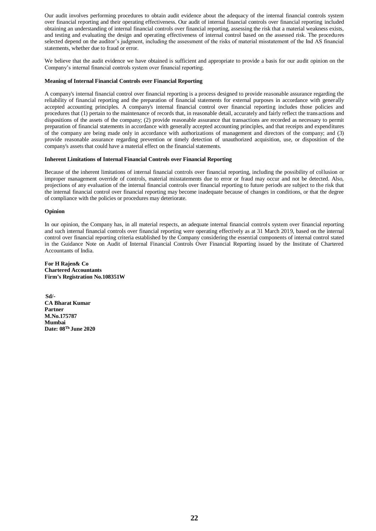Our audit involves performing procedures to obtain audit evidence about the adequacy of the internal financial controls system over financial reporting and their operating effectiveness. Our audit of internal financial controls over financial reporting included obtaining an understanding of internal financial controls over financial reporting, assessing the risk that a material weakness exists, and testing and evaluating the design and operating effectiveness of internal control based on the assessed risk. The procedures selected depend on the auditor's judgment, including the assessment of the risks of material misstatement of the Ind AS financial statements, whether due to fraud or error.

We believe that the audit evidence we have obtained is sufficient and appropriate to provide a basis for our audit opinion on the Company's internal financial controls system over financial reporting.

#### **Meaning of Internal Financial Controls over Financial Reporting**

A company's internal financial control over financial reporting is a process designed to provide reasonable assurance regarding the reliability of financial reporting and the preparation of financial statements for external purposes in accordance with generally accepted accounting principles. A company's internal financial control over financial reporting includes those policies and procedures that (1) pertain to the maintenance of records that, in reasonable detail, accurately and fairly reflect the transactions and dispositions of the assets of the company; (2) provide reasonable assurance that transactions are recorded as necessary to permit preparation of financial statements in accordance with generally accepted accounting principles, and that receipts and expenditures of the company are being made only in accordance with authorizations of management and directors of the company; and (3) provide reasonable assurance regarding prevention or timely detection of unauthorized acquisition, use, or disposition of the company's assets that could have a material effect on the financial statements.

#### **Inherent Limitations of Internal Financial Controls over Financial Reporting**

Because of the inherent limitations of internal financial controls over financial reporting, including the possibility of collusion or improper management override of controls, material misstatements due to error or fraud may occur and not be detected. Also, projections of any evaluation of the internal financial controls over financial reporting to future periods are subject to the risk that the internal financial control over financial reporting may become inadequate because of changes in conditions, or that the degree of compliance with the policies or procedures may deteriorate.

#### **Opinion**

In our opinion, the Company has, in all material respects, an adequate internal financial controls system over financial reporting and such internal financial controls over financial reporting were operating effectively as at 31 March 2019, based on the internal control over financial reporting criteria established by the Company considering the essential components of internal control stated in the Guidance Note on Audit of Internal Financial Controls Over Financial Reporting issued by the Institute of Chartered Accountants of India.

**For H Rajen& Co Chartered Accountants Firm's Registration No.108351W**

**Sd/- CA Bharat Kumar Partner M.No.175787 Mumbai Date: 08 Th June 2020**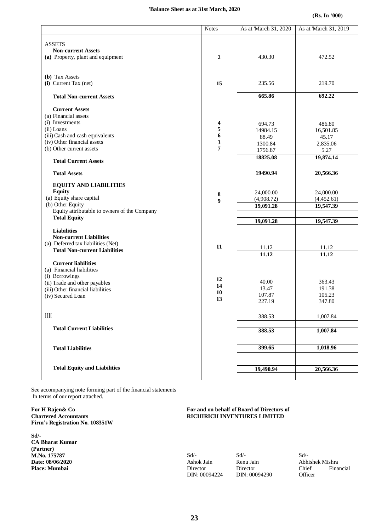#### **'Balance Sheet as at 31st March, 2020**

|                                              | <b>Notes</b>     | As at March 31, 2020 | As at 'March 31, 2019 |
|----------------------------------------------|------------------|----------------------|-----------------------|
| <b>ASSETS</b>                                |                  |                      |                       |
| <b>Non-current Assets</b>                    |                  |                      |                       |
| (a) Property, plant and equipment            | $\boldsymbol{2}$ | 430.30               | 472.52                |
| (b) Tax Assets                               |                  |                      |                       |
| (i) Current Tax (net)                        | 15               | 235.56               | 219.70                |
| <b>Total Non-current Assets</b>              |                  | 665.86               | 692.22                |
| <b>Current Assets</b>                        |                  |                      |                       |
| (a) Financial assets                         |                  |                      |                       |
| (i) Investments                              | 4                | 694.73               | 486.80                |
| (ii) Loans                                   | 5                | 14984.15             | 16,501.85             |
| (iii) Cash and cash equivalents              | 6                | 88.49                | 45.17                 |
| (iv) Other financial assets                  | 3                | 1300.84              | 2,835.06              |
| (b) Other current assets                     | $\overline{7}$   | 1756.87              | 5.27                  |
| <b>Total Current Assets</b>                  |                  | 18825.08             | 19,874.14             |
| <b>Total Assets</b>                          |                  | 19490.94             | 20,566.36             |
| <b>EQUITY AND LIABILITIES</b>                |                  |                      |                       |
| <b>Equity</b>                                |                  |                      |                       |
| (a) Equity share capital                     | 8                | 24,000.00            | 24,000.00             |
| (b) Other Equity                             | $\boldsymbol{9}$ | (4,908.72)           | (4,452.61)            |
| Equity attributable to owners of the Company |                  | 19,091.28            | 19,547.39             |
| <b>Total Equity</b>                          |                  |                      |                       |
|                                              |                  | 19,091.28            | 19,547.39             |
| <b>Liabilities</b>                           |                  |                      |                       |
| <b>Non-current Liabilities</b>               |                  |                      |                       |
| (a) Deferred tax liabilities (Net)           | 11               | 11.12                | 11.12                 |
| <b>Total Non-current Liabilities</b>         |                  | 11.12                | 11.12                 |
| <b>Current liabilities</b>                   |                  |                      |                       |
| (a) Financial liabilities                    |                  |                      |                       |
| (i) Borrowings                               |                  |                      |                       |
| (ii) Trade and other payables                | 12               | 40.00                | 363.43                |
| (iii) Other financial liabilities            | 14               | 13.47                | 191.38                |
| (iv) Secured Loan                            | 10               | 107.87               | 105.23                |
|                                              | 13               | 227.19               | 347.80                |
| $[]] \centering \label{eq:2}$                |                  | 388.53               | 1,007.84              |
|                                              |                  |                      |                       |
| <b>Total Current Liabilities</b>             |                  | 388.53               | 1,007.84              |
|                                              |                  |                      |                       |
| <b>Total Liabilities</b>                     |                  | 399.65               | 1,018.96              |
|                                              |                  |                      |                       |
| <b>Total Equity and Liabilities</b>          |                  | 19,490.94            | 20,566.36             |

See accompanying note forming part of the financial statements In terms of our report attached.

**For H Rajen& Co Chartered Accountants Firm's Registration No. 108351W**

**Sd/- CA Bharat Kumar (Partner) M.No. 175787 Date: 08/06/2020 Place: Mumbai**

#### **For and on behalf of Board of Directors of RICHIRICH INVENTURES LIMITED**

Sd/- Ashok Jain Director DIN: 00094224 Sd/- Renu Jain Director DIN: 00094290

Sd/- **Officer** 

Abhishek Mishra Chief Financial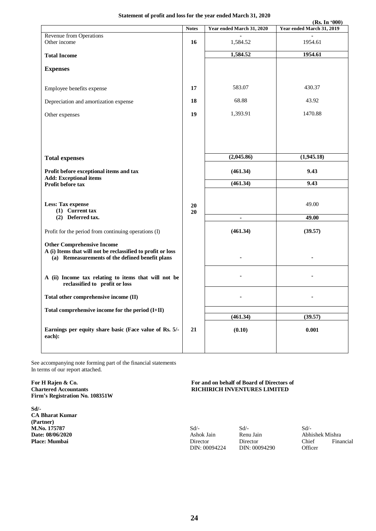#### **Statement of profit and loss for the year ended March 31, 2020**

|                                                             |              |                           | (Rs. In '000)             |
|-------------------------------------------------------------|--------------|---------------------------|---------------------------|
|                                                             | <b>Notes</b> | Year ended March 31, 2020 | Year ended March 31, 2019 |
| Revenue from Operations                                     |              |                           |                           |
| Other income                                                | 16           | 1,584.52                  | 1954.61                   |
| <b>Total Income</b>                                         |              | 1,584.52                  | 1954.61                   |
|                                                             |              |                           |                           |
| <b>Expenses</b>                                             |              |                           |                           |
|                                                             |              |                           |                           |
| Employee benefits expense                                   | 17           | 583.07                    | 430.37                    |
|                                                             |              |                           |                           |
| Depreciation and amortization expense                       | 18           | 68.88                     | 43.92                     |
| Other expenses                                              | 19           | 1,393.91                  | 1470.88                   |
|                                                             |              |                           |                           |
|                                                             |              |                           |                           |
|                                                             |              |                           |                           |
|                                                             |              |                           |                           |
|                                                             |              | (2,045.86)                | (1,945.18)                |
| <b>Total expenses</b>                                       |              |                           |                           |
| Profit before exceptional items and tax                     |              | (461.34)                  | 9.43                      |
| <b>Add: Exceptional items</b>                               |              |                           |                           |
| Profit before tax                                           |              | (461.34)                  | 9.43                      |
|                                                             |              |                           |                           |
| <b>Less: Tax expense</b>                                    | 20           |                           | 49.00                     |
| (1) Current tax                                             | 20           |                           |                           |
| (2) Deferred tax.                                           |              | ٠                         | 49.00                     |
|                                                             |              |                           |                           |
| Profit for the period from continuing operations (I)        |              | (461.34)                  | (39.57)                   |
| <b>Other Comprehensive Income</b>                           |              |                           |                           |
| A (i) Items that will not be reclassified to profit or loss |              |                           |                           |
| (a) Remeasurements of the defined benefit plans             |              |                           |                           |
|                                                             |              |                           |                           |
| A (ii) Income tax relating to items that will not be        |              |                           |                           |
| reclassified to profit or loss                              |              |                           |                           |
|                                                             |              |                           |                           |
| Total other comprehensive income (II)                       |              |                           |                           |
| Total comprehensive income for the period $(I+II)$          |              |                           |                           |
|                                                             |              | (461.34)                  | (39.57)                   |
|                                                             |              |                           |                           |
| Earnings per equity share basic (Face value of Rs. 5/-      | 21           | (0.10)                    | 0.001                     |
| each):                                                      |              |                           |                           |
|                                                             |              |                           |                           |

See accompanying note forming part of the financial statements In terms of our report attached.

**For H Rajen & Co. Chartered Accountants Firm's Registration No. 108351W**

**Sd/- CA Bharat Kumar (Partner) M.No. 175787 Date: 08/06/2020 Place: Mumbai**

#### **For and on behalf of Board of Directors of RICHIRICH INVENTURES LIMITED**

Sd/- Ashok Jain Director DIN: 00094224

Sd/- Renu Jain Director DIN: 00094290

Sd/- Abhishek Mishra Chief Financial **Officer**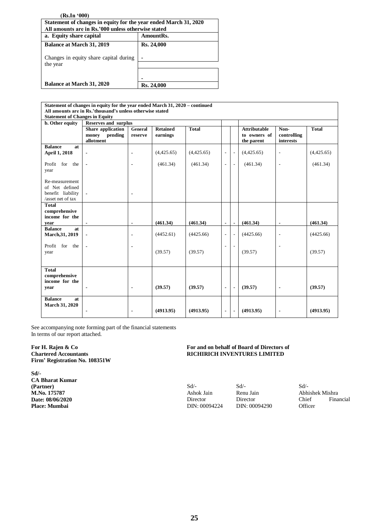| (Rs.In'000)                                                      |            |  |  |  |  |  |
|------------------------------------------------------------------|------------|--|--|--|--|--|
| Statement of changes in equity for the year ended March 31, 2020 |            |  |  |  |  |  |
| All amounts are in Rs.'000 unless otherwise stated               |            |  |  |  |  |  |
| a. Equity share capital<br>AmountRs.                             |            |  |  |  |  |  |
| <b>Balance at March 31, 2019</b>                                 | Rs. 24,000 |  |  |  |  |  |
| Changes in equity share capital during                           |            |  |  |  |  |  |
| the year                                                         |            |  |  |  |  |  |
|                                                                  |            |  |  |  |  |  |
|                                                                  |            |  |  |  |  |  |
| <b>Balance at March 31, 2020</b>                                 | Rs. 24,000 |  |  |  |  |  |

| Statement of changes in equity for the year ended March 31, 2020 – continued |                             |                |                 |              |                          |                          |                     |                          |              |
|------------------------------------------------------------------------------|-----------------------------|----------------|-----------------|--------------|--------------------------|--------------------------|---------------------|--------------------------|--------------|
| All amounts are in Rs.'thousand's unless otherwise stated                    |                             |                |                 |              |                          |                          |                     |                          |              |
| <b>Statement of Changes in Equity</b>                                        |                             |                |                 |              |                          |                          |                     |                          |              |
| <b>b.</b> Other equity                                                       | <b>Reserves and surplus</b> |                |                 |              |                          |                          |                     |                          |              |
|                                                                              | Share application           | General        | <b>Retained</b> | <b>Total</b> |                          |                          | <b>Attributable</b> | Non-                     | <b>Total</b> |
|                                                                              | pending<br>money            | reserve        | earnings        |              |                          |                          | to owners of        | controlling              |              |
|                                                                              | allotment                   |                |                 |              |                          |                          | the parent          | interests                |              |
| <b>Balance</b><br>at<br>April 1, 2018                                        | $\blacksquare$              | ٠              | (4,425.65)      | (4,425.65)   | $\overline{\phantom{a}}$ | $\overline{a}$           | (4,425.65)          | $\overline{\phantom{m}}$ | (4,425.65)   |
| Profit for the<br>year                                                       |                             | ٠              | (461.34)        | (461.34)     | $\overline{\phantom{a}}$ | $\overline{\phantom{a}}$ | (461.34)            | $\overline{\phantom{a}}$ | (461.34)     |
| Re-measurement<br>of Net defined<br>benefit liability<br>/asset net of tax   |                             | $\blacksquare$ |                 |              |                          |                          |                     |                          |              |
| <b>Total</b><br>comprehensive<br>income for the                              |                             |                |                 |              |                          |                          |                     |                          |              |
| vear                                                                         | $\blacksquare$              | $\blacksquare$ | (461.34)        | (461.34)     | $\blacksquare$           | $\blacksquare$           | (461.34)            | $\blacksquare$           | (461.34)     |
| <b>Balance</b><br>at<br>March, 31, 2019                                      |                             | ٠              | (4452.61)       | (4425.66)    | $\overline{\phantom{a}}$ | $\overline{a}$           | (4425.66)           | $\overline{\phantom{a}}$ | (4425.66)    |
| Profit<br>for the<br>year                                                    |                             | ٠              | (39.57)         | (39.57)      | L,                       | $\overline{\phantom{a}}$ | (39.57)             | ٠                        | (39.57)      |
| <b>Total</b><br>comprehensive<br>income for the<br>year                      | $\overline{\phantom{a}}$    | $\blacksquare$ | (39.57)         | (39.57)      | $\blacksquare$           | $\blacksquare$           | (39.57)             | $\blacksquare$           | (39.57)      |
| <b>Balance</b><br>at<br><b>March 31, 2020</b>                                |                             | $\blacksquare$ | (4913.95)       | (4913.95)    | $\blacksquare$           | $\blacksquare$           | (4913.95)           | $\blacksquare$           | (4913.95)    |

See accompanying note forming part of the financial statements In terms of our report attached.

#### **For H. Rajen & Co Chartered Accountants Firm' Registration No. 108351W**

**Sd/- CA Bharat Kumar (Partner) M.No. 175787 Date: 08/06/2020 Place: Mumbai**

## **For and on behalf of Board of Directors of RICHIRICH INVENTURES LIMITED**

 $Sd$ <sup>-</sup> Ashok Jain Director DIN: 00094224 Sd/- Renu Jain Director DIN: 00094290

Sd/- Abhishek Mishra Financial **Officer**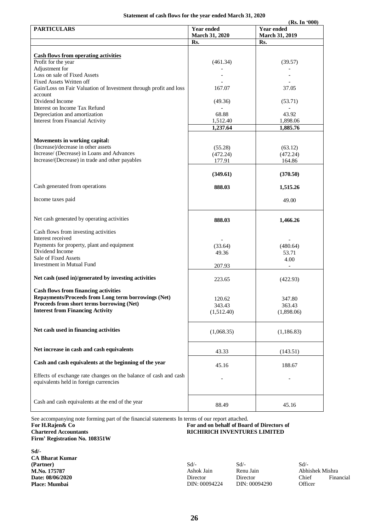#### **Statement of cash flows for the year ended March 31, 2020**

|                                                                                                            |                                     | (Rs. In '000)                              |
|------------------------------------------------------------------------------------------------------------|-------------------------------------|--------------------------------------------|
| <b>PARTICULARS</b>                                                                                         | Year ended<br><b>March 31, 2020</b> | <b>Year ended</b><br><b>March 31, 2019</b> |
|                                                                                                            | Rs.                                 | Rs.                                        |
|                                                                                                            |                                     |                                            |
| <b>Cash flows from operating activities</b>                                                                |                                     |                                            |
| Profit for the year                                                                                        | (461.34)                            | (39.57)                                    |
| Adjustment for<br>Loss on sale of Fixed Assets                                                             |                                     |                                            |
| <b>Fixed Assets Written off</b>                                                                            |                                     |                                            |
| Gain/Loss on Fair Valuation of Investment through profit and loss                                          | 167.07                              | 37.05                                      |
| account                                                                                                    |                                     |                                            |
| Dividend Income                                                                                            | (49.36)                             | (53.71)                                    |
| Interest on Income Tax Refund                                                                              |                                     |                                            |
| Depreciation and amortization                                                                              | 68.88                               | 43.92                                      |
| <b>Interest from Financial Activity</b>                                                                    | 1,512.40                            | 1,898.06                                   |
|                                                                                                            | 1,237.64                            | 1,885.76                                   |
| <b>Movements in working capital:</b>                                                                       |                                     |                                            |
| (Increase)/decrease in other assets                                                                        | (55.28)                             | (63.12)                                    |
| Increase/ (Decrease) in Loans and Advances                                                                 | (472.24)                            | (472.24)                                   |
| Increase/(Decrease) in trade and other payables                                                            | 177.91                              | 164.86                                     |
|                                                                                                            |                                     |                                            |
|                                                                                                            | (349.61)                            | (370.50)                                   |
|                                                                                                            |                                     |                                            |
| Cash generated from operations                                                                             | 888.03                              | 1,515.26                                   |
| Income taxes paid                                                                                          |                                     |                                            |
|                                                                                                            |                                     | 49.00                                      |
|                                                                                                            |                                     |                                            |
| Net cash generated by operating activities                                                                 | 888.03                              | 1,466.26                                   |
|                                                                                                            |                                     |                                            |
| Cash flows from investing activities                                                                       |                                     |                                            |
| Interest received                                                                                          |                                     |                                            |
| Payments for property, plant and equipment<br>Dividend Income                                              | (33.64)                             | (480.64)                                   |
| Sale of Fixed Assets                                                                                       | 49.36                               | 53.71                                      |
| Investment in Mutual Fund                                                                                  |                                     | 4.00                                       |
|                                                                                                            | 207.93                              | $\overline{\phantom{a}}$                   |
| Net cash (used in)/generated by investing activities                                                       | 223.65                              | (422.93)                                   |
|                                                                                                            |                                     |                                            |
| <b>Cash flows from financing activities</b>                                                                |                                     |                                            |
| Repayments/Proceeds from Long term borrowings (Net)                                                        | 120.62                              | 347.80                                     |
| Proceeds from short terms borrowing (Net)                                                                  | 343.43                              | 363.43                                     |
| <b>Interest from Financing Activity</b>                                                                    | (1,512.40)                          | (1,898.06)                                 |
|                                                                                                            |                                     |                                            |
| Net cash used in financing activities                                                                      |                                     |                                            |
|                                                                                                            | (1,068.35)                          | (1,186.83)                                 |
|                                                                                                            |                                     |                                            |
| Net increase in cash and cash equivalents                                                                  | 43.33                               | (143.51)                                   |
|                                                                                                            |                                     |                                            |
| Cash and cash equivalents at the beginning of the year                                                     | 45.16                               | 188.67                                     |
|                                                                                                            |                                     |                                            |
| Effects of exchange rate changes on the balance of cash and cash<br>equivalents held in foreign currencies |                                     |                                            |
|                                                                                                            |                                     |                                            |
|                                                                                                            |                                     |                                            |
| Cash and cash equivalents at the end of the year                                                           |                                     |                                            |
|                                                                                                            | 88.49                               | 45.16                                      |

See accompanying note forming part of the financial statements In terms of our report attached.

**For H.Rajen& Co Chartered Accountants**

**Firm' Registration No. 108351W**

**Sd/- CA Bharat Kumar (Partner) M.No. 175787 Date: 08/06/2020 Place: Mumbai**

**For and on behalf of Board of Directors of RICHIRICH INVENTURES LIMITED**

Sd/- Ashok Jain Director DIN: 00094224 Sd/- Renu Jain Director DIN: 00094290 Sd/- Abhishek Mishra Chief Financial **Officer**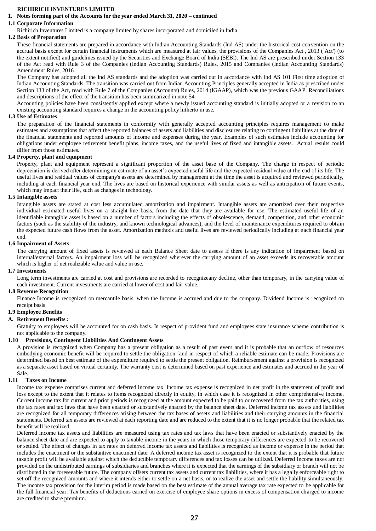#### **RICHIRICH INVENTURES LIMITED**

#### **1. Notes forming part of the Accounts for the year ended March 31, 2020 – continued**

#### **1.1 Corporate Information**

Richirich Inventures Limited is a company limited by shares incorporated and domiciled in India.

#### **1.2 Basis of Preparation**

These financial statements are prepared in accordance with Indian Accounting Standards (Ind AS) under the historical cost convention on the accrual basis except for certain financial instruments which are measured at fair values, the provisions of the Companies Act , 2013 (`Act') (to the extent notified) and guidelines issued by the Securities and Exchange Board of India (SEBI). The Ind AS are prescribed under Section 133 of the Act read with Rule 3 of the Companies (Indian Accounting Standards) Rules, 2015 and Companies (Indian Accounting Standards) Amendment Rules, 2016.

The Company has adopted all the Ind AS standards and the adoption was carried out in accordance with Ind AS 101 First time adoption of Indian Accounting Standards. The transition was carried out from Indian Accounting Principles generally accepted in India as prescribed under Section 133 of the Act, read with Rule 7 of the Companies (Accounts) Rules, 2014 (IGAAP), which was the previous GAAP. Reconciliations and descriptions of the effect of the transition has been summarized in note 54.

Accounting policies have been consistently applied except where a newly issued accounting standard is initially adopted or a revision to an existing accounting standard requires a change in the accounting policy hitherto in use.

#### **1.3 Use of Estimates**

The preparation of the financial statements in conformity with generally accepted accounting principles requires management to make estimates and assumptions that affect the reported balances of assets and liabilities and disclosures relating to contingent liabilities at the date of the financial statements and reported amounts of income and expenses during the year. Examples of such estimates include accounting for obligations under employee retirement benefit plans, income taxes, and the useful lives of fixed and intangible assets. Actual results could differ from those estimates.

#### **1.4 Property, plant and equipment**

Property, plant and equipment represent a significant proportion of the asset base of the Company. The charge in respect of periodic depreciation is derived after determining an estimate of an asset's expected useful life and the expected residual value at the end of its life. The useful lives and residual values of company's assets are determined by management at the time the asset is acquired and reviewed periodically, including at each financial year end. The lives are based on historical experience with similar assets as well as anticipation of future events, which may impact their life, such as changes in technology.

#### **1.5 Intangible assets**

Intangible assets are stated at cost less accumulated amortization and impairment. Intangible assets are amortized over their respective individual estimated useful lives on a straight-line basis, from the date that they are available for use. The estimated useful life of an identifiable intangible asset is based on a number of factors including the effects of obsolescence, demand, competition, and other economic factors (such as the stability of the industry, and known technological advances), and the level of maintenance expenditures required to obtain the expected future cash flows from the asset. Amortization methods and useful lives are reviewed periodically including at each financial year end.

#### **1.6 Impairment of Assets**

The carrying amount of fixed assets is reviewed at each Balance Sheet date to assess if there is any indication of impairment based on internal/external factors. An impairment loss will be recognized wherever the carrying amount of an asset exceeds its recoverable amount which is higher of net realizable value and value in use.

#### **1.7 Investments**

Long term investments are carried at cost and provisions are recorded to recognizeany decline, other than temporary, in the carrying value of each investment. Current investments are carried at lower of cost and fair value.

#### **1.8 Revenue Recognition**

Finance Income is recognized on mercantile basis, when the Income is accrued and due to the company. Dividend Income is recognized on receipt basis.

#### **1.9 Employee Benefits**

#### **A. Retirement Benefits :**

Gratuity to employees will be accounted for on cash basis. In respect of provident fund and employees state insurance scheme contribution is not applicable to the company.

#### **1.10 Provisions, Contingent Liabilities And Contingent Assets**

A provision is recognized when Company has a present obligation as a result of past event and it is probable that an outflow of resources embodying economic benefit will be required to settle the obligation `and in respect of which a reliable estimate can be made. Provisions are determined based on best estimate of the expenditure required to settle the present obligation. Reimbursement against a provision is recognized as a separate asset based on virtual certainty. The warranty cost is determined based on past experience and estimates and accrued in the year of Sale.

#### **1.11 Taxes on Income**

Income tax expense comprises current and deferred income tax. Income tax expense is recognized in net profit in the statement of profit and loss except to the extent that it relates to items recognized directly in equity, in which case it is recognized in other comprehensive income. Current income tax for current and prior periods is recognized at the amount expected to be paid to or recovered from the tax authorities, using the tax rates and tax laws that have been enacted or substantively enacted by the balance sheet date. Deferred income tax assets and liabilities are recognized for all temporary differences arising between the tax bases of assets and liabilities and their carrying amounts in the financial statements. Deferred tax assets are reviewed at each reporting date and are reduced to the extent that it is no longer probable that the related tax benefit will be realized.

Deferred income tax assets and liabilities are measured using tax rates and tax laws that have been enacted or substantively enacted by the balance sheet date and are expected to apply to taxable income in the years in which those temporary differences are expected to be recovered or settled. The effect of changes in tax rates on deferred income tax assets and liabilities is recognized as income or expense in the period that includes the enactment or the substantive enactment date. A deferred income tax asset is recognized to the extent that it is probable that future taxable profit will be available against which the deductible temporary differences and tax losses can be utilized. Deferred income taxes are not provided on the undistributed earnings of subsidiaries and branches where it is expected that the earnings of the subsidiary or branch will not be distributed in the foreseeable future. The company offsets current tax assets and current tax liabilities, where it has a legally enforceable right to set off the recognized amounts and where it intends either to settle on a net basis, or to realize the asset and settle the liability simultaneously. The income tax provision for the interim period is made based on the best estimate of the annual average tax rate expected to be applicable for the full financial year. Tax benefits of deductions earned on exercise of employee share options in excess of compensation charged to income are credited to share premium.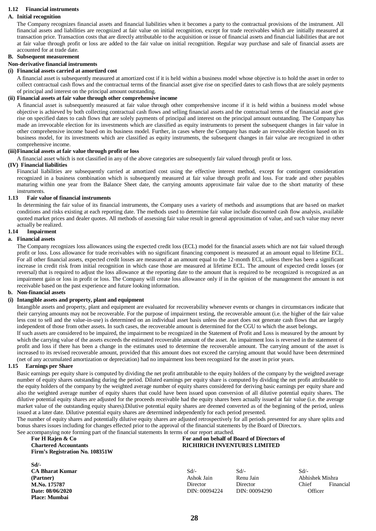#### **1.12 Financial instruments**

#### **A. Initial recognition**

The Company recognizes financial assets and financial liabilities when it becomes a party to the contractual provisions of the instrument. All financial assets and liabilities are recognized at fair value on initial recognition, except for trade receivables which are initially measured at transaction price. Transaction costs that are directly attributable to the acquisition or issue of financial assets and financial liabilities that are not at fair value through profit or loss are added to the fair value on initial recognition. Regular way purchase and sale of financial assets are accounted for at trade date.

#### **B. Subsequent measurement**

## **Non-derivative financial instruments**

#### **(i) Financial assets carried at amortized cost**

A financial asset is subsequently measured at amortized cost if it is held within a business model whose objective is to hold the asset in order to collect contractual cash flows and the contractual terms of the financial asset give rise on specified dates to cash flows that are solely payments of principal and interest on the principal amount outstanding.

#### **(ii) Financial assets at fair value through other comprehensive income**

A financial asset is subsequently measured at fair value through other comprehensive income if it is held within a business model whose objective is achieved by both collecting contractual cash flows and selling financial assets and the contractual terms of the financial asset give rise on specified dates to cash flows that are solely payments of principal and interest on the principal amount outstanding. The Company has made an irrevocable election for its investments which are classified as equity instruments to present the subsequent changes in fair value in other comprehensive income based on its business model. Further, in cases where the Company has made an irrevocable election based on its business model, for its investments which are classified as equity instruments, the subsequent changes in fair value are recognized in other comprehensive income.

#### **(iii)Financial assets at fair value through profit or loss**

A financial asset which is not classified in any of the above categories are subsequently fair valued through profit or loss.

#### **(IV) Financial liabilities**

Financial liabilities are subsequently carried at amortized cost using the effective interest method, except for contingent consideration recognized in a business combination which is subsequently measured at fair value through profit and loss. For trade and other payables maturing within one year from the Balance Sheet date, the carrying amounts approximate fair value due to the short maturity of these instruments.

#### **1.13 Fair value of financial instruments**

In determining the fair value of its financial instruments, the Company uses a variety of methods and assumptions that are based on market conditions and risks existing at each reporting date. The methods used to determine fair value include discounted cash flow analysis, available quoted market prices and dealer quotes. All methods of assessing fair value result in general approximation of value, and such value may never actually be realized.

## **1.14 Impairment**

#### **a. Financial assets**

The Company recognizes loss allowances using the expected credit loss (ECL) model for the financial assets which are not fair valued through profit or loss. Loss allowance for trade receivables with no significant financing component is measured at an amount equal to lifetime ECL. For all other financial assets, expected credit losses are measured at an amount equal to the 12-month ECL, unless there has been a significant increase in credit risk from initial recognition in which case those are measured at lifetime ECL. The amount of expected credit losses (or reversal) that is required to adjust the loss allowance at the reporting date to the amount that is required to be recognized is recognized as an impairment gain or loss in profit or loss. The Company will create loss allowance only if in the opinion of the management the amount is not receivable based on the past experience and future looking information.

#### **b. Non-financial assets**

#### **(i) Intangible assets and property, plant and equipment**

Intangible assets and property, plant and equipment are evaluated for recoverability whenever events or changes in circumstances indicate that their carrying amounts may not be recoverable. For the purpose of impairment testing, the recoverable amount (i.e. the higher of the fair value less cost to sell and the value-in-use) is determined on an individual asset basis unless the asset does not generate cash flows that are largely independent of those from other assets. In such cases, the recoverable amount is determined for the CGU to which the asset belongs.

If such assets are considered to be impaired, the impairment to be recognized in the Statement of Profit and Loss is measured by the amount by which the carrying value of the assets exceeds the estimated recoverable amount of the asset. An impairment loss is reversed in the statement of profit and loss if there has been a change in the estimates used to determine the recoverable amount. The carrying amount of the asset is increased to its revised recoverable amount, provided that this amount does not exceed the carrying amount that would have been determined (net of any accumulated amortization or depreciation) had no impairment loss been recognized for the asset in prior years.

#### **1.15 Earnings per Share**

Basic earnings per equity share is computed by dividing the net profit attributable to the equity holders of the company by the weighted average number of equity shares outstanding during the period. Diluted earnings per equity share is computed by dividing the net profit attributable to the equity holders of the company by the weighted average number of equity shares considered for deriving basic earnings per equity share and also the weighted average number of equity shares that could have been issued upon conversion of all dilutive potential equity shares. The dilutive potential equity shares are adjusted for the proceeds receivable had the equity shares been actually issued at fair value (i.e. the average market value of the outstanding equity shares).Dilutive potential equity shares are deemed converted as of the beginning of the period, unless issued at a later date. Dilutive potential equity shares are determined independently for each period presented.

The number of equity shares and potentially dilutive equity shares are adjusted retrospectively for all periods presented for any share splits and bonus shares issues including for changes effected prior to the approval of the financial statements by the Board of Directors. See accompanying note forming part of the financial statements In terms of our report attached.

#### **For H Rajen & Co Chartered Accountants Firm's Registration No. 108351W**

#### **Sd/- CA Bharat Kumar (Partner) M.No. 175787 Date: 08/06/2020 Place: Mumbai**

## **For and on behalf of Board of Directors of RICHIRICH INVENTURES LIMITED**

| Sd/-          |  |
|---------------|--|
| Ashok Jain    |  |
| Director      |  |
| DIN: 00094224 |  |

Sd/- Renu Jain Director DIN: 00094290 Sd/- Abhishek Mishra Chief Financial **Officer**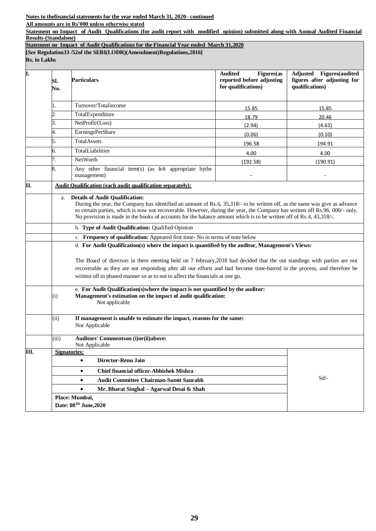**Notes to thefinancial statements for the year ended March 31, 2020– continued**

**All amounts are in Rs'000 unless otherwise stated** 

**Statement on Impact of Audit Qualifications (for audit report with modified opinion) submitted along-with Annual Audited Financial Results-(Standalone)**

**Statement on Impact of Audit Qualifications for the Financial Year ended March 31,2020**

**[***See* **Regulation33 /52of the SEBI(LODR)(Amendment)Regulations,2016]**

**Rs. in Lakhs**

| I.   | SI.<br>No.                                                            | <b>Particulars</b>                                                                                                                                                                                                                                                                                                                                                                                                       | <b>Audited</b><br>Figures(as<br>reported before adjusting<br>for qualifications) | <b>Adjusted</b><br><b>Figures</b> (audited<br>figures after adjusting for<br>qualifications) |  |
|------|-----------------------------------------------------------------------|--------------------------------------------------------------------------------------------------------------------------------------------------------------------------------------------------------------------------------------------------------------------------------------------------------------------------------------------------------------------------------------------------------------------------|----------------------------------------------------------------------------------|----------------------------------------------------------------------------------------------|--|
|      | 1.                                                                    | Turnover/Totalincome                                                                                                                                                                                                                                                                                                                                                                                                     | 15.85                                                                            | 15.85                                                                                        |  |
|      | 2.                                                                    | TotalExpenditure                                                                                                                                                                                                                                                                                                                                                                                                         | 18.79                                                                            | 20.46                                                                                        |  |
|      | 3.                                                                    | NetProfit/(Loss)                                                                                                                                                                                                                                                                                                                                                                                                         | (2.94)                                                                           | (4.61)                                                                                       |  |
|      | 4.                                                                    | <b>EarningsPerShare</b>                                                                                                                                                                                                                                                                                                                                                                                                  | (0.06)                                                                           | (0.10)                                                                                       |  |
|      | 5.                                                                    | <b>TotalAssets</b>                                                                                                                                                                                                                                                                                                                                                                                                       | 196.58                                                                           | 194.91                                                                                       |  |
|      | б.                                                                    | TotalLiabilities                                                                                                                                                                                                                                                                                                                                                                                                         | 4.00                                                                             | 4.00                                                                                         |  |
|      | 7.                                                                    | NetWorth                                                                                                                                                                                                                                                                                                                                                                                                                 | (192.58)                                                                         | (190.91)                                                                                     |  |
|      | 8.                                                                    | Any other financial item(s) (as felt appropriate bythe<br>management)                                                                                                                                                                                                                                                                                                                                                    |                                                                                  |                                                                                              |  |
| П.   |                                                                       | <b>Audit Oualification (each audit qualification separately):</b>                                                                                                                                                                                                                                                                                                                                                        |                                                                                  |                                                                                              |  |
|      | a.                                                                    | <b>Details of Audit Qualification:</b><br>During the year, the Company has identified an amount of Rs.6, 35,318/- to be written off, as the same was give as advance<br>to certain parties, which is now not recoverable. However, during the year, the Company has written off Rs.96, 000/- only.<br>No provision is made in the books of accounts for the balance amount which is to be written off of Rs.4, 43,318/-. |                                                                                  |                                                                                              |  |
|      |                                                                       | b. Type of Audit Qualification: Qualified Opinion                                                                                                                                                                                                                                                                                                                                                                        |                                                                                  |                                                                                              |  |
|      |                                                                       | c. Frequency of qualification: Appeared first time- No in terms of note below                                                                                                                                                                                                                                                                                                                                            |                                                                                  |                                                                                              |  |
|      |                                                                       | d. For Audit Qualification(s) where the impact is quantified by the auditor, Management's Views:                                                                                                                                                                                                                                                                                                                         |                                                                                  |                                                                                              |  |
|      |                                                                       | The Board of directors in there meeting held on 7 february, 2018 had decided that the out standings with parties are not                                                                                                                                                                                                                                                                                                 |                                                                                  |                                                                                              |  |
|      |                                                                       | recoverable as they are not responding after all our efforts and had become time-barred in the process, and therefore be                                                                                                                                                                                                                                                                                                 |                                                                                  |                                                                                              |  |
|      |                                                                       | written off in phased manner so as to not to affect the financials at one go.                                                                                                                                                                                                                                                                                                                                            |                                                                                  |                                                                                              |  |
|      | (i)                                                                   | e. For Audit Qualification(s) where the impact is not quantified by the auditor:<br>Management's estimation on the impact of audit qualification:<br>Not applicable                                                                                                                                                                                                                                                      |                                                                                  |                                                                                              |  |
|      | (ii)                                                                  | If management is unable to estimate the impact, reasons for the same:<br>Not Applicable                                                                                                                                                                                                                                                                                                                                  |                                                                                  |                                                                                              |  |
|      | (iii)                                                                 | Auditors' Commentson (i)or(ii)above:<br>Not Applicable                                                                                                                                                                                                                                                                                                                                                                   |                                                                                  |                                                                                              |  |
| III. |                                                                       | <b>Signatories:</b>                                                                                                                                                                                                                                                                                                                                                                                                      |                                                                                  |                                                                                              |  |
|      |                                                                       | Director-Renu Jain<br>$\bullet$                                                                                                                                                                                                                                                                                                                                                                                          |                                                                                  |                                                                                              |  |
|      |                                                                       | <b>Chief financial officer-Abhishek Mishra</b><br>$\bullet$                                                                                                                                                                                                                                                                                                                                                              |                                                                                  |                                                                                              |  |
|      | $Sd$ /-<br><b>Audit Committee Chairman-Sumit Saurabh</b><br>$\bullet$ |                                                                                                                                                                                                                                                                                                                                                                                                                          |                                                                                  |                                                                                              |  |
|      |                                                                       | Mr. Bharat Singhal - Agarwal Desai & Shah<br>$\bullet$                                                                                                                                                                                                                                                                                                                                                                   |                                                                                  |                                                                                              |  |
|      |                                                                       | Place: Mumbai,                                                                                                                                                                                                                                                                                                                                                                                                           |                                                                                  |                                                                                              |  |
|      |                                                                       | Date: 08Th June, 2020                                                                                                                                                                                                                                                                                                                                                                                                    |                                                                                  |                                                                                              |  |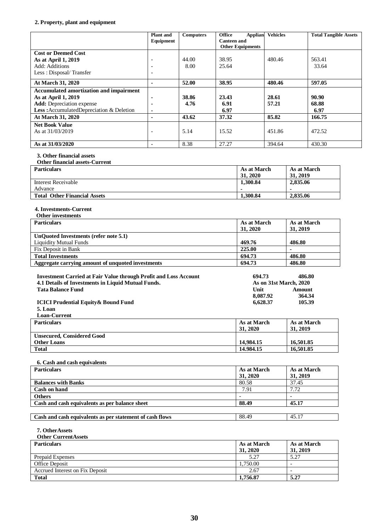## **2. Property, plant and equipment**

|                                                                               | <b>Plant</b> and<br>Equipment                        | <b>Computers</b> | Office<br><b>Canteen and</b> | Applian                 | <b>Vehicles</b>        |                           | <b>Total Tangible Assets</b> |
|-------------------------------------------------------------------------------|------------------------------------------------------|------------------|------------------------------|-------------------------|------------------------|---------------------------|------------------------------|
|                                                                               |                                                      |                  |                              | <b>Other Equipments</b> |                        |                           |                              |
| <b>Cost or Deemed Cost</b>                                                    |                                                      |                  |                              |                         |                        |                           |                              |
| As at April 1, 2019<br>Add: Additions                                         |                                                      | 44.00<br>8.00    | 38.95<br>25.64               |                         | 480.46                 |                           | 563.41<br>33.64              |
| Less: Disposal/Transfer                                                       | $\overline{\phantom{a}}$<br>$\overline{\phantom{a}}$ |                  |                              |                         |                        |                           |                              |
|                                                                               |                                                      | 52.00            |                              |                         | 480.46                 |                           | 597.05                       |
| At March 31, 2020<br><b>Accumulated amortization and impairment</b>           | $\blacksquare$                                       |                  | 38.95                        |                         |                        |                           |                              |
| As at April 1, 2019                                                           | $\overline{\phantom{a}}$                             | 38.86            | 23.43                        |                         | 28.61                  |                           | 90.90                        |
| <b>Add:</b> Depreciation expense                                              | $\blacksquare$                                       | 4.76             | 6.91                         |                         | 57.21                  |                           | 68.88                        |
| Less: Accumulated Depreciation & Deletion                                     | ٠                                                    |                  | 6.97                         |                         |                        |                           | 6.97                         |
| At March 31, 2020                                                             |                                                      | 43.62            | 37.32                        |                         | 85.82                  |                           | 166.75                       |
| <b>Net Book Value</b><br>As at 31/03/2019                                     |                                                      | 5.14             | 15.52                        |                         | 451.86                 |                           | 472.52                       |
|                                                                               |                                                      |                  |                              |                         |                        |                           |                              |
| As at 31/03/2020                                                              | $\overline{\phantom{a}}$                             | 8.38             | 27.27                        |                         | 394.64                 |                           | 430.30                       |
| 3. Other financial assets                                                     |                                                      |                  |                              |                         |                        |                           |                              |
| Other financial assets-Current                                                |                                                      |                  |                              |                         |                        |                           |                              |
| <b>Particulars</b>                                                            |                                                      |                  |                              | As at March<br>31, 2020 |                        | As at March<br>31, 2019   |                              |
| <b>Interest Receivable</b>                                                    |                                                      |                  |                              | 1,300.84                |                        | 2,835.06                  |                              |
| Advance                                                                       |                                                      |                  |                              |                         |                        |                           |                              |
| <b>Total Other Financial Assets</b>                                           |                                                      |                  |                              | 1,300.84                |                        | 2,835.06                  |                              |
| 4. Investments-Current                                                        |                                                      |                  |                              |                         |                        |                           |                              |
| Other investments                                                             |                                                      |                  |                              |                         |                        |                           |                              |
| <b>Particulars</b>                                                            |                                                      |                  |                              | As at March             |                        | As at March               |                              |
|                                                                               |                                                      |                  |                              | 31, 2020                |                        | 31, 2019                  |                              |
| <b>UnQuoted Investments (refer note 5.1)</b><br><b>Liquidity Mutual Funds</b> |                                                      |                  |                              | 469.76                  |                        | 486.80                    |                              |
| Fix Deposit in Bank                                                           |                                                      |                  |                              | 225.00                  |                        |                           |                              |
| <b>Total Investments</b>                                                      |                                                      |                  |                              | 694.73                  |                        | 486.80                    |                              |
| Aggregate carrying amount of unquoted investments                             |                                                      |                  |                              | 694.73                  |                        | 486.80                    |                              |
| <b>Investment Carried at Fair Value through Profit and Loss Account</b>       |                                                      |                  |                              | 694.73                  |                        | 486.80                    |                              |
| 4.1 Details of Investments in Liquid Mutual Funds.                            |                                                      |                  |                              |                         | As on 31st March, 2020 |                           |                              |
| <b>Tata Balance Fund</b>                                                      |                                                      |                  |                              | Unit<br><b>Amount</b>   |                        |                           |                              |
|                                                                               |                                                      |                  | 8,087.92                     |                         | 364.34                 |                           |                              |
| <b>ICICI Prudential Equity &amp; Bound Fund</b><br>5. Loan                    |                                                      |                  |                              | 6,628.37                |                        | 105.39                    |                              |
| Loan-Current                                                                  |                                                      |                  |                              |                         |                        |                           |                              |
| <b>Particulars</b>                                                            |                                                      |                  |                              | As at March             |                        | As at March               |                              |
|                                                                               |                                                      |                  |                              | 31, 2020                |                        | 31, 2019                  |                              |
| <b>Unsecured, Considered Good</b><br><b>Other Loans</b>                       |                                                      |                  |                              | 14,984.15               |                        | 16,501.85                 |                              |
| <b>Total</b>                                                                  |                                                      |                  |                              | 14.984.15               |                        | 16,501.85                 |                              |
|                                                                               |                                                      |                  |                              |                         |                        |                           |                              |
| 6. Cash and cash equivalents                                                  |                                                      |                  |                              |                         |                        |                           |                              |
| <b>Particulars</b>                                                            |                                                      |                  |                              | As at March             |                        | As at March               |                              |
| <b>Balances with Banks</b>                                                    |                                                      |                  |                              | 31, 2020<br>80.58       |                        | 31, 2019<br>37.45         |                              |
| <b>Cash on hand</b>                                                           |                                                      |                  |                              | 7.91                    |                        | 7.72                      |                              |
| <b>Others</b>                                                                 |                                                      |                  |                              | $\overline{a}$          |                        | $\mathbb{R}^{\mathbb{Z}}$ |                              |
| Cash and cash equivalents as per balance sheet                                |                                                      |                  |                              |                         |                        | 45.17                     |                              |
| Cash and cash equivalents as per statement of cash flows                      |                                                      |                  |                              | 88.49                   |                        | 45.17                     |                              |
|                                                                               |                                                      |                  |                              |                         |                        |                           |                              |
| 7. OtherAssets                                                                |                                                      |                  |                              |                         |                        |                           |                              |
| <b>Other CurrentAssets</b><br><b>Particulars</b>                              |                                                      |                  |                              | As at March             |                        | As at March               |                              |
|                                                                               |                                                      |                  |                              | 31, 2020                |                        | 31, 2019                  |                              |
| <b>Prepaid Expenses</b>                                                       |                                                      |                  |                              | 5.27                    |                        | 5.27                      |                              |
| Office Deposit                                                                |                                                      |                  |                              | 1,750.00                |                        | $\equiv$                  |                              |
| Accrued Interest on Fix Deposit                                               |                                                      |                  |                              | 2.67                    |                        | $\overline{\phantom{a}}$  |                              |
| <b>Total</b>                                                                  |                                                      |                  |                              | 1,756.87                |                        | 5.27                      |                              |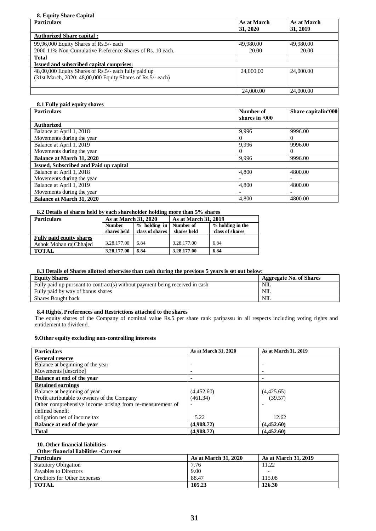#### **8. Equity Share Capital**

| <b>Particulars</b>                                         | As at March | As at March |
|------------------------------------------------------------|-------------|-------------|
|                                                            | 31, 2020    | 31, 2019    |
| <b>Authorized Share capital:</b>                           |             |             |
| 99,96,000 Equity Shares of Rs.5/- each                     | 49,980.00   | 49,980.00   |
| 2000 11% Non-Cumulative Preference Shares of Rs. 10 each.  | 20.00       | 20.00       |
| <b>Total</b>                                               |             |             |
| Issued and subscribed capital comprises:                   |             |             |
| 48,00,000 Equity Shares of Rs.5/- each fully paid up       | 24,000.00   | 24,000.00   |
| (31st March, 2020: 48,00,000 Equity Shares of Rs.5/- each) |             |             |
|                                                            |             |             |
|                                                            | 24,000.00   | 24,000.00   |

#### **8.1 Fully paid equity shares**

| <b>Particulars</b>                            | Number of      | Share capitalin'000 |
|-----------------------------------------------|----------------|---------------------|
|                                               | shares in '000 |                     |
| <b>Authorized</b>                             |                |                     |
| Balance at April 1, 2018                      | 9,996          | 9996.00             |
| Movements during the year                     |                | $\Omega$            |
| Balance at April 1, 2019                      | 9,996          | 9996.00             |
| Movements during the year                     |                | 0                   |
| <b>Balance at March 31, 2020</b>              | 9,996          | 9996.00             |
| <b>Issued, Subscribed and Paid up capital</b> |                |                     |
| Balance at April 1, 2018                      | 4,800          | 4800.00             |
| Movements during the year                     |                |                     |
| Balance at April 1, 2019                      | 4,800          | 4800.00             |
| Movements during the year                     |                |                     |
| <b>Balance at March 31, 2020</b>              | 4,800          | 4800.00             |

#### **8.2 Details of shares held by each shareholder holding more than 5% shares**

| <b>Particulars</b>              | As at March 31, 2020            |                 | As at March 31, 2019 |                  |  |
|---------------------------------|---------------------------------|-----------------|----------------------|------------------|--|
|                                 | $%$ holding in<br><b>Number</b> |                 | Number of            | % holding in the |  |
|                                 | shares held                     | class of shares | shares held          | class of shares  |  |
| <b>Fully paid equity shares</b> |                                 |                 |                      |                  |  |
| Ashok Mohan raiChhaied          | 3.28.177.00                     | 6.84            | 3.28,177.00          | 6.84             |  |
| <b>TOTAL</b>                    | 3,28,177.00                     | 6.84            | 3,28,177.00          | 6.84             |  |

#### **8.3 Details of Shares allotted otherwise than cash during the previous 5 years is set out below:**

| <b>Equity Shares</b>                                                         | Aggregate No. of Shares |
|------------------------------------------------------------------------------|-------------------------|
| Fully paid up pursuant to contract(s) without payment being received in cash | NIL.                    |
| Fully paid by way of bonus shares                                            | NIL                     |
| Shares Bought back                                                           | NII                     |

## **8.4 Rights, Preferences and Restrictions attached to the shares**

The equity shares of the Company of nominal value Rs.5 per share rank paripassu in all respects including voting rights and entitlement to dividend.

## **9.Other equity excluding non-controlling interests**

| <b>Particulars</b>                                        | As at March 31, 2020 | As at March 31, 2019     |
|-----------------------------------------------------------|----------------------|--------------------------|
| <b>General reserve</b>                                    |                      |                          |
| Balance at beginning of the year                          |                      | $\overline{\phantom{0}}$ |
| Movements [describe]                                      |                      |                          |
| Balance at end of the year                                |                      |                          |
| <b>Retained earnings</b>                                  |                      |                          |
| Balance at beginning of year                              | (4,452.60)           | (4,425.65)               |
| Profit attributable to owners of the Company              | (461.34)             | (39.57)                  |
| Other comprehensive income arising from re-measurement of |                      |                          |
| defined benefit                                           |                      |                          |
| obligation net of income tax                              | 5.22                 | 12.62                    |
| Balance at end of the year                                | (4,908,72)           | (4,452,60)               |
| <b>Total</b>                                              | (4,908.72)           | (4,452.60)               |

#### **10. Other financial liabilities**

| <b>Other financial liabilities - Current</b> |                             |                             |
|----------------------------------------------|-----------------------------|-----------------------------|
| <b>Particulars</b>                           | <b>As at March 31, 2020</b> | <b>As at March 31, 2019</b> |
| <b>Statutory Obligation</b>                  | 7.76                        | 11.22                       |
| Payables to Directors                        | 9.00                        |                             |
| <b>Creditors for Other Expenses</b>          | 88.47                       | 115.08                      |
| <b>TOTAL</b>                                 | 105.23                      | 126.30                      |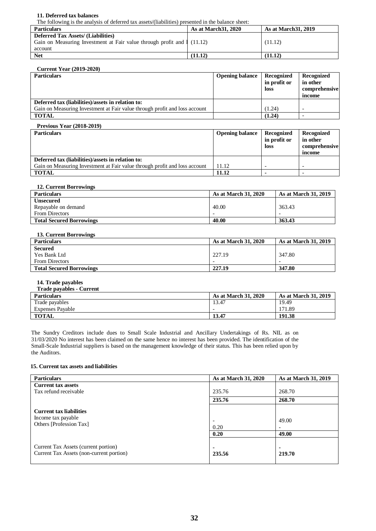#### **11. Deferred tax balances**

The following is the analysis of deferred tax assets/(liabilities) presented in the balance sheet:

| <b>Particulars</b>                                                      | <b>As at March 31, 2020</b> | <b>As at March 31, 2019</b> |
|-------------------------------------------------------------------------|-----------------------------|-----------------------------|
| <b>Deferred Tax Assets/ (Liabilities)</b>                               |                             |                             |
| Gain on Measuring Investment at Fair value through profit and 1 (11.12) |                             | (11.12)                     |
| account                                                                 |                             |                             |
| <b>Net</b>                                                              | (11.12)                     | (11.12)                     |

#### **Current Year (2019-2020)**

| <b>Particulars</b>                                                         | <b>Opening balance</b> | Recognized   | Recognized    |
|----------------------------------------------------------------------------|------------------------|--------------|---------------|
|                                                                            |                        | in profit or | in other      |
|                                                                            |                        | <b>loss</b>  | comprehensive |
|                                                                            |                        |              | income        |
| Deferred tax (liabilities)/assets in relation to:                          |                        |              |               |
| Gain on Measuring Investment at Fair value through profit and loss account |                        | (1.24)       |               |
| <b>TOTAL</b>                                                               |                        | (1.24)       |               |

#### **Previous Year (2018-2019)**

| <b>Particulars</b>                                                         | <b>Opening balance</b> | Recognized<br>in profit or<br>loss | Recognized<br>in other<br>comprehensive<br>income |
|----------------------------------------------------------------------------|------------------------|------------------------------------|---------------------------------------------------|
| Deferred tax (liabilities)/assets in relation to:                          |                        |                                    |                                                   |
| Gain on Measuring Investment at Fair value through profit and loss account | 11.12                  |                                    |                                                   |
| <b>TOTAL</b>                                                               | 11.12                  |                                    |                                                   |

#### **12. Current Borrowings**

| <b>Particulars</b>              | <b>As at March 31, 2020</b> | <b>As at March 31, 2019</b> |
|---------------------------------|-----------------------------|-----------------------------|
| <b>Unsecured</b>                |                             |                             |
| Repayable on demand             | 40.00                       | 363.43                      |
| <b>From Directors</b>           |                             |                             |
| <b>Total Secured Borrowings</b> | 40.00                       | 363.43                      |

#### **13. Current Borrowings**

| <b>Particulars</b>              | <b>As at March 31, 2020</b> | <b>As at March 31, 2019</b> |
|---------------------------------|-----------------------------|-----------------------------|
| <b>Secured</b>                  |                             |                             |
| Yes Bank Ltd                    | 227.19                      | 347.80                      |
| <b>From Directors</b>           | $\overline{\phantom{0}}$    |                             |
| <b>Total Secured Borrowings</b> | 227.19                      | 347.80                      |

#### **14. Trade payables**

| <b>Trade payables - Current</b> |                             |                             |
|---------------------------------|-----------------------------|-----------------------------|
| <b>Particulars</b>              | <b>As at March 31, 2020</b> | <b>As at March 31, 2019</b> |
| Trade payables                  | 13.47                       | 19.49                       |
| <b>Expenses Payable</b>         |                             | 171.89                      |
| <b>TOTAL</b>                    | 13.47                       | 191.38                      |

The Sundry Creditors include dues to Small Scale Industrial and Ancillary Undertakings of Rs. NIL as on 31/03/2020 No interest has been claimed on the same hence no interest has been provided. The identification of the Small-Scale Industrial suppliers is based on the management knowledge of their status. This has been relied upon by the Auditors.

#### **15. Current tax assets and liabilities**

| <b>Particulars</b>                       | As at March 31, 2020     | As at March 31, 2019     |
|------------------------------------------|--------------------------|--------------------------|
| <b>Current tax assets</b>                |                          |                          |
| Tax refund receivable                    | 235.76                   | 268.70                   |
|                                          | 235.76                   | 268.70                   |
| <b>Current tax liabilities</b>           |                          |                          |
| Income tax payable                       | $\overline{\phantom{0}}$ | 49.00                    |
| Others [Profession Tax]                  | 0.20                     | $\overline{\phantom{a}}$ |
|                                          | 0.20                     | 49.00                    |
| Current Tax Assets (current portion)     | $\blacksquare$           | $\blacksquare$           |
| Current Tax Assets (non-current portion) | 235.56                   | 219.70                   |
|                                          |                          |                          |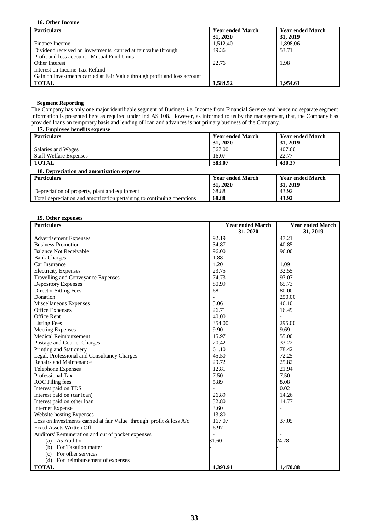#### **16. Other Income**

| <b>Particulars</b>                                                        | <b>Year ended March</b> | <b>Year ended March</b> |
|---------------------------------------------------------------------------|-------------------------|-------------------------|
|                                                                           | 31, 2020                | 31, 2019                |
| Finance Income                                                            | 1,512.40                | 1,898.06                |
| Dividend received on investments carried at fair value through            | 49.36                   | 53.71                   |
| Profit and loss account - Mutual Fund Units                               |                         |                         |
| Other Interest                                                            | 22.76                   | 1.98                    |
| Interest on Income Tax Refund                                             |                         |                         |
| Gain on Investments carried at Fair Value through profit and loss account |                         |                         |
| <b>TOTAL</b>                                                              | 1.584.52                | 1.954.61                |

#### **Segment Reporting**

The Company has only one major identifiable segment of Business i.e. Income from Financial Service and hence no separate segment information is presented here as required under Ind AS 108. However, as informed to us by the management, that, the Company has provided loans on temporary basis and lending of loan and advances is not primary business of the Company.

#### **17. Employee benefits expense Year ended March 31, 2020 Year ended March 31, 2019** Salaries and Wages Staff Welfare Expenses<br>TOTAL 567.00  $\frac{16.07}{583.07}$ 407.60  $\frac{22.77}{430.37}$ **TOTAL 583.07 430.37 18. Depreciation and amortization expense**

| <b>Particulars</b>                                                      | <b>Year ended March</b> | <b>Year ended March</b> |
|-------------------------------------------------------------------------|-------------------------|-------------------------|
|                                                                         | 31, 2020                | 31, 2019                |
| Depreciation of property, plant and equipment                           | 68.88                   | 43.92                   |
| Total depreciation and amortization pertaining to continuing operations | 68.88                   | 43.92                   |

#### **19. Other expenses**

| <b>Particulars</b>                                                     | <b>Year ended March</b> | <b>Year ended March</b> |
|------------------------------------------------------------------------|-------------------------|-------------------------|
|                                                                        | 31, 2020                | 31, 2019                |
| <b>Advertisement Expenses</b>                                          | 92.19                   | 47.21                   |
| <b>Business Promotion</b>                                              | 34.87                   | 40.85                   |
| <b>Balance Not Receivable</b>                                          | 96.00                   | 96.00                   |
| <b>Bank Charges</b>                                                    | 1.88                    |                         |
| Car Insurance                                                          | 4.20                    | 1.09                    |
| <b>Electricity Expenses</b>                                            | 23.75                   | 32.55                   |
| Travelling and Conveyance Expenses                                     | 74.73                   | 97.07                   |
| Depository Expenses                                                    | 80.99                   | 65.73                   |
| <b>Director Sitting Fees</b>                                           | 68                      | 80.00                   |
| Donation                                                               | $\overline{a}$          | 250.00                  |
| Miscellaneous Expenses                                                 | 5.06                    | 46.10                   |
| Office Expenses                                                        | 26.71                   | 16.49                   |
| Office Rent                                                            | 40.00                   | $\overline{a}$          |
| <b>Listing Fees</b>                                                    | 354.00                  | 295.00                  |
| <b>Meeting Expenses</b>                                                | 9.90                    | 9.69                    |
| <b>Medical Reimbursement</b>                                           | 15.97                   | 55.00                   |
| Postage and Courier Charges                                            | 20.42                   | 33.22                   |
| Printing and Stationery                                                | 61.10                   | 78.42                   |
| Legal, Professional and Consultancy Charges                            | 45.50                   | 72.25                   |
| Repairs and Maintenance                                                | 29.72                   | 25.82                   |
| Telephone Expenses                                                     | 12.81                   | 21.94                   |
| Professional Tax                                                       | 7.50                    | 7.50                    |
| <b>ROC</b> Filing fees                                                 | 5.89                    | 8.08                    |
| Interest paid on TDS                                                   |                         | 0.02                    |
| Interest paid on (car loan)                                            | 26.89                   | 14.26                   |
| Interest paid on other loan                                            | 32.80                   | 14.77                   |
| <b>Internet Expense</b>                                                | 3.60                    | $\overline{a}$          |
| Website hosting Expenses                                               | 13.80                   |                         |
| Loss on Investments carried at fair Value through profit $\&$ loss A/c | 167.07                  | 37.05                   |
| <b>Fixed Assets Written Off</b>                                        | 6.97                    | $\overline{a}$          |
| Auditors' Remuneration and out of pocket expenses                      |                         |                         |
| (a) As Auditor                                                         | 31.60                   | 24.78                   |
| (b) For Taxation matter                                                |                         |                         |
| (c) For other services                                                 |                         |                         |
| (d) For reimbursement of expenses                                      |                         |                         |
| <b>TOTAL</b>                                                           | 1,393.91                | 1,470.88                |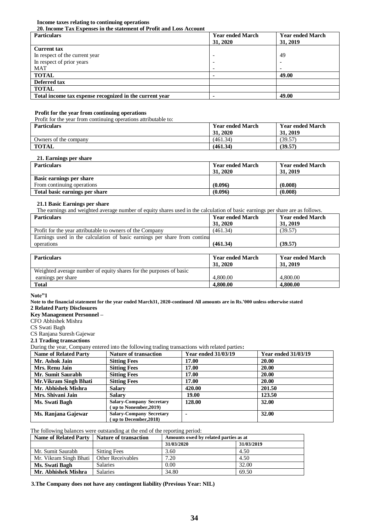#### **Income taxes relating to continuing operations**

**20. Income Tax Expenses in the statement of Profit and Loss Account**

| <b>Particulars</b>                                      | <b>Year ended March</b> | <b>Year ended March</b>  |
|---------------------------------------------------------|-------------------------|--------------------------|
|                                                         | 31, 2020                | 31, 2019                 |
| <b>Current tax</b>                                      |                         |                          |
| In respect of the current year                          |                         | 49                       |
| In respect of prior years                               |                         |                          |
| MAT                                                     |                         | $\overline{\phantom{0}}$ |
| <b>TOTAL</b>                                            |                         | 49.00                    |
| Deferred tax                                            |                         |                          |
| <b>TOTAL</b>                                            |                         |                          |
| Total income tax expense recognized in the current year |                         | 49.00                    |

## **Profit for the year from continuing operations**

Profit for the year from continuing operations attributable to:

| <b>Particulars</b>    | <b>Year ended March</b><br>31, 2020 | <b>Year ended March</b><br>31, 2019 |
|-----------------------|-------------------------------------|-------------------------------------|
| Owners of the company | (461.34)                            | 39.57                               |
| <b>TOTAL</b>          | (461.34)                            | (39.57)                             |

## **21. Earnings per share**

| <b>Particulars</b>             | <b>Year ended March</b><br>31, 2020 | <b>Year ended March</b><br>31, 2019 |
|--------------------------------|-------------------------------------|-------------------------------------|
| Basic earnings per share       |                                     |                                     |
| From continuing operations     | (0.096)                             | (0.008)                             |
| Total basic earnings per share | (0.096)                             | (0.008)                             |

## **21.1 Basic Earnings per share**

| The earnings and weighted average number of equity shares used in the calculation of basic earnings per share are as follows. |                         |                         |  |  |
|-------------------------------------------------------------------------------------------------------------------------------|-------------------------|-------------------------|--|--|
| Particulars                                                                                                                   | <b>Year ended March</b> | <b>Year ended March</b> |  |  |

| <b>Particulars</b>                                                        | <b>Year ended March</b><br>31, 2020 | <b>Year ended March</b><br>31, 2019 |
|---------------------------------------------------------------------------|-------------------------------------|-------------------------------------|
| Profit for the year attributable to owners of the Company                 | (461.34)                            | (39.57)                             |
| Earnings used in the calculation of basic earnings per share from continu |                                     |                                     |
| operations                                                                | (461.34)                            | (39.57)                             |

| <b>Particulars</b>                                                 | <b>Year ended March</b><br>31, 2020 | <b>Year ended March</b><br>31, 2019 |
|--------------------------------------------------------------------|-------------------------------------|-------------------------------------|
| Weighted average number of equity shares for the purposes of basic |                                     |                                     |
| earnings per share                                                 | 4,800.00                            | 4,800.00                            |
| <b>Total</b>                                                       | 4.800.00                            | 4,800.00                            |

**Note"1**

**Note to the financial statement for the year ended March31, 2020-continued All amounts are in Rs.'000 unless otherwise stated 2 Related Party Disclosures**

**Key Management Personnel –**

CFO Abhishek Mishra

CS Swati Bagh

CS Ranjana Suresh Gajewar

#### **2.1 Trading transactions**

During the year, Company entered into the following trading transactions with related parties**:**

| <b>Name of Related Party</b> | <b>Nature of transaction</b>                              | <b>Year ended 31/03/19</b> | <b>Year ended 31/03/19</b> |
|------------------------------|-----------------------------------------------------------|----------------------------|----------------------------|
| Mr. Ashok Jain               | <b>Sitting Fees</b>                                       | 17.00                      | 20.00                      |
| Mrs. Renu Jain               | <b>Sitting Fees</b>                                       | 17.00                      | 20.00                      |
| Mr. Sumit Saurabh            | <b>Sitting Fees</b>                                       | 17.00                      | 20.00                      |
| Mr. Vikram Singh Bhati       | <b>Sitting Fees</b>                                       | 17.00                      | 20.00                      |
| Mr. Abhishek Mishra          | <b>Salary</b>                                             | 420.00                     | 201.50                     |
| Mrs. Shivani Jain            | <b>Salary</b>                                             | 19.00                      | 123.50                     |
| Ms. Swati Bagh               | <b>Salary-Company Secretary</b><br>(up to Nonember, 2019) | 128.00                     | 32.00                      |
| Ms. Ranjana Gajewar          | <b>Salary-Company Secretary</b><br>(up to December, 2018) | $\blacksquare$             | 32.00                      |

## The following balances were outstanding at the end of the reporting period:

| <b>Name of Related Party</b> | <b>Nature of transaction</b> | Amounts owed by related parties as at |            |  |
|------------------------------|------------------------------|---------------------------------------|------------|--|
|                              |                              | 31/03/2020                            | 31/03/2019 |  |
| Mr. Sumit Saurabh            | <b>Sitting Fees</b>          | 3.60                                  | 4.50       |  |
| Mr. Vikram Singh Bhati       | <b>Other Receivables</b>     | 7.20                                  | 4.50       |  |
| Ms. Swati Bagh               | <b>Salaries</b>              | 0.00                                  | 32.00      |  |
| Mr. Abhishek Mishra          | <b>Salaries</b>              | 34.80                                 | 69.50      |  |

#### **3.The Company does not have any contingent liability (Previous Year: NIL)**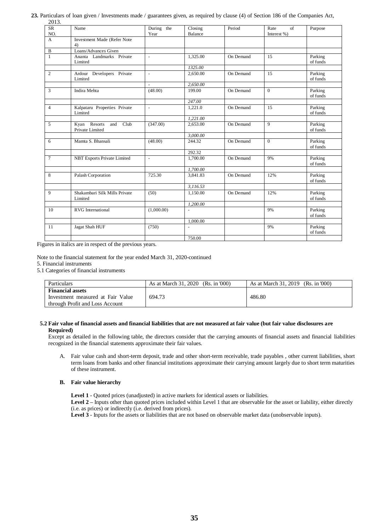| <b>SR</b>      | Name                                        | During the               | Closing                  | Period    | Rate<br>of     | Purpose             |
|----------------|---------------------------------------------|--------------------------|--------------------------|-----------|----------------|---------------------|
| NO.            |                                             | Year                     | <b>Balance</b>           |           | Interest %)    |                     |
| $\mathbf{A}$   | Investment Made (Refer Note<br>4)           |                          |                          |           |                |                     |
| B              | Loans/Advances Given                        |                          |                          |           |                |                     |
| $\mathbf{1}$   | Ananta Landmarks Private<br>Limited         | $\mathcal{L}$            | 1,325.00                 | On Demand | 15             | Parking<br>of funds |
|                |                                             |                          | 1325.00                  |           |                |                     |
| 2              | Ardour Developers Private<br>Limited        | $\blacksquare$           | 2,650.00                 | On Demand | 15             | Parking<br>of funds |
|                |                                             | ÷.                       | 2.650.00                 |           |                |                     |
| 3              | Indira Mehta                                | (48.00)                  | 199.00                   | On Demand | $\Omega$       | Parking<br>of funds |
|                |                                             |                          | 247.00                   |           |                |                     |
| $\overline{4}$ | Kalpataru Properties Private<br>Limited     | $\blacksquare$           | 1,221.0                  | On Demand | 15             | Parking<br>of funds |
|                |                                             |                          | 1,221.00                 |           |                |                     |
| $\overline{5}$ | Club<br>Kyan Resorts and<br>Private Limited | (347.00)                 | 2,653.00                 | On Demand | $\overline{9}$ | Parking<br>of funds |
|                |                                             |                          | 3,000.00                 |           |                |                     |
| 6              | Mamta S. Bhansali                           | (48.00)                  | 244.32                   | On Demand | $\Omega$       | Parking<br>of funds |
|                |                                             |                          | 292.32                   |           |                |                     |
| $\tau$         | <b>NBT Exports Private Limited</b>          | $\overline{\phantom{a}}$ | 1,700.00                 | On Demand | 9%             | Parking<br>of funds |
|                |                                             |                          | 1,700.00                 |           |                |                     |
| 8              | Palash Corporation                          | 725.30                   | 3,841.83                 | On Demand | 12%            | Parking<br>of funds |
|                |                                             |                          | 3,116.53                 |           |                |                     |
| 9              | Shakambari Silk Mills Private<br>Limited    | (50)                     | 1.150.00                 | On Demand | 12%            | Parking<br>of funds |
|                |                                             |                          | 1,200.00                 |           |                |                     |
| 10             | <b>RVG</b> International                    | (1,000.00)               | $\overline{\phantom{a}}$ |           | 9%             | Parking<br>of funds |
|                |                                             |                          | 1,000.00                 |           |                |                     |
| 11             | Jagat Shah HUF                              | (750)                    | $\overline{\phantom{a}}$ |           | 9%             | Parking<br>of funds |
|                |                                             |                          | 750.00                   |           |                |                     |

**23.** Particulars of loan given / Investments made / guarantees given, as required by clause (4) of Section 186 of the Companies Act, 2013.

Figures in italics are in respect of the previous years.

Note to the financial statement for the year ended March 31, 2020-continued

5. Financial instruments

5.1 Categories of financial instruments

| Particulars                                                  | As at March 31, 2020 (Rs. in 000) | As at March 31, 2019 (Rs. in $000$ ) |
|--------------------------------------------------------------|-----------------------------------|--------------------------------------|
| <b>Financial assets</b><br>Investment measured at Fair Value | 694.73                            | 486.80                               |
| through Profit and Loss Account                              |                                   |                                      |

#### **5.2 Fair value of financial assets and financial liabilities that are not measured at fair value (but fair value disclosures are Required)**

Except as detailed in the following table, the directors consider that the carrying amounts of financial assets and financial liabilities recognized in the financial statements approximate their fair values.

A. Fair value cash and short-term deposit, trade and other short-term receivable, trade payables , other current liabilities, short term loans from banks and other financial institutions approximate their carrying amount largely due to short term maturities of these instrument.

## **B. Fair value hierarchy**

**Level 1** - Quoted prices (unadjusted) in active markets for identical assets or liabilities.

**Level 2 –** Inputs other than quoted prices included within Level 1 that are observable for the asset or liability, either directly (i.e. as prices) or indirectly (i.e. derived from prices).

Level 3 - Inputs for the assets or liabilities that are not based on observable market data (unobservable inputs).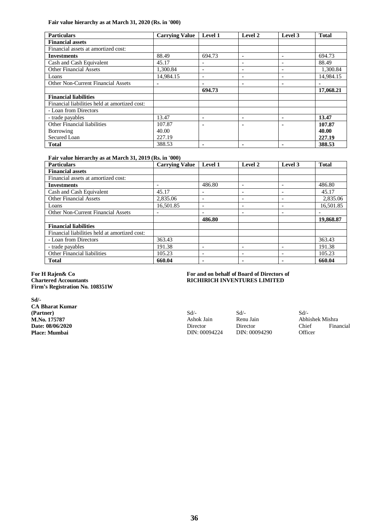**Fair value hierarchy as at March 31, 2020 (Rs. in '000)**

| <b>Particulars</b>                            | <b>Carrying Value</b> | Level 1                  | Level 2                  | Level 3 | <b>Total</b> |
|-----------------------------------------------|-----------------------|--------------------------|--------------------------|---------|--------------|
| <b>Financial assets</b>                       |                       |                          |                          |         |              |
| Financial assets at amortized cost:           |                       |                          |                          |         |              |
| <b>Investments</b>                            | 88.49                 | 694.73                   | $\qquad \qquad$          |         | 694.73       |
| Cash and Cash Equivalent                      | 45.17                 |                          | $\qquad \qquad$          |         | 88.49        |
| <b>Other Financial Assets</b>                 | 1.300.84              | $\overline{\phantom{0}}$ |                          |         | 1,300.84     |
| Loans                                         | 14.984.15             | $\overline{\phantom{a}}$ | $\overline{\phantom{0}}$ |         | 14.984.15    |
| <b>Other Non-Current Financial Assets</b>     | ۰                     |                          | ۰                        |         |              |
|                                               |                       | 694.73                   |                          |         | 17,068.21    |
| <b>Financial liabilities</b>                  |                       |                          |                          |         |              |
| Financial liabilities held at amortized cost: |                       |                          |                          |         |              |
| - Loan from Directors                         |                       |                          |                          |         |              |
| - trade payables                              | 13.47                 |                          |                          |         | 13.47        |
| Other Financial liabilities                   | 107.87                |                          |                          |         | 107.87       |
| Borrowing                                     | 40.00                 |                          |                          |         | 40.00        |
| Secured Loan                                  | 227.19                |                          |                          |         | 227.19       |
| <b>Total</b>                                  | 388.53                |                          | ۰                        |         | 388.53       |

#### **Fair value hierarchy as at March 31, 2019 (Rs. in '000)**

| <b>Particulars</b>                            | <b>Carrying Value</b> | Level 1                  | Level 2                  | Level 3 | <b>Total</b> |
|-----------------------------------------------|-----------------------|--------------------------|--------------------------|---------|--------------|
| <b>Financial assets</b>                       |                       |                          |                          |         |              |
| Financial assets at amortized cost:           |                       |                          |                          |         |              |
| <b>Investments</b>                            |                       | 486.80                   |                          |         | 486.80       |
| Cash and Cash Equivalent                      | 45.17                 | $\overline{\phantom{a}}$ |                          |         | 45.17        |
| <b>Other Financial Assets</b>                 | 2,835.06              |                          |                          |         | 2,835.06     |
| Loans                                         | 16,501.85             |                          |                          |         | 16,501.85    |
| <b>Other Non-Current Financial Assets</b>     |                       | $\overline{\phantom{a}}$ |                          |         |              |
|                                               |                       | 486.80                   |                          |         | 19,868.87    |
| <b>Financial liabilities</b>                  |                       |                          |                          |         |              |
| Financial liabilities held at amortized cost: |                       |                          |                          |         |              |
| - Loan from Directors                         | 363.43                |                          |                          |         | 363.43       |
| - trade payables                              | 191.38                | $\overline{\phantom{0}}$ | $\overline{\phantom{0}}$ |         | 191.38       |
| Other Financial liabilities                   | 105.23                | $\overline{\phantom{a}}$ |                          |         | 105.23       |
| <b>Total</b>                                  | 660.04                | ۰                        |                          |         | 660.04       |

#### **For H Rajen& Co Chartered Accountants Firm's Registration No. 108351W**

# **Sd/-**

**CA Bharat Kumar (Partner) M.No. 175787 Date: 08/06/2020 Place: Mumbai**

## **For and on behalf of Board of Directors of RICHIRICH INVENTURES LIMITED**

Sd/- Ashok Jain Director DIN: 00094224 Sd/- Renu Jain Director DIN: 00094290 Sd/- Abhishek Mishra Financial **Officer**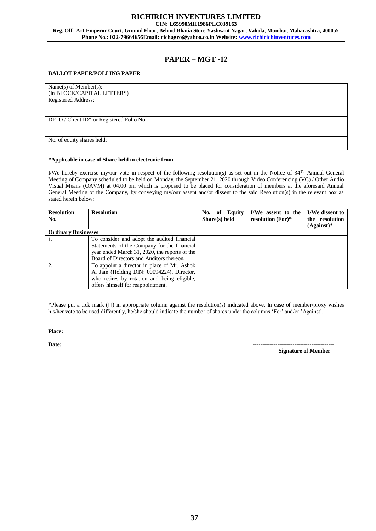#### **RICHIRICH INVENTURES LIMITED CIN: L65990MH1986PLC039163 Reg. Off. A-1 Emperor Court, Ground Floor, Behind Bhatia Store Yashwant Nagar, Vakola, Mumbai, Maharashtra, 400055 Phone No.: 022-79664656Email: richagro@yahoo.co.in Website: [www.richirichinventures.com](http://www.richirichinventures.com/)**

## **PAPER – MGT -12**

## **BALLOT PAPER/POLLING PAPER**

| Name $(s)$ of Member $(s)$ :<br>(In BLOCK/CAPITAL LETTERS) |  |
|------------------------------------------------------------|--|
| Registered Address:                                        |  |
| DP ID / Client ID* or Registered Folio No:                 |  |
| No. of equity shares held:                                 |  |

#### **\*Applicable in case of Share held in electronic from**

I/We hereby exercise my/our vote in respect of the following resolution(s) as set out in the Notice of  $34<sup>Th</sup>$  Annual General Meeting of Company scheduled to be held on Monday, the September 21, 2020 through Video Conferencing (VC) / Other Audio Visual Means (OAVM) at 04.00 pm which is proposed to be placed for consideration of members at the aforesaid Annual General Meeting of the Company, by conveying my/our assent and/or dissent to the said Resolution(s) in the relevant box as stated herein below:

| <b>Resolution</b><br>No.   | <b>Resolution</b>                                                                                                                                                                       | No. of Equity<br>Share(s) held | I/We assent to the<br>resolution $(For)*$ | I/We dissent to<br>the resolution<br>$(A$ gainst $)*$ |
|----------------------------|-----------------------------------------------------------------------------------------------------------------------------------------------------------------------------------------|--------------------------------|-------------------------------------------|-------------------------------------------------------|
| <b>Ordinary Businesses</b> |                                                                                                                                                                                         |                                |                                           |                                                       |
| 1.                         | To consider and adopt the audited financial<br>Statements of the Company for the financial<br>year ended March 31, 2020, the reports of the<br>Board of Directors and Auditors thereon. |                                |                                           |                                                       |
| $\overline{2}$ .           | To appoint a director in place of Mr. Ashok<br>A. Jain (Holding DIN: 00094224), Director,<br>who retires by rotation and being eligible,<br>offers himself for reappointment.           |                                |                                           |                                                       |

\*Please put a tick mark  $(\Box)$  in appropriate column against the resolution(s) indicated above. In case of member/proxy wishes his/her vote to be used differently, he/she should indicate the number of shares under the columns 'For' and/or 'Against'.

#### **Place:**

**Date: -------------------------------------------**

 **Signature of Member**